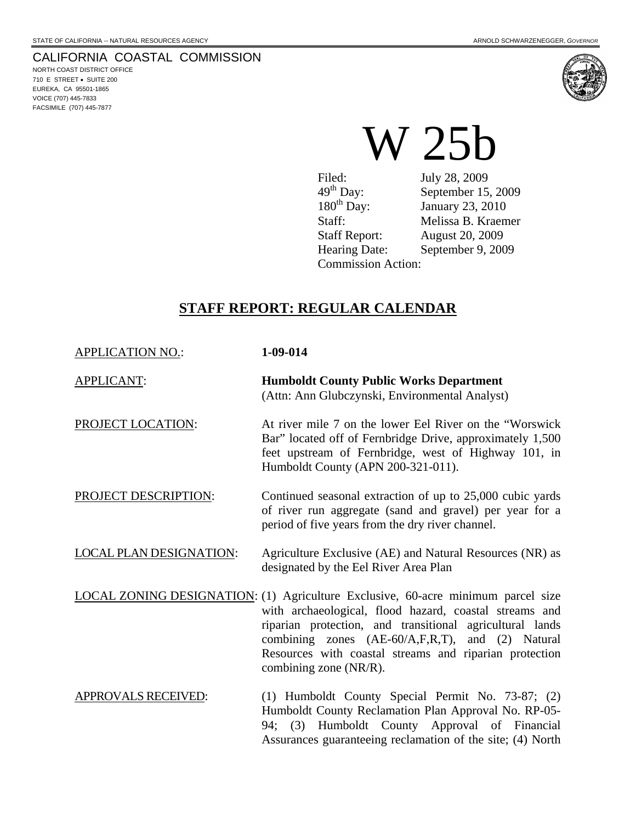NORTH COAST DISTRICT OFFICE 710 E STREET • SUITE 200 EUREKA, CA 95501-1865 VOICE (707) 445-7833 FACSIMILE (707) 445-7877



Filed: July 28, 2009<br>49<sup>th</sup> Day: September 15  $49<sup>th</sup>$  Day: September 15, 2009<br>180<sup>th</sup> Day: January 23, 2010 January 23, 2010 Staff: Melissa B. Kraemer Staff Report: August 20, 2009<br>Hearing Date: September 9, 200 September 9, 2009 Commission Action:

# **STAFF REPORT: REGULAR CALENDAR**

| <b>APPLICATION NO.:</b>        | 1-09-014                                                                                                                                                                                                                                                                                                                                              |
|--------------------------------|-------------------------------------------------------------------------------------------------------------------------------------------------------------------------------------------------------------------------------------------------------------------------------------------------------------------------------------------------------|
| <b>APPLICANT:</b>              | <b>Humboldt County Public Works Department</b><br>(Attn: Ann Glubczynski, Environmental Analyst)                                                                                                                                                                                                                                                      |
| PROJECT LOCATION:              | At river mile 7 on the lower Eel River on the "Worswick"<br>Bar" located off of Fernbridge Drive, approximately 1,500<br>feet upstream of Fernbridge, west of Highway 101, in<br>Humboldt County (APN 200-321-011).                                                                                                                                   |
| PROJECT DESCRIPTION:           | Continued seasonal extraction of up to 25,000 cubic yards<br>of river run aggregate (sand and gravel) per year for a<br>period of five years from the dry river channel.                                                                                                                                                                              |
| <b>LOCAL PLAN DESIGNATION:</b> | Agriculture Exclusive (AE) and Natural Resources (NR) as<br>designated by the Eel River Area Plan                                                                                                                                                                                                                                                     |
|                                | <b>LOCAL ZONING DESIGNATION:</b> (1) Agriculture Exclusive, 60-acre minimum parcel size<br>with archaeological, flood hazard, coastal streams and<br>riparian protection, and transitional agricultural lands<br>combining zones (AE-60/A,F,R,T), and (2) Natural<br>Resources with coastal streams and riparian protection<br>combining zone (NR/R). |
| <b>APPROVALS RECEIVED:</b>     | (1) Humboldt County Special Permit No. 73-87; (2)<br>Humboldt County Reclamation Plan Approval No. RP-05-<br>94; (3) Humboldt County Approval of Financial<br>Assurances guaranteeing reclamation of the site; (4) North                                                                                                                              |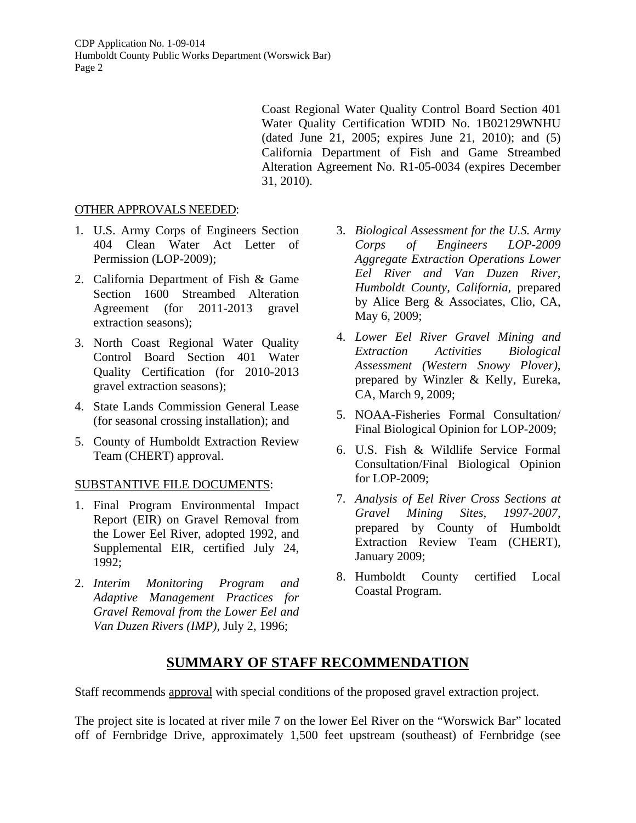> Coast Regional Water Quality Control Board Section 401 Water Quality Certification WDID No. 1B02129WNHU (dated June 21, 2005; expires June 21, 2010); and (5) California Department of Fish and Game Streambed Alteration Agreement No. R1-05-0034 (expires December 31, 2010).

#### OTHER APPROVALS NEEDED:

- 1. U.S. Army Corps of Engineers Section 404 Clean Water Act Letter of Permission (LOP-2009);
- 2. California Department of Fish & Game Section 1600 Streambed Alteration Agreement (for 2011-2013 gravel extraction seasons);
- 3. North Coast Regional Water Quality Control Board Section 401 Water Quality Certification (for 2010-2013 gravel extraction seasons);
- 4. State Lands Commission General Lease (for seasonal crossing installation); and
- 5. County of Humboldt Extraction Review Team (CHERT) approval.

#### SUBSTANTIVE FILE DOCUMENTS:

- 1. Final Program Environmental Impact Report (EIR) on Gravel Removal from the Lower Eel River, adopted 1992, and Supplemental EIR, certified July 24, 1992;
- 2. *Interim Monitoring Program and Adaptive Management Practices for Gravel Removal from the Lower Eel and Van Duzen Rivers (IMP)*, July 2, 1996;
- 3. *Biological Assessment for the U.S. Army Corps of Engineers LOP-2009 Aggregate Extraction Operations Lower Eel River and Van Duzen River, Humboldt County, California*, prepared by Alice Berg & Associates, Clio, CA, May 6, 2009;
- 4. *Lower Eel River Gravel Mining and Extraction Activities Biological Assessment (Western Snowy Plover)*, prepared by Winzler & Kelly, Eureka, CA, March 9, 2009;
- 5. NOAA-Fisheries Formal Consultation/ Final Biological Opinion for LOP-2009;
- 6. U.S. Fish & Wildlife Service Formal Consultation/Final Biological Opinion for LOP-2009;
- 7. *Analysis of Eel River Cross Sections at Gravel Mining Sites, 1997-2007*, prepared by County of Humboldt Extraction Review Team (CHERT), January 2009;
- 8. Humboldt County certified Local Coastal Program.

# **SUMMARY OF STAFF RECOMMENDATION**

Staff recommends approval with special conditions of the proposed gravel extraction project.

The project site is located at river mile 7 on the lower Eel River on the "Worswick Bar" located off of Fernbridge Drive, approximately 1,500 feet upstream (southeast) of Fernbridge (see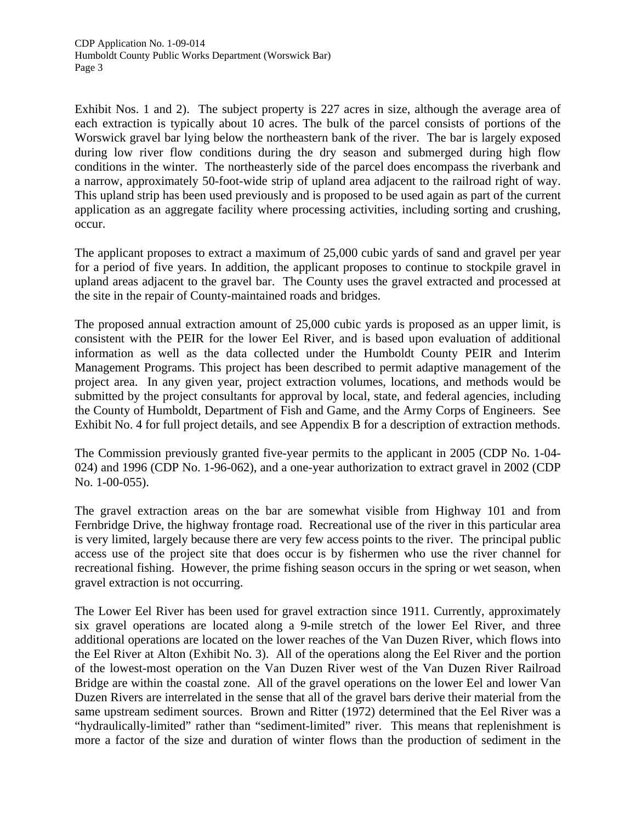Exhibit Nos. 1 and 2). The subject property is 227 acres in size, although the average area of each extraction is typically about 10 acres. The bulk of the parcel consists of portions of the Worswick gravel bar lying below the northeastern bank of the river. The bar is largely exposed during low river flow conditions during the dry season and submerged during high flow conditions in the winter. The northeasterly side of the parcel does encompass the riverbank and a narrow, approximately 50-foot-wide strip of upland area adjacent to the railroad right of way. This upland strip has been used previously and is proposed to be used again as part of the current application as an aggregate facility where processing activities, including sorting and crushing, occur.

The applicant proposes to extract a maximum of 25,000 cubic yards of sand and gravel per year for a period of five years. In addition, the applicant proposes to continue to stockpile gravel in upland areas adjacent to the gravel bar. The County uses the gravel extracted and processed at the site in the repair of County-maintained roads and bridges.

The proposed annual extraction amount of 25,000 cubic yards is proposed as an upper limit, is consistent with the PEIR for the lower Eel River, and is based upon evaluation of additional information as well as the data collected under the Humboldt County PEIR and Interim Management Programs. This project has been described to permit adaptive management of the project area. In any given year, project extraction volumes, locations, and methods would be submitted by the project consultants for approval by local, state, and federal agencies, including the County of Humboldt, Department of Fish and Game, and the Army Corps of Engineers. See Exhibit No. 4 for full project details, and see Appendix B for a description of extraction methods.

The Commission previously granted five-year permits to the applicant in 2005 (CDP No. 1-04- 024) and 1996 (CDP No. 1-96-062), and a one-year authorization to extract gravel in 2002 (CDP No. 1-00-055).

The gravel extraction areas on the bar are somewhat visible from Highway 101 and from Fernbridge Drive, the highway frontage road. Recreational use of the river in this particular area is very limited, largely because there are very few access points to the river. The principal public access use of the project site that does occur is by fishermen who use the river channel for recreational fishing. However, the prime fishing season occurs in the spring or wet season, when gravel extraction is not occurring.

The Lower Eel River has been used for gravel extraction since 1911. Currently, approximately six gravel operations are located along a 9-mile stretch of the lower Eel River, and three additional operations are located on the lower reaches of the Van Duzen River, which flows into the Eel River at Alton (Exhibit No. 3). All of the operations along the Eel River and the portion of the lowest-most operation on the Van Duzen River west of the Van Duzen River Railroad Bridge are within the coastal zone. All of the gravel operations on the lower Eel and lower Van Duzen Rivers are interrelated in the sense that all of the gravel bars derive their material from the same upstream sediment sources. Brown and Ritter (1972) determined that the Eel River was a "hydraulically-limited" rather than "sediment-limited" river. This means that replenishment is more a factor of the size and duration of winter flows than the production of sediment in the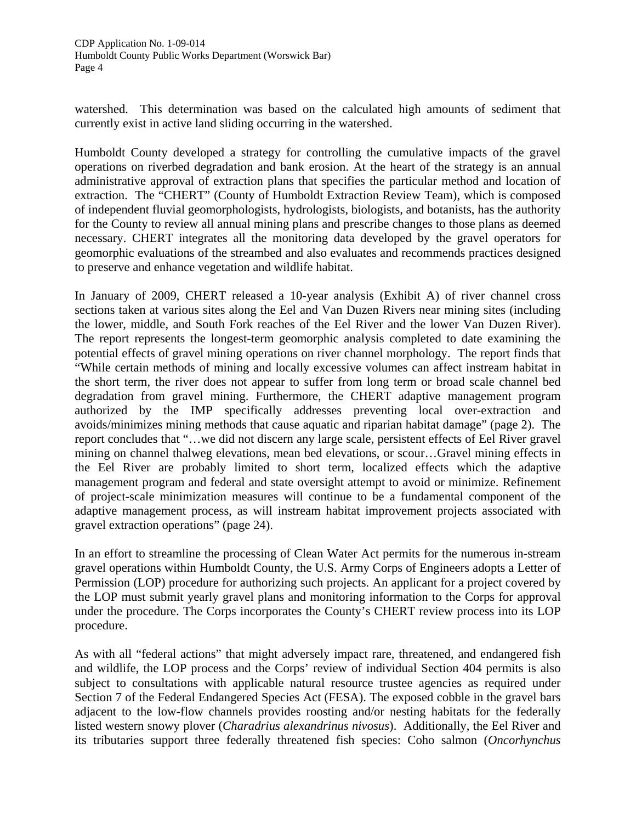watershed. This determination was based on the calculated high amounts of sediment that currently exist in active land sliding occurring in the watershed.

Humboldt County developed a strategy for controlling the cumulative impacts of the gravel operations on riverbed degradation and bank erosion. At the heart of the strategy is an annual administrative approval of extraction plans that specifies the particular method and location of extraction. The "CHERT" (County of Humboldt Extraction Review Team), which is composed of independent fluvial geomorphologists, hydrologists, biologists, and botanists, has the authority for the County to review all annual mining plans and prescribe changes to those plans as deemed necessary. CHERT integrates all the monitoring data developed by the gravel operators for geomorphic evaluations of the streambed and also evaluates and recommends practices designed to preserve and enhance vegetation and wildlife habitat.

In January of 2009, CHERT released a 10-year analysis (Exhibit A) of river channel cross sections taken at various sites along the Eel and Van Duzen Rivers near mining sites (including the lower, middle, and South Fork reaches of the Eel River and the lower Van Duzen River). The report represents the longest-term geomorphic analysis completed to date examining the potential effects of gravel mining operations on river channel morphology. The report finds that "While certain methods of mining and locally excessive volumes can affect instream habitat in the short term, the river does not appear to suffer from long term or broad scale channel bed degradation from gravel mining. Furthermore, the CHERT adaptive management program authorized by the IMP specifically addresses preventing local over-extraction and avoids/minimizes mining methods that cause aquatic and riparian habitat damage" (page 2). The report concludes that "…we did not discern any large scale, persistent effects of Eel River gravel mining on channel thalweg elevations, mean bed elevations, or scour…Gravel mining effects in the Eel River are probably limited to short term, localized effects which the adaptive management program and federal and state oversight attempt to avoid or minimize. Refinement of project-scale minimization measures will continue to be a fundamental component of the adaptive management process, as will instream habitat improvement projects associated with gravel extraction operations" (page 24).

In an effort to streamline the processing of Clean Water Act permits for the numerous in-stream gravel operations within Humboldt County, the U.S. Army Corps of Engineers adopts a Letter of Permission (LOP) procedure for authorizing such projects. An applicant for a project covered by the LOP must submit yearly gravel plans and monitoring information to the Corps for approval under the procedure. The Corps incorporates the County's CHERT review process into its LOP procedure.

As with all "federal actions" that might adversely impact rare, threatened, and endangered fish and wildlife, the LOP process and the Corps' review of individual Section 404 permits is also subject to consultations with applicable natural resource trustee agencies as required under Section 7 of the Federal Endangered Species Act (FESA). The exposed cobble in the gravel bars adjacent to the low-flow channels provides roosting and/or nesting habitats for the federally listed western snowy plover (*Charadrius alexandrinus nivosus*). Additionally, the Eel River and its tributaries support three federally threatened fish species: Coho salmon (*Oncorhynchus*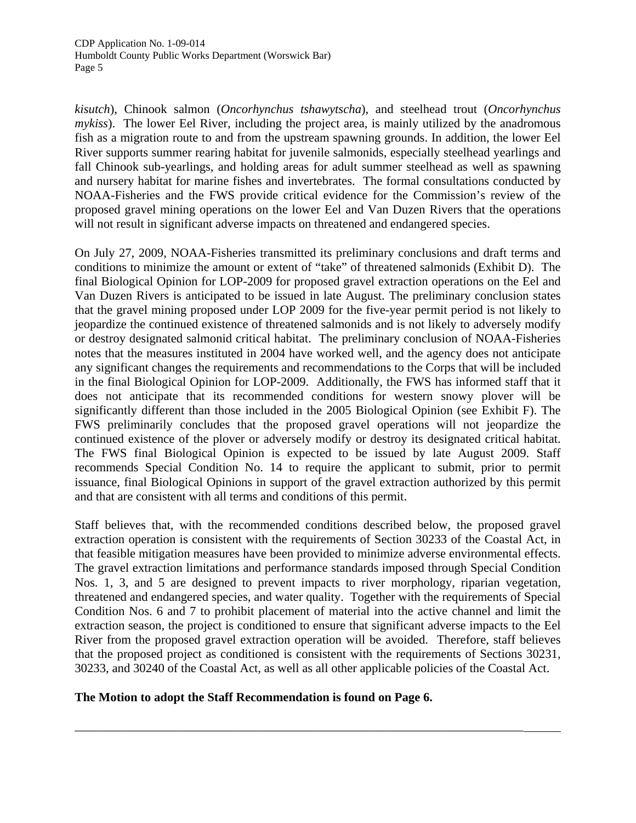*kisutch*), Chinook salmon (*Oncorhynchus tshawytscha*), and steelhead trout (*Oncorhynchus mykiss*). The lower Eel River, including the project area, is mainly utilized by the anadromous fish as a migration route to and from the upstream spawning grounds. In addition, the lower Eel River supports summer rearing habitat for juvenile salmonids, especially steelhead yearlings and fall Chinook sub-yearlings, and holding areas for adult summer steelhead as well as spawning and nursery habitat for marine fishes and invertebrates. The formal consultations conducted by NOAA-Fisheries and the FWS provide critical evidence for the Commission's review of the proposed gravel mining operations on the lower Eel and Van Duzen Rivers that the operations will not result in significant adverse impacts on threatened and endangered species.

On July 27, 2009, NOAA-Fisheries transmitted its preliminary conclusions and draft terms and conditions to minimize the amount or extent of "take" of threatened salmonids (Exhibit D). The final Biological Opinion for LOP-2009 for proposed gravel extraction operations on the Eel and Van Duzen Rivers is anticipated to be issued in late August. The preliminary conclusion states that the gravel mining proposed under LOP 2009 for the five-year permit period is not likely to jeopardize the continued existence of threatened salmonids and is not likely to adversely modify or destroy designated salmonid critical habitat. The preliminary conclusion of NOAA-Fisheries notes that the measures instituted in 2004 have worked well, and the agency does not anticipate any significant changes the requirements and recommendations to the Corps that will be included in the final Biological Opinion for LOP-2009. Additionally, the FWS has informed staff that it does not anticipate that its recommended conditions for western snowy plover will be significantly different than those included in the 2005 Biological Opinion (see Exhibit F). The FWS preliminarily concludes that the proposed gravel operations will not jeopardize the continued existence of the plover or adversely modify or destroy its designated critical habitat. The FWS final Biological Opinion is expected to be issued by late August 2009. Staff recommends Special Condition No. 14 to require the applicant to submit, prior to permit issuance, final Biological Opinions in support of the gravel extraction authorized by this permit and that are consistent with all terms and conditions of this permit.

Staff believes that, with the recommended conditions described below, the proposed gravel extraction operation is consistent with the requirements of Section 30233 of the Coastal Act, in that feasible mitigation measures have been provided to minimize adverse environmental effects. The gravel extraction limitations and performance standards imposed through Special Condition Nos. 1, 3, and 5 are designed to prevent impacts to river morphology, riparian vegetation, threatened and endangered species, and water quality. Together with the requirements of Special Condition Nos. 6 and 7 to prohibit placement of material into the active channel and limit the extraction season, the project is conditioned to ensure that significant adverse impacts to the Eel River from the proposed gravel extraction operation will be avoided. Therefore, staff believes that the proposed project as conditioned is consistent with the requirements of Sections 30231, 30233, and 30240 of the Coastal Act, as well as all other applicable policies of the Coastal Act.

\_\_\_\_\_\_\_\_\_\_\_\_\_\_\_\_\_\_\_\_\_\_\_\_\_\_\_\_\_\_\_\_\_\_\_\_\_\_\_\_\_\_\_\_\_\_\_\_\_\_\_\_\_\_\_\_\_\_\_\_\_\_\_\_\_\_\_\_\_\_\_\_

# **The Motion to adopt the Staff Recommendation is found on Page 6.**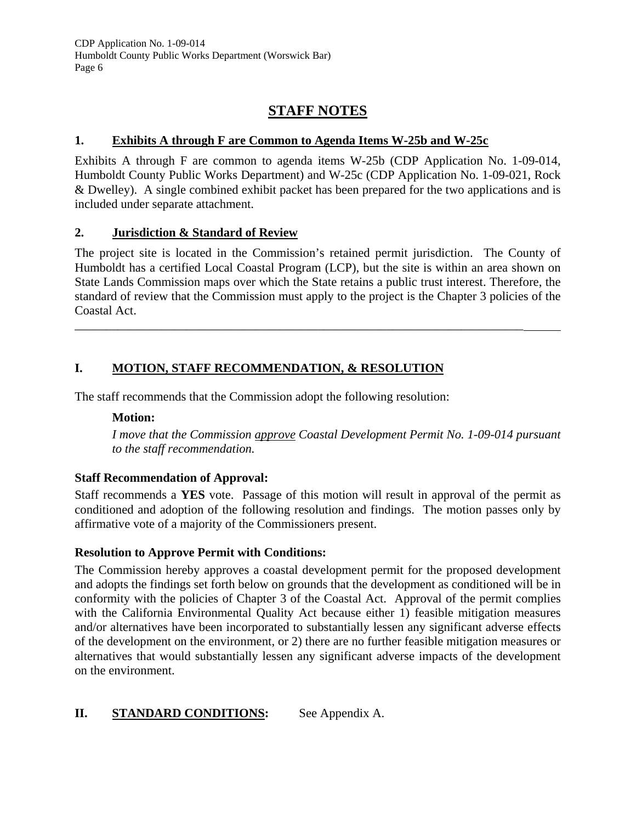# **STAFF NOTES**

# **1. Exhibits A through F are Common to Agenda Items W-25b and W-25c**

Exhibits A through F are common to agenda items W-25b (CDP Application No. 1-09-014, Humboldt County Public Works Department) and W-25c (CDP Application No. 1-09-021, Rock & Dwelley). A single combined exhibit packet has been prepared for the two applications and is included under separate attachment.

# **2. Jurisdiction & Standard of Review**

The project site is located in the Commission's retained permit jurisdiction. The County of Humboldt has a certified Local Coastal Program (LCP), but the site is within an area shown on State Lands Commission maps over which the State retains a public trust interest. Therefore, the standard of review that the Commission must apply to the project is the Chapter 3 policies of the Coastal Act.

\_\_\_\_\_\_\_\_\_\_\_\_\_\_\_\_\_\_\_\_\_\_\_\_\_\_\_\_\_\_\_\_\_\_\_\_\_\_\_\_\_\_\_\_\_\_\_\_\_\_\_\_\_\_\_\_\_\_\_\_\_\_\_\_\_\_\_\_\_\_\_\_

# **I. MOTION, STAFF RECOMMENDATION, & RESOLUTION**

The staff recommends that the Commission adopt the following resolution:

# **Motion:**

*I move that the Commission approve Coastal Development Permit No. 1-09-014 pursuant to the staff recommendation.* 

# **Staff Recommendation of Approval:**

Staff recommends a **YES** vote. Passage of this motion will result in approval of the permit as conditioned and adoption of the following resolution and findings. The motion passes only by affirmative vote of a majority of the Commissioners present.

# **Resolution to Approve Permit with Conditions:**

The Commission hereby approves a coastal development permit for the proposed development and adopts the findings set forth below on grounds that the development as conditioned will be in conformity with the policies of Chapter 3 of the Coastal Act. Approval of the permit complies with the California Environmental Quality Act because either 1) feasible mitigation measures and/or alternatives have been incorporated to substantially lessen any significant adverse effects of the development on the environment, or 2) there are no further feasible mitigation measures or alternatives that would substantially lessen any significant adverse impacts of the development on the environment.

# **II.** STANDARD CONDITIONS: See Appendix A.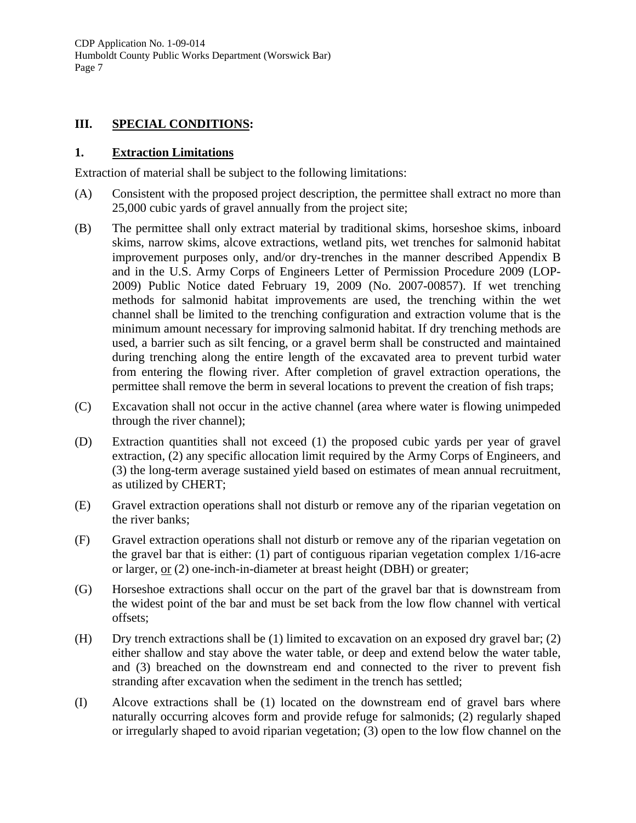# **III. SPECIAL CONDITIONS:**

#### **1. Extraction Limitations**

Extraction of material shall be subject to the following limitations:

- (A) Consistent with the proposed project description, the permittee shall extract no more than 25,000 cubic yards of gravel annually from the project site;
- (B) The permittee shall only extract material by traditional skims, horseshoe skims, inboard skims, narrow skims, alcove extractions, wetland pits, wet trenches for salmonid habitat improvement purposes only, and/or dry-trenches in the manner described Appendix B and in the U.S. Army Corps of Engineers Letter of Permission Procedure 2009 (LOP-2009) Public Notice dated February 19, 2009 (No. 2007-00857). If wet trenching methods for salmonid habitat improvements are used, the trenching within the wet channel shall be limited to the trenching configuration and extraction volume that is the minimum amount necessary for improving salmonid habitat. If dry trenching methods are used, a barrier such as silt fencing, or a gravel berm shall be constructed and maintained during trenching along the entire length of the excavated area to prevent turbid water from entering the flowing river. After completion of gravel extraction operations, the permittee shall remove the berm in several locations to prevent the creation of fish traps;
- (C) Excavation shall not occur in the active channel (area where water is flowing unimpeded through the river channel);
- (D) Extraction quantities shall not exceed (1) the proposed cubic yards per year of gravel extraction, (2) any specific allocation limit required by the Army Corps of Engineers, and (3) the long-term average sustained yield based on estimates of mean annual recruitment, as utilized by CHERT;
- (E) Gravel extraction operations shall not disturb or remove any of the riparian vegetation on the river banks;
- (F) Gravel extraction operations shall not disturb or remove any of the riparian vegetation on the gravel bar that is either: (1) part of contiguous riparian vegetation complex 1/16-acre or larger, or (2) one-inch-in-diameter at breast height (DBH) or greater;
- (G) Horseshoe extractions shall occur on the part of the gravel bar that is downstream from the widest point of the bar and must be set back from the low flow channel with vertical offsets;
- (H) Dry trench extractions shall be (1) limited to excavation on an exposed dry gravel bar; (2) either shallow and stay above the water table, or deep and extend below the water table, and (3) breached on the downstream end and connected to the river to prevent fish stranding after excavation when the sediment in the trench has settled;
- (I) Alcove extractions shall be (1) located on the downstream end of gravel bars where naturally occurring alcoves form and provide refuge for salmonids; (2) regularly shaped or irregularly shaped to avoid riparian vegetation; (3) open to the low flow channel on the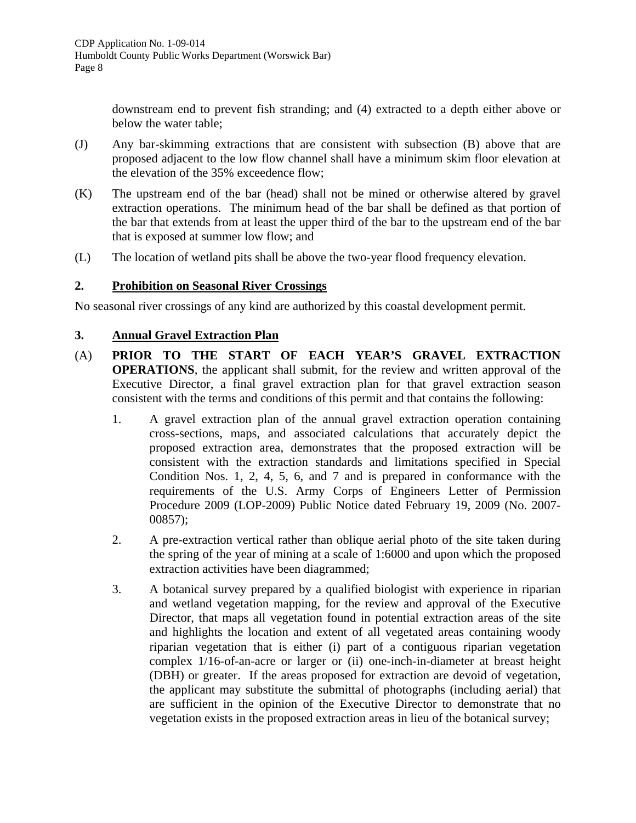downstream end to prevent fish stranding; and (4) extracted to a depth either above or below the water table;

- (J) Any bar-skimming extractions that are consistent with subsection (B) above that are proposed adjacent to the low flow channel shall have a minimum skim floor elevation at the elevation of the 35% exceedence flow;
- (K) The upstream end of the bar (head) shall not be mined or otherwise altered by gravel extraction operations. The minimum head of the bar shall be defined as that portion of the bar that extends from at least the upper third of the bar to the upstream end of the bar that is exposed at summer low flow; and
- (L) The location of wetland pits shall be above the two-year flood frequency elevation.

#### **2. Prohibition on Seasonal River Crossings**

No seasonal river crossings of any kind are authorized by this coastal development permit.

#### **3. Annual Gravel Extraction Plan**

- (A) **PRIOR TO THE START OF EACH YEAR'S GRAVEL EXTRACTION OPERATIONS**, the applicant shall submit, for the review and written approval of the Executive Director, a final gravel extraction plan for that gravel extraction season consistent with the terms and conditions of this permit and that contains the following:
	- 1. A gravel extraction plan of the annual gravel extraction operation containing cross-sections, maps, and associated calculations that accurately depict the proposed extraction area, demonstrates that the proposed extraction will be consistent with the extraction standards and limitations specified in Special Condition Nos. 1, 2, 4, 5, 6, and 7 and is prepared in conformance with the requirements of the U.S. Army Corps of Engineers Letter of Permission Procedure 2009 (LOP-2009) Public Notice dated February 19, 2009 (No. 2007- 00857);
	- 2. A pre-extraction vertical rather than oblique aerial photo of the site taken during the spring of the year of mining at a scale of 1:6000 and upon which the proposed extraction activities have been diagrammed;
	- 3. A botanical survey prepared by a qualified biologist with experience in riparian and wetland vegetation mapping, for the review and approval of the Executive Director, that maps all vegetation found in potential extraction areas of the site and highlights the location and extent of all vegetated areas containing woody riparian vegetation that is either (i) part of a contiguous riparian vegetation complex 1/16-of-an-acre or larger or (ii) one-inch-in-diameter at breast height (DBH) or greater. If the areas proposed for extraction are devoid of vegetation, the applicant may substitute the submittal of photographs (including aerial) that are sufficient in the opinion of the Executive Director to demonstrate that no vegetation exists in the proposed extraction areas in lieu of the botanical survey;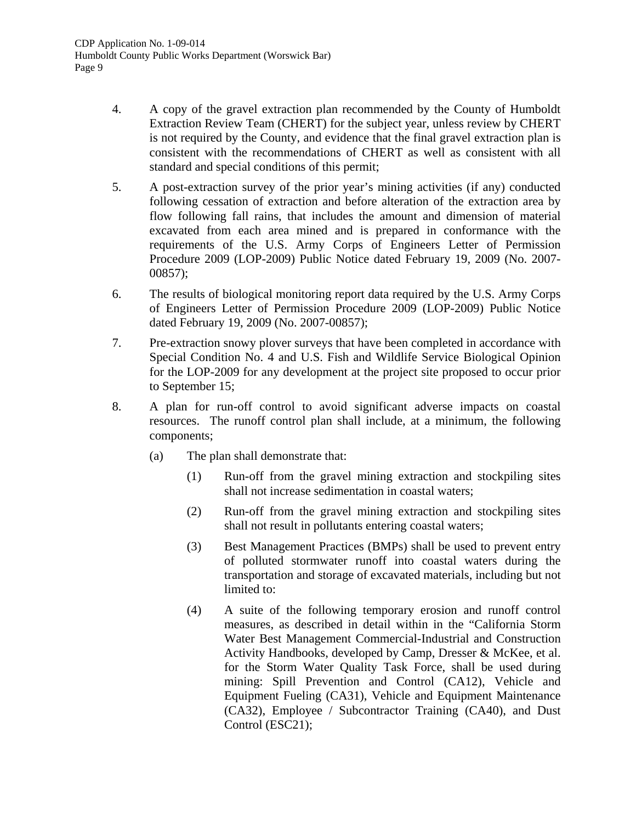- 4. A copy of the gravel extraction plan recommended by the County of Humboldt Extraction Review Team (CHERT) for the subject year, unless review by CHERT is not required by the County, and evidence that the final gravel extraction plan is consistent with the recommendations of CHERT as well as consistent with all standard and special conditions of this permit;
- 5. A post-extraction survey of the prior year's mining activities (if any) conducted following cessation of extraction and before alteration of the extraction area by flow following fall rains, that includes the amount and dimension of material excavated from each area mined and is prepared in conformance with the requirements of the U.S. Army Corps of Engineers Letter of Permission Procedure 2009 (LOP-2009) Public Notice dated February 19, 2009 (No. 2007- 00857);
- 6. The results of biological monitoring report data required by the U.S. Army Corps of Engineers Letter of Permission Procedure 2009 (LOP-2009) Public Notice dated February 19, 2009 (No. 2007-00857);
- 7. Pre-extraction snowy plover surveys that have been completed in accordance with Special Condition No. 4 and U.S. Fish and Wildlife Service Biological Opinion for the LOP-2009 for any development at the project site proposed to occur prior to September 15;
- 8. A plan for run-off control to avoid significant adverse impacts on coastal resources. The runoff control plan shall include, at a minimum, the following components;
	- (a) The plan shall demonstrate that:
		- (1) Run-off from the gravel mining extraction and stockpiling sites shall not increase sedimentation in coastal waters;
		- (2) Run-off from the gravel mining extraction and stockpiling sites shall not result in pollutants entering coastal waters;
		- (3) Best Management Practices (BMPs) shall be used to prevent entry of polluted stormwater runoff into coastal waters during the transportation and storage of excavated materials, including but not limited to:
		- (4) A suite of the following temporary erosion and runoff control measures, as described in detail within in the "California Storm Water Best Management Commercial-Industrial and Construction Activity Handbooks, developed by Camp, Dresser & McKee, et al. for the Storm Water Quality Task Force, shall be used during mining: Spill Prevention and Control (CA12), Vehicle and Equipment Fueling (CA31), Vehicle and Equipment Maintenance (CA32), Employee / Subcontractor Training (CA40), and Dust Control (ESC21);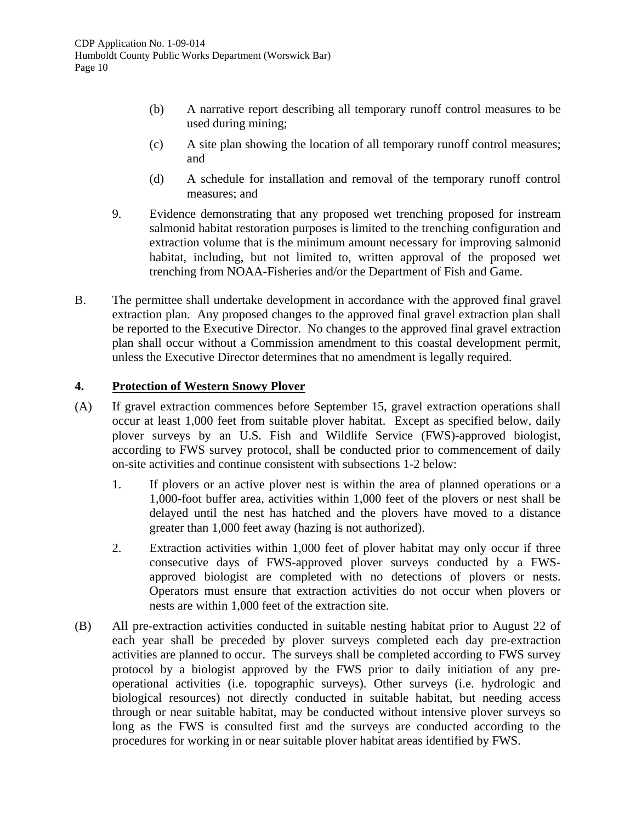- (b) A narrative report describing all temporary runoff control measures to be used during mining;
- (c) A site plan showing the location of all temporary runoff control measures; and
- (d) A schedule for installation and removal of the temporary runoff control measures; and
- 9. Evidence demonstrating that any proposed wet trenching proposed for instream salmonid habitat restoration purposes is limited to the trenching configuration and extraction volume that is the minimum amount necessary for improving salmonid habitat, including, but not limited to, written approval of the proposed wet trenching from NOAA-Fisheries and/or the Department of Fish and Game.
- B. The permittee shall undertake development in accordance with the approved final gravel extraction plan. Any proposed changes to the approved final gravel extraction plan shall be reported to the Executive Director. No changes to the approved final gravel extraction plan shall occur without a Commission amendment to this coastal development permit, unless the Executive Director determines that no amendment is legally required.

#### **4. Protection of Western Snowy Plover**

- (A) If gravel extraction commences before September 15, gravel extraction operations shall occur at least 1,000 feet from suitable plover habitat. Except as specified below, daily plover surveys by an U.S. Fish and Wildlife Service (FWS)-approved biologist, according to FWS survey protocol, shall be conducted prior to commencement of daily on-site activities and continue consistent with subsections 1-2 below:
	- 1. If plovers or an active plover nest is within the area of planned operations or a 1,000-foot buffer area, activities within 1,000 feet of the plovers or nest shall be delayed until the nest has hatched and the plovers have moved to a distance greater than 1,000 feet away (hazing is not authorized).
	- 2. Extraction activities within 1,000 feet of plover habitat may only occur if three consecutive days of FWS-approved plover surveys conducted by a FWSapproved biologist are completed with no detections of plovers or nests. Operators must ensure that extraction activities do not occur when plovers or nests are within 1,000 feet of the extraction site.
- (B) All pre-extraction activities conducted in suitable nesting habitat prior to August 22 of each year shall be preceded by plover surveys completed each day pre-extraction activities are planned to occur. The surveys shall be completed according to FWS survey protocol by a biologist approved by the FWS prior to daily initiation of any preoperational activities (i.e. topographic surveys). Other surveys (i.e. hydrologic and biological resources) not directly conducted in suitable habitat, but needing access through or near suitable habitat, may be conducted without intensive plover surveys so long as the FWS is consulted first and the surveys are conducted according to the procedures for working in or near suitable plover habitat areas identified by FWS.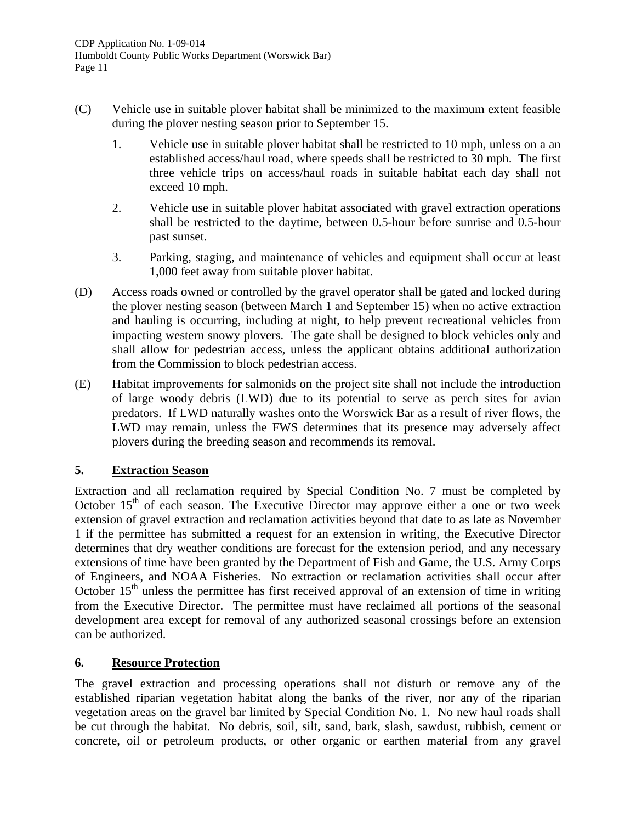- (C) Vehicle use in suitable plover habitat shall be minimized to the maximum extent feasible during the plover nesting season prior to September 15.
	- 1. Vehicle use in suitable plover habitat shall be restricted to 10 mph, unless on a an established access/haul road, where speeds shall be restricted to 30 mph. The first three vehicle trips on access/haul roads in suitable habitat each day shall not exceed 10 mph.
	- 2. Vehicle use in suitable plover habitat associated with gravel extraction operations shall be restricted to the daytime, between 0.5-hour before sunrise and 0.5-hour past sunset.
	- 3. Parking, staging, and maintenance of vehicles and equipment shall occur at least 1,000 feet away from suitable plover habitat.
- (D) Access roads owned or controlled by the gravel operator shall be gated and locked during the plover nesting season (between March 1 and September 15) when no active extraction and hauling is occurring, including at night, to help prevent recreational vehicles from impacting western snowy plovers. The gate shall be designed to block vehicles only and shall allow for pedestrian access, unless the applicant obtains additional authorization from the Commission to block pedestrian access.
- (E) Habitat improvements for salmonids on the project site shall not include the introduction of large woody debris (LWD) due to its potential to serve as perch sites for avian predators. If LWD naturally washes onto the Worswick Bar as a result of river flows, the LWD may remain, unless the FWS determines that its presence may adversely affect plovers during the breeding season and recommends its removal.

# **5. Extraction Season**

Extraction and all reclamation required by Special Condition No. 7 must be completed by October  $15<sup>th</sup>$  of each season. The Executive Director may approve either a one or two week extension of gravel extraction and reclamation activities beyond that date to as late as November 1 if the permittee has submitted a request for an extension in writing, the Executive Director determines that dry weather conditions are forecast for the extension period, and any necessary extensions of time have been granted by the Department of Fish and Game, the U.S. Army Corps of Engineers, and NOAA Fisheries. No extraction or reclamation activities shall occur after October  $15<sup>th</sup>$  unless the permittee has first received approval of an extension of time in writing from the Executive Director. The permittee must have reclaimed all portions of the seasonal development area except for removal of any authorized seasonal crossings before an extension can be authorized.

# **6. Resource Protection**

The gravel extraction and processing operations shall not disturb or remove any of the established riparian vegetation habitat along the banks of the river, nor any of the riparian vegetation areas on the gravel bar limited by Special Condition No. 1. No new haul roads shall be cut through the habitat. No debris, soil, silt, sand, bark, slash, sawdust, rubbish, cement or concrete, oil or petroleum products, or other organic or earthen material from any gravel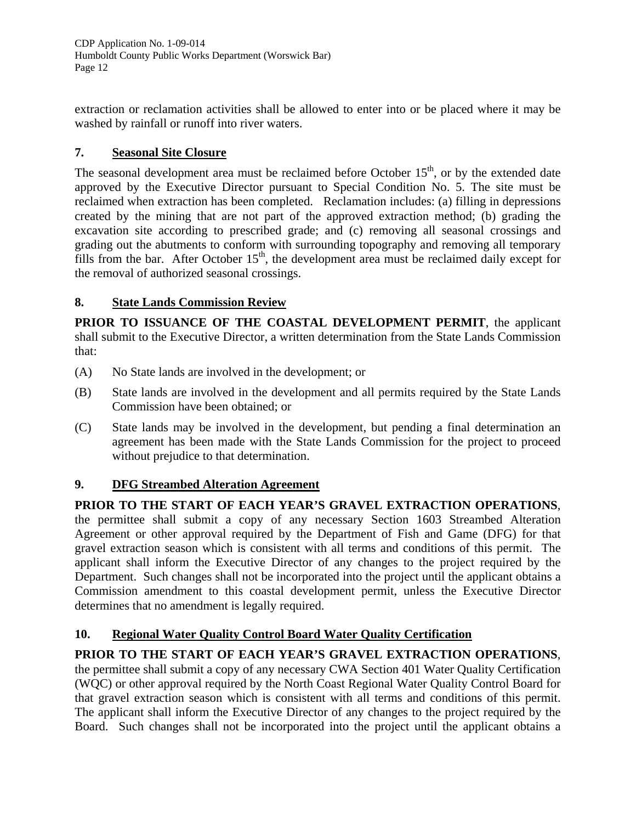extraction or reclamation activities shall be allowed to enter into or be placed where it may be washed by rainfall or runoff into river waters.

# **7. Seasonal Site Closure**

The seasonal development area must be reclaimed before October 15<sup>th</sup>, or by the extended date approved by the Executive Director pursuant to Special Condition No. 5. The site must be reclaimed when extraction has been completed. Reclamation includes: (a) filling in depressions created by the mining that are not part of the approved extraction method; (b) grading the excavation site according to prescribed grade; and (c) removing all seasonal crossings and grading out the abutments to conform with surrounding topography and removing all temporary fills from the bar. After October  $15<sup>th</sup>$ , the development area must be reclaimed daily except for the removal of authorized seasonal crossings.

# **8. State Lands Commission Review**

**PRIOR TO ISSUANCE OF THE COASTAL DEVELOPMENT PERMIT**, the applicant shall submit to the Executive Director, a written determination from the State Lands Commission that:

- (A) No State lands are involved in the development; or
- (B) State lands are involved in the development and all permits required by the State Lands Commission have been obtained; or
- (C) State lands may be involved in the development, but pending a final determination an agreement has been made with the State Lands Commission for the project to proceed without prejudice to that determination.

# **9. DFG Streambed Alteration Agreement**

# **PRIOR TO THE START OF EACH YEAR'S GRAVEL EXTRACTION OPERATIONS**,

the permittee shall submit a copy of any necessary Section 1603 Streambed Alteration Agreement or other approval required by the Department of Fish and Game (DFG) for that gravel extraction season which is consistent with all terms and conditions of this permit. The applicant shall inform the Executive Director of any changes to the project required by the Department. Such changes shall not be incorporated into the project until the applicant obtains a Commission amendment to this coastal development permit, unless the Executive Director determines that no amendment is legally required.

# **10. Regional Water Quality Control Board Water Quality Certification**

# **PRIOR TO THE START OF EACH YEAR'S GRAVEL EXTRACTION OPERATIONS**,

the permittee shall submit a copy of any necessary CWA Section 401 Water Quality Certification (WQC) or other approval required by the North Coast Regional Water Quality Control Board for that gravel extraction season which is consistent with all terms and conditions of this permit. The applicant shall inform the Executive Director of any changes to the project required by the Board. Such changes shall not be incorporated into the project until the applicant obtains a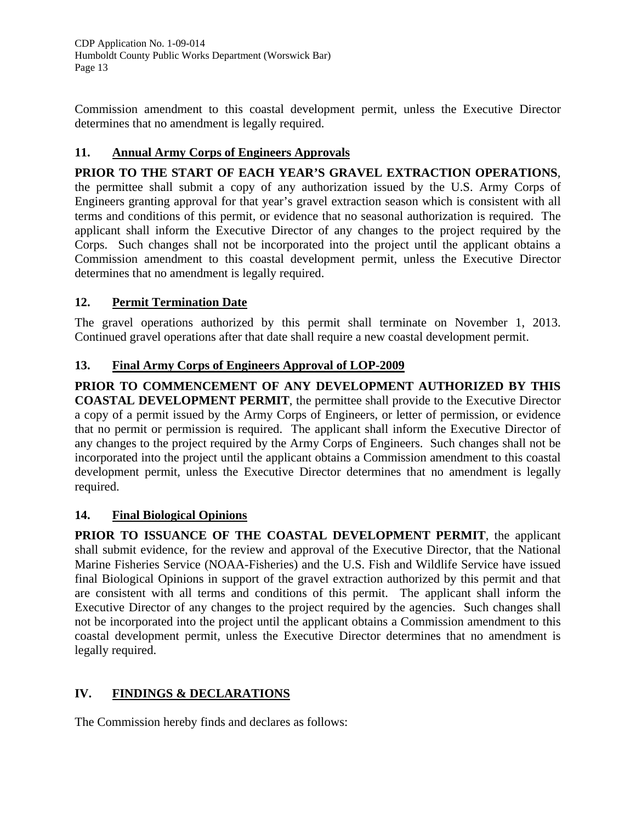Commission amendment to this coastal development permit, unless the Executive Director determines that no amendment is legally required.

# **11. Annual Army Corps of Engineers Approvals**

# **PRIOR TO THE START OF EACH YEAR'S GRAVEL EXTRACTION OPERATIONS**,

the permittee shall submit a copy of any authorization issued by the U.S. Army Corps of Engineers granting approval for that year's gravel extraction season which is consistent with all terms and conditions of this permit, or evidence that no seasonal authorization is required. The applicant shall inform the Executive Director of any changes to the project required by the Corps. Such changes shall not be incorporated into the project until the applicant obtains a Commission amendment to this coastal development permit, unless the Executive Director determines that no amendment is legally required.

# **12. Permit Termination Date**

The gravel operations authorized by this permit shall terminate on November 1, 2013. Continued gravel operations after that date shall require a new coastal development permit.

# **13. Final Army Corps of Engineers Approval of LOP-2009**

**PRIOR TO COMMENCEMENT OF ANY DEVELOPMENT AUTHORIZED BY THIS COASTAL DEVELOPMENT PERMIT**, the permittee shall provide to the Executive Director a copy of a permit issued by the Army Corps of Engineers, or letter of permission, or evidence that no permit or permission is required. The applicant shall inform the Executive Director of any changes to the project required by the Army Corps of Engineers. Such changes shall not be incorporated into the project until the applicant obtains a Commission amendment to this coastal development permit, unless the Executive Director determines that no amendment is legally required.

# **14. Final Biological Opinions**

**PRIOR TO ISSUANCE OF THE COASTAL DEVELOPMENT PERMIT**, the applicant shall submit evidence, for the review and approval of the Executive Director, that the National Marine Fisheries Service (NOAA-Fisheries) and the U.S. Fish and Wildlife Service have issued final Biological Opinions in support of the gravel extraction authorized by this permit and that are consistent with all terms and conditions of this permit. The applicant shall inform the Executive Director of any changes to the project required by the agencies. Such changes shall not be incorporated into the project until the applicant obtains a Commission amendment to this coastal development permit, unless the Executive Director determines that no amendment is legally required.

# **IV. FINDINGS & DECLARATIONS**

The Commission hereby finds and declares as follows: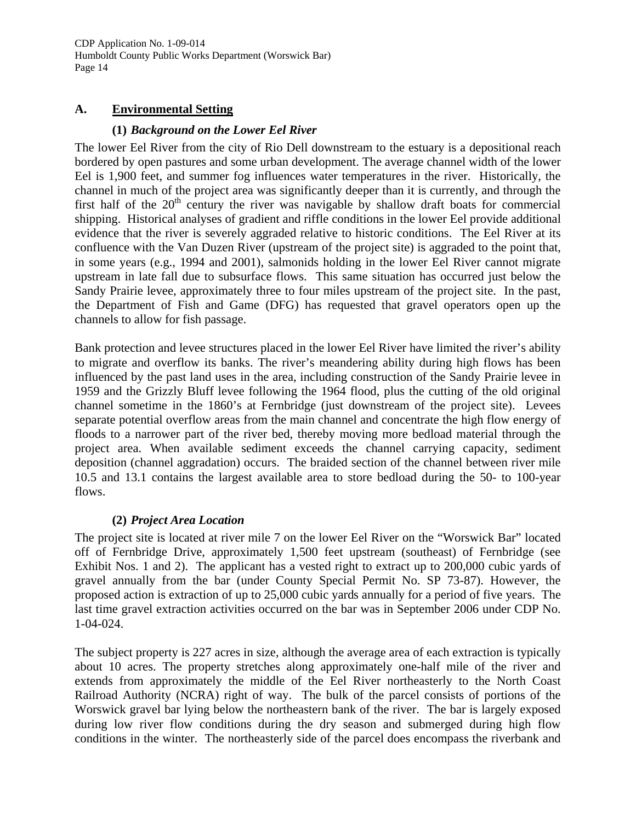#### **A. Environmental Setting**

#### **(1)** *Background on the Lower Eel River*

The lower Eel River from the city of Rio Dell downstream to the estuary is a depositional reach bordered by open pastures and some urban development. The average channel width of the lower Eel is 1,900 feet, and summer fog influences water temperatures in the river. Historically, the channel in much of the project area was significantly deeper than it is currently, and through the first half of the  $20<sup>th</sup>$  century the river was navigable by shallow draft boats for commercial shipping. Historical analyses of gradient and riffle conditions in the lower Eel provide additional evidence that the river is severely aggraded relative to historic conditions. The Eel River at its confluence with the Van Duzen River (upstream of the project site) is aggraded to the point that, in some years (e.g., 1994 and 2001), salmonids holding in the lower Eel River cannot migrate upstream in late fall due to subsurface flows. This same situation has occurred just below the Sandy Prairie levee, approximately three to four miles upstream of the project site. In the past, the Department of Fish and Game (DFG) has requested that gravel operators open up the channels to allow for fish passage.

Bank protection and levee structures placed in the lower Eel River have limited the river's ability to migrate and overflow its banks. The river's meandering ability during high flows has been influenced by the past land uses in the area, including construction of the Sandy Prairie levee in 1959 and the Grizzly Bluff levee following the 1964 flood, plus the cutting of the old original channel sometime in the 1860's at Fernbridge (just downstream of the project site). Levees separate potential overflow areas from the main channel and concentrate the high flow energy of floods to a narrower part of the river bed, thereby moving more bedload material through the project area. When available sediment exceeds the channel carrying capacity, sediment deposition (channel aggradation) occurs. The braided section of the channel between river mile 10.5 and 13.1 contains the largest available area to store bedload during the 50- to 100-year flows.

# **(2)** *Project Area Location*

The project site is located at river mile 7 on the lower Eel River on the "Worswick Bar" located off of Fernbridge Drive, approximately 1,500 feet upstream (southeast) of Fernbridge (see Exhibit Nos. 1 and 2). The applicant has a vested right to extract up to 200,000 cubic yards of gravel annually from the bar (under County Special Permit No. SP 73-87). However, the proposed action is extraction of up to 25,000 cubic yards annually for a period of five years. The last time gravel extraction activities occurred on the bar was in September 2006 under CDP No. 1-04-024.

The subject property is 227 acres in size, although the average area of each extraction is typically about 10 acres. The property stretches along approximately one-half mile of the river and extends from approximately the middle of the Eel River northeasterly to the North Coast Railroad Authority (NCRA) right of way. The bulk of the parcel consists of portions of the Worswick gravel bar lying below the northeastern bank of the river. The bar is largely exposed during low river flow conditions during the dry season and submerged during high flow conditions in the winter. The northeasterly side of the parcel does encompass the riverbank and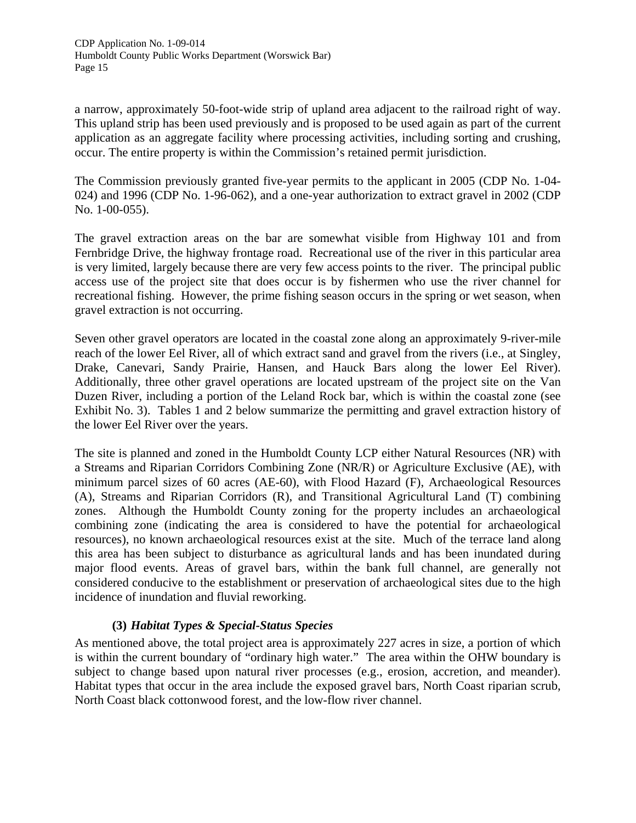a narrow, approximately 50-foot-wide strip of upland area adjacent to the railroad right of way. This upland strip has been used previously and is proposed to be used again as part of the current application as an aggregate facility where processing activities, including sorting and crushing, occur. The entire property is within the Commission's retained permit jurisdiction.

The Commission previously granted five-year permits to the applicant in 2005 (CDP No. 1-04- 024) and 1996 (CDP No. 1-96-062), and a one-year authorization to extract gravel in 2002 (CDP No. 1-00-055).

The gravel extraction areas on the bar are somewhat visible from Highway 101 and from Fernbridge Drive, the highway frontage road. Recreational use of the river in this particular area is very limited, largely because there are very few access points to the river. The principal public access use of the project site that does occur is by fishermen who use the river channel for recreational fishing. However, the prime fishing season occurs in the spring or wet season, when gravel extraction is not occurring.

Seven other gravel operators are located in the coastal zone along an approximately 9-river-mile reach of the lower Eel River, all of which extract sand and gravel from the rivers (i.e., at Singley, Drake, Canevari, Sandy Prairie, Hansen, and Hauck Bars along the lower Eel River). Additionally, three other gravel operations are located upstream of the project site on the Van Duzen River, including a portion of the Leland Rock bar, which is within the coastal zone (see Exhibit No. 3). Tables 1 and 2 below summarize the permitting and gravel extraction history of the lower Eel River over the years.

The site is planned and zoned in the Humboldt County LCP either Natural Resources (NR) with a Streams and Riparian Corridors Combining Zone (NR/R) or Agriculture Exclusive (AE), with minimum parcel sizes of 60 acres (AE-60), with Flood Hazard (F), Archaeological Resources (A), Streams and Riparian Corridors (R), and Transitional Agricultural Land (T) combining zones. Although the Humboldt County zoning for the property includes an archaeological combining zone (indicating the area is considered to have the potential for archaeological resources), no known archaeological resources exist at the site. Much of the terrace land along this area has been subject to disturbance as agricultural lands and has been inundated during major flood events. Areas of gravel bars, within the bank full channel, are generally not considered conducive to the establishment or preservation of archaeological sites due to the high incidence of inundation and fluvial reworking.

# **(3)** *Habitat Types & Special-Status Species*

As mentioned above, the total project area is approximately 227 acres in size, a portion of which is within the current boundary of "ordinary high water." The area within the OHW boundary is subject to change based upon natural river processes (e.g., erosion, accretion, and meander). Habitat types that occur in the area include the exposed gravel bars, North Coast riparian scrub, North Coast black cottonwood forest, and the low-flow river channel.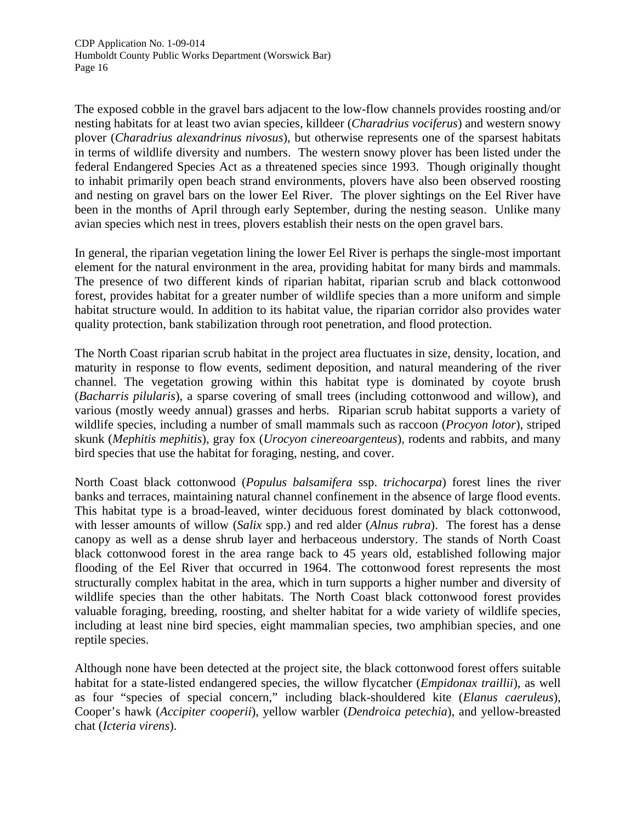The exposed cobble in the gravel bars adjacent to the low-flow channels provides roosting and/or nesting habitats for at least two avian species, killdeer (*Charadrius vociferus*) and western snowy plover (*Charadrius alexandrinus nivosus*), but otherwise represents one of the sparsest habitats in terms of wildlife diversity and numbers. The western snowy plover has been listed under the federal Endangered Species Act as a threatened species since 1993. Though originally thought to inhabit primarily open beach strand environments, plovers have also been observed roosting and nesting on gravel bars on the lower Eel River. The plover sightings on the Eel River have been in the months of April through early September, during the nesting season. Unlike many avian species which nest in trees, plovers establish their nests on the open gravel bars.

In general, the riparian vegetation lining the lower Eel River is perhaps the single-most important element for the natural environment in the area, providing habitat for many birds and mammals. The presence of two different kinds of riparian habitat, riparian scrub and black cottonwood forest, provides habitat for a greater number of wildlife species than a more uniform and simple habitat structure would. In addition to its habitat value, the riparian corridor also provides water quality protection, bank stabilization through root penetration, and flood protection.

The North Coast riparian scrub habitat in the project area fluctuates in size, density, location, and maturity in response to flow events, sediment deposition, and natural meandering of the river channel. The vegetation growing within this habitat type is dominated by coyote brush (*Bacharris pilularis*), a sparse covering of small trees (including cottonwood and willow), and various (mostly weedy annual) grasses and herbs. Riparian scrub habitat supports a variety of wildlife species, including a number of small mammals such as raccoon (*Procyon lotor*), striped skunk (*Mephitis mephitis*), gray fox (*Urocyon cinereoargenteus*), rodents and rabbits, and many bird species that use the habitat for foraging, nesting, and cover.

North Coast black cottonwood (*Populus balsamifera* ssp. *trichocarpa*) forest lines the river banks and terraces, maintaining natural channel confinement in the absence of large flood events. This habitat type is a broad-leaved, winter deciduous forest dominated by black cottonwood, with lesser amounts of willow (*Salix* spp.) and red alder (*Alnus rubra*). The forest has a dense canopy as well as a dense shrub layer and herbaceous understory. The stands of North Coast black cottonwood forest in the area range back to 45 years old, established following major flooding of the Eel River that occurred in 1964. The cottonwood forest represents the most structurally complex habitat in the area, which in turn supports a higher number and diversity of wildlife species than the other habitats. The North Coast black cottonwood forest provides valuable foraging, breeding, roosting, and shelter habitat for a wide variety of wildlife species, including at least nine bird species, eight mammalian species, two amphibian species, and one reptile species.

Although none have been detected at the project site, the black cottonwood forest offers suitable habitat for a state-listed endangered species, the willow flycatcher (*Empidonax traillii*), as well as four "species of special concern," including black-shouldered kite (*Elanus caeruleus*), Cooper's hawk (*Accipiter cooperii*), yellow warbler (*Dendroica petechia*), and yellow-breasted chat (*Icteria virens*).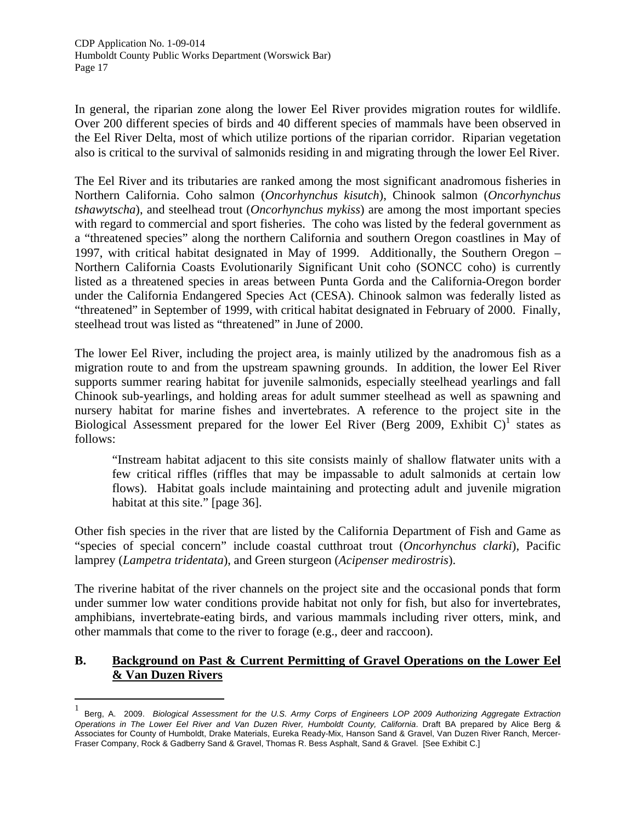In general, the riparian zone along the lower Eel River provides migration routes for wildlife. Over 200 different species of birds and 40 different species of mammals have been observed in the Eel River Delta, most of which utilize portions of the riparian corridor. Riparian vegetation also is critical to the survival of salmonids residing in and migrating through the lower Eel River.

The Eel River and its tributaries are ranked among the most significant anadromous fisheries in Northern California. Coho salmon (*Oncorhynchus kisutch*), Chinook salmon (*Oncorhynchus tshawytscha*), and steelhead trout (*Oncorhynchus mykiss*) are among the most important species with regard to commercial and sport fisheries. The coho was listed by the federal government as a "threatened species" along the northern California and southern Oregon coastlines in May of 1997, with critical habitat designated in May of 1999. Additionally, the Southern Oregon – Northern California Coasts Evolutionarily Significant Unit coho (SONCC coho) is currently listed as a threatened species in areas between Punta Gorda and the California-Oregon border under the California Endangered Species Act (CESA). Chinook salmon was federally listed as "threatened" in September of 1999, with critical habitat designated in February of 2000. Finally, steelhead trout was listed as "threatened" in June of 2000.

The lower Eel River, including the project area, is mainly utilized by the anadromous fish as a migration route to and from the upstream spawning grounds. In addition, the lower Eel River supports summer rearing habitat for juvenile salmonids, especially steelhead yearlings and fall Chinook sub-yearlings, and holding areas for adult summer steelhead as well as spawning and nursery habitat for marine fishes and invertebrates. A reference to the project site in the Biological Assessment prepared for the lower Eel River (Berg 2009, Exhibit C)<sup>[1](#page-16-0)</sup> states as follows:

"Instream habitat adjacent to this site consists mainly of shallow flatwater units with a few critical riffles (riffles that may be impassable to adult salmonids at certain low flows). Habitat goals include maintaining and protecting adult and juvenile migration habitat at this site." [page 36].

Other fish species in the river that are listed by the California Department of Fish and Game as "species of special concern" include coastal cutthroat trout (*Oncorhynchus clarki*), Pacific lamprey (*Lampetra tridentata*), and Green sturgeon (*Acipenser medirostris*).

The riverine habitat of the river channels on the project site and the occasional ponds that form under summer low water conditions provide habitat not only for fish, but also for invertebrates, amphibians, invertebrate-eating birds, and various mammals including river otters, mink, and other mammals that come to the river to forage (e.g., deer and raccoon).

# **B. Background on Past & Current Permitting of Gravel Operations on the Lower Eel & Van Duzen Rivers**

-

<span id="page-16-0"></span><sup>1</sup> Berg, A. 2009. *Biological Assessment for the U.S. Army Corps of Engineers LOP 2009 Authorizing Aggregate Extraction Operations in The Lower Eel River and Van Duzen River, Humboldt County, California*. Draft BA prepared by Alice Berg & Associates for County of Humboldt, Drake Materials, Eureka Ready-Mix, Hanson Sand & Gravel, Van Duzen River Ranch, Mercer-Fraser Company, Rock & Gadberry Sand & Gravel, Thomas R. Bess Asphalt, Sand & Gravel. [See Exhibit C.]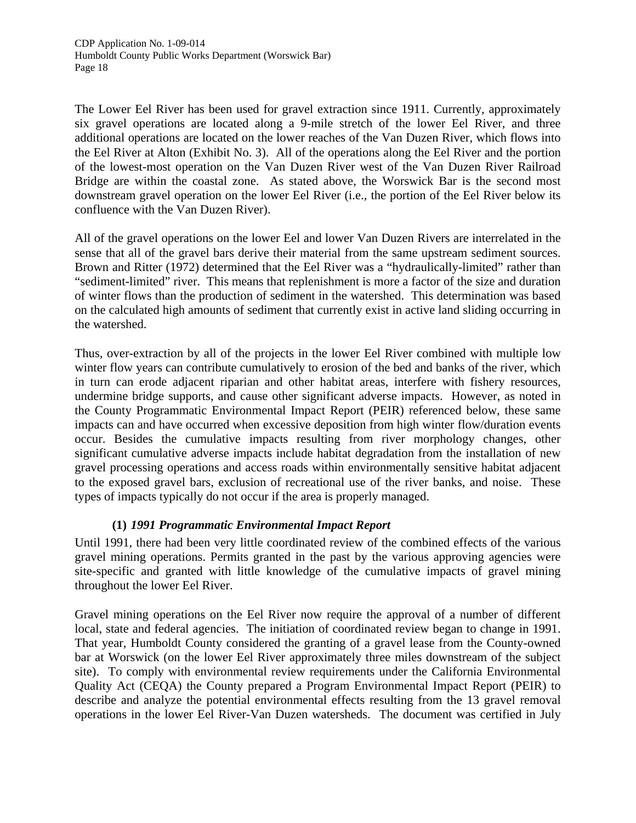The Lower Eel River has been used for gravel extraction since 1911. Currently, approximately six gravel operations are located along a 9-mile stretch of the lower Eel River, and three additional operations are located on the lower reaches of the Van Duzen River, which flows into the Eel River at Alton (Exhibit No. 3). All of the operations along the Eel River and the portion of the lowest-most operation on the Van Duzen River west of the Van Duzen River Railroad Bridge are within the coastal zone. As stated above, the Worswick Bar is the second most downstream gravel operation on the lower Eel River (i.e., the portion of the Eel River below its confluence with the Van Duzen River).

All of the gravel operations on the lower Eel and lower Van Duzen Rivers are interrelated in the sense that all of the gravel bars derive their material from the same upstream sediment sources. Brown and Ritter (1972) determined that the Eel River was a "hydraulically-limited" rather than "sediment-limited" river. This means that replenishment is more a factor of the size and duration of winter flows than the production of sediment in the watershed. This determination was based on the calculated high amounts of sediment that currently exist in active land sliding occurring in the watershed.

Thus, over-extraction by all of the projects in the lower Eel River combined with multiple low winter flow years can contribute cumulatively to erosion of the bed and banks of the river, which in turn can erode adjacent riparian and other habitat areas, interfere with fishery resources, undermine bridge supports, and cause other significant adverse impacts. However, as noted in the County Programmatic Environmental Impact Report (PEIR) referenced below, these same impacts can and have occurred when excessive deposition from high winter flow/duration events occur. Besides the cumulative impacts resulting from river morphology changes, other significant cumulative adverse impacts include habitat degradation from the installation of new gravel processing operations and access roads within environmentally sensitive habitat adjacent to the exposed gravel bars, exclusion of recreational use of the river banks, and noise. These types of impacts typically do not occur if the area is properly managed.

# **(1)** *1991 Programmatic Environmental Impact Report*

Until 1991, there had been very little coordinated review of the combined effects of the various gravel mining operations. Permits granted in the past by the various approving agencies were site-specific and granted with little knowledge of the cumulative impacts of gravel mining throughout the lower Eel River.

Gravel mining operations on the Eel River now require the approval of a number of different local, state and federal agencies. The initiation of coordinated review began to change in 1991. That year, Humboldt County considered the granting of a gravel lease from the County-owned bar at Worswick (on the lower Eel River approximately three miles downstream of the subject site). To comply with environmental review requirements under the California Environmental Quality Act (CEQA) the County prepared a Program Environmental Impact Report (PEIR) to describe and analyze the potential environmental effects resulting from the 13 gravel removal operations in the lower Eel River-Van Duzen watersheds. The document was certified in July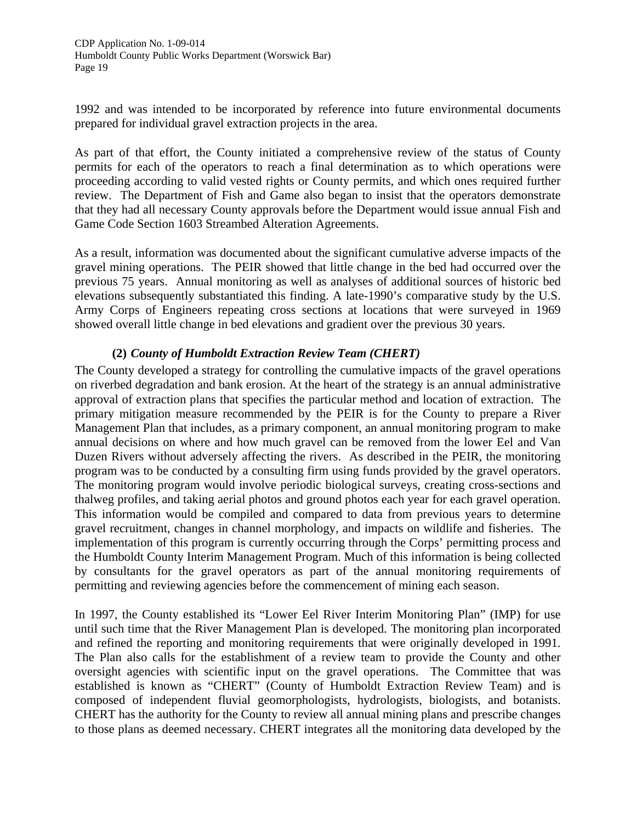1992 and was intended to be incorporated by reference into future environmental documents prepared for individual gravel extraction projects in the area.

As part of that effort, the County initiated a comprehensive review of the status of County permits for each of the operators to reach a final determination as to which operations were proceeding according to valid vested rights or County permits, and which ones required further review. The Department of Fish and Game also began to insist that the operators demonstrate that they had all necessary County approvals before the Department would issue annual Fish and Game Code Section 1603 Streambed Alteration Agreements.

As a result, information was documented about the significant cumulative adverse impacts of the gravel mining operations. The PEIR showed that little change in the bed had occurred over the previous 75 years. Annual monitoring as well as analyses of additional sources of historic bed elevations subsequently substantiated this finding. A late-1990's comparative study by the U.S. Army Corps of Engineers repeating cross sections at locations that were surveyed in 1969 showed overall little change in bed elevations and gradient over the previous 30 years.

# **(2)** *County of Humboldt Extraction Review Team (CHERT)*

The County developed a strategy for controlling the cumulative impacts of the gravel operations on riverbed degradation and bank erosion. At the heart of the strategy is an annual administrative approval of extraction plans that specifies the particular method and location of extraction. The primary mitigation measure recommended by the PEIR is for the County to prepare a River Management Plan that includes, as a primary component, an annual monitoring program to make annual decisions on where and how much gravel can be removed from the lower Eel and Van Duzen Rivers without adversely affecting the rivers. As described in the PEIR, the monitoring program was to be conducted by a consulting firm using funds provided by the gravel operators. The monitoring program would involve periodic biological surveys, creating cross-sections and thalweg profiles, and taking aerial photos and ground photos each year for each gravel operation. This information would be compiled and compared to data from previous years to determine gravel recruitment, changes in channel morphology, and impacts on wildlife and fisheries. The implementation of this program is currently occurring through the Corps' permitting process and the Humboldt County Interim Management Program. Much of this information is being collected by consultants for the gravel operators as part of the annual monitoring requirements of permitting and reviewing agencies before the commencement of mining each season.

In 1997, the County established its "Lower Eel River Interim Monitoring Plan" (IMP) for use until such time that the River Management Plan is developed. The monitoring plan incorporated and refined the reporting and monitoring requirements that were originally developed in 1991. The Plan also calls for the establishment of a review team to provide the County and other oversight agencies with scientific input on the gravel operations. The Committee that was established is known as "CHERT" (County of Humboldt Extraction Review Team) and is composed of independent fluvial geomorphologists, hydrologists, biologists, and botanists. CHERT has the authority for the County to review all annual mining plans and prescribe changes to those plans as deemed necessary. CHERT integrates all the monitoring data developed by the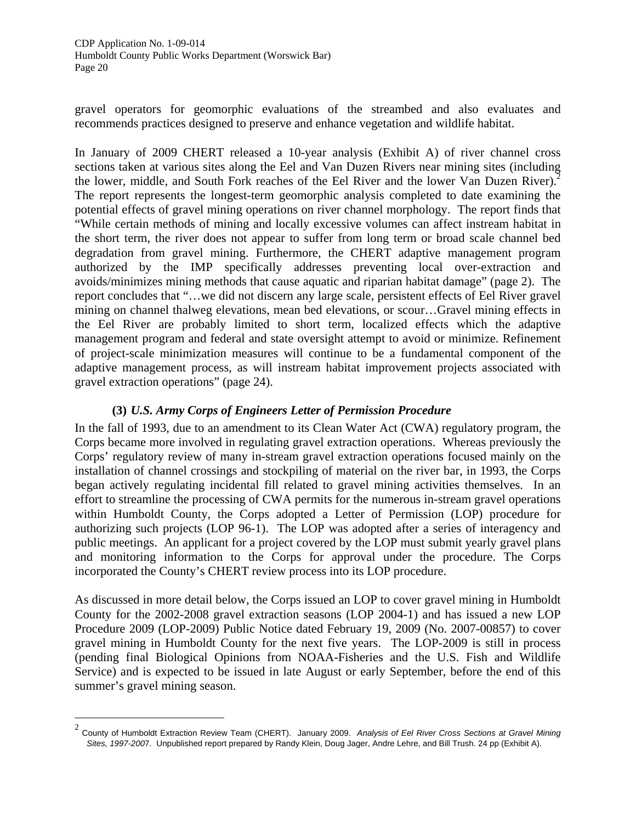gravel operators for geomorphic evaluations of the streambed and also evaluates and recommends practices designed to preserve and enhance vegetation and wildlife habitat.

In January of 2009 CHERT released a 10-year analysis (Exhibit A) of river channel cross sections taken at various sites along the Eel and Van Duzen Rivers near mining sites (including the lower, middle, and South Fork reaches of the Eel River and the lower Van Duzen River).<sup>2</sup> The report represents the longest-term geomorphic analysis completed to date examining the potential effects of gravel mining operations on river channel morphology. The report finds that "While certain methods of mining and locally excessive volumes can affect instream habitat in the short term, the river does not appear to suffer from long term or broad scale channel bed degradation from gravel mining. Furthermore, the CHERT adaptive management program authorized by the IMP specifically addresses preventing local over-extraction and avoids/minimizes mining methods that cause aquatic and riparian habitat damage" (page 2). The report concludes that "…we did not discern any large scale, persistent effects of Eel River gravel mining on channel thalweg elevations, mean bed elevations, or scour…Gravel mining effects in the Eel River are probably limited to short term, localized effects which the adaptive management program and federal and state oversight attempt to avoid or minimize. Refinement of project-scale minimization measures will continue to be a fundamental component of the adaptive management process, as will instream habitat improvement projects associated with gravel extraction operations" (page 24).

#### **(3)** *U.S. Army Corps of Engineers Letter of Permission Procedure*

In the fall of 1993, due to an amendment to its Clean Water Act (CWA) regulatory program, the Corps became more involved in regulating gravel extraction operations. Whereas previously the Corps' regulatory review of many in-stream gravel extraction operations focused mainly on the installation of channel crossings and stockpiling of material on the river bar, in 1993, the Corps began actively regulating incidental fill related to gravel mining activities themselves. In an effort to streamline the processing of CWA permits for the numerous in-stream gravel operations within Humboldt County, the Corps adopted a Letter of Permission (LOP) procedure for authorizing such projects (LOP 96-1). The LOP was adopted after a series of interagency and public meetings. An applicant for a project covered by the LOP must submit yearly gravel plans and monitoring information to the Corps for approval under the procedure. The Corps incorporated the County's CHERT review process into its LOP procedure.

As discussed in more detail below, the Corps issued an LOP to cover gravel mining in Humboldt County for the 2002-2008 gravel extraction seasons (LOP 2004-1) and has issued a new LOP Procedure 2009 (LOP-2009) Public Notice dated February 19, 2009 (No. 2007-00857) to cover gravel mining in Humboldt County for the next five years. The LOP-2009 is still in process (pending final Biological Opinions from NOAA-Fisheries and the U.S. Fish and Wildlife Service) and is expected to be issued in late August or early September, before the end of this summer's gravel mining season.

-

<span id="page-19-0"></span><sup>2</sup> County of Humboldt Extraction Review Team (CHERT). January 2009. *Analysis of Eel River Cross Sections at Gravel Mining Sites, 1997-200*7. Unpublished report prepared by Randy Klein, Doug Jager, Andre Lehre, and Bill Trush. 24 pp (Exhibit A).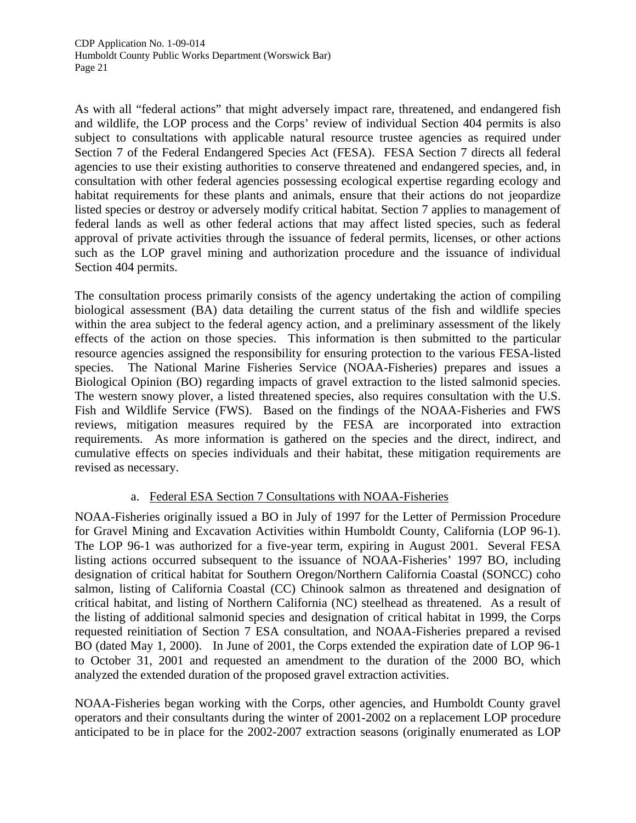As with all "federal actions" that might adversely impact rare, threatened, and endangered fish and wildlife, the LOP process and the Corps' review of individual Section 404 permits is also subject to consultations with applicable natural resource trustee agencies as required under Section 7 of the Federal Endangered Species Act (FESA). FESA Section 7 directs all federal agencies to use their existing authorities to conserve threatened and endangered species, and, in consultation with other federal agencies possessing ecological expertise regarding ecology and habitat requirements for these plants and animals, ensure that their actions do not jeopardize listed species or destroy or adversely modify critical habitat. Section 7 applies to management of federal lands as well as other federal actions that may affect listed species, such as federal approval of private activities through the issuance of federal permits, licenses, or other actions such as the LOP gravel mining and authorization procedure and the issuance of individual Section 404 permits.

The consultation process primarily consists of the agency undertaking the action of compiling biological assessment (BA) data detailing the current status of the fish and wildlife species within the area subject to the federal agency action, and a preliminary assessment of the likely effects of the action on those species. This information is then submitted to the particular resource agencies assigned the responsibility for ensuring protection to the various FESA-listed species. The National Marine Fisheries Service (NOAA-Fisheries) prepares and issues a Biological Opinion (BO) regarding impacts of gravel extraction to the listed salmonid species. The western snowy plover, a listed threatened species, also requires consultation with the U.S. Fish and Wildlife Service (FWS). Based on the findings of the NOAA-Fisheries and FWS reviews, mitigation measures required by the FESA are incorporated into extraction requirements. As more information is gathered on the species and the direct, indirect, and cumulative effects on species individuals and their habitat, these mitigation requirements are revised as necessary.

# a. Federal ESA Section 7 Consultations with NOAA-Fisheries

NOAA-Fisheries originally issued a BO in July of 1997 for the Letter of Permission Procedure for Gravel Mining and Excavation Activities within Humboldt County, California (LOP 96-1). The LOP 96-1 was authorized for a five-year term, expiring in August 2001. Several FESA listing actions occurred subsequent to the issuance of NOAA-Fisheries' 1997 BO, including designation of critical habitat for Southern Oregon/Northern California Coastal (SONCC) coho salmon, listing of California Coastal (CC) Chinook salmon as threatened and designation of critical habitat, and listing of Northern California (NC) steelhead as threatened. As a result of the listing of additional salmonid species and designation of critical habitat in 1999, the Corps requested reinitiation of Section 7 ESA consultation, and NOAA-Fisheries prepared a revised BO (dated May 1, 2000). In June of 2001, the Corps extended the expiration date of LOP 96-1 to October 31, 2001 and requested an amendment to the duration of the 2000 BO, which analyzed the extended duration of the proposed gravel extraction activities.

NOAA-Fisheries began working with the Corps, other agencies, and Humboldt County gravel operators and their consultants during the winter of 2001-2002 on a replacement LOP procedure anticipated to be in place for the 2002-2007 extraction seasons (originally enumerated as LOP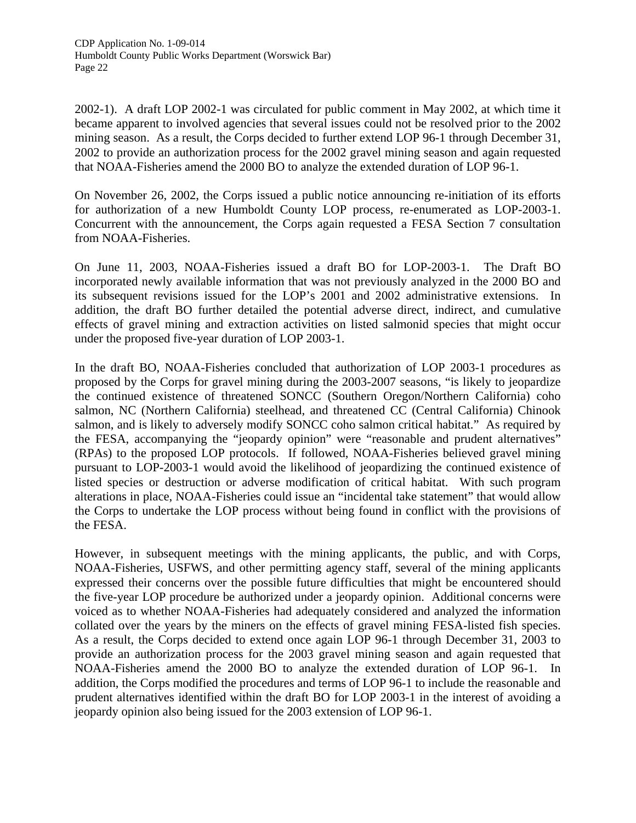2002-1). A draft LOP 2002-1 was circulated for public comment in May 2002, at which time it became apparent to involved agencies that several issues could not be resolved prior to the 2002 mining season. As a result, the Corps decided to further extend LOP 96-1 through December 31, 2002 to provide an authorization process for the 2002 gravel mining season and again requested that NOAA-Fisheries amend the 2000 BO to analyze the extended duration of LOP 96-1.

On November 26, 2002, the Corps issued a public notice announcing re-initiation of its efforts for authorization of a new Humboldt County LOP process, re-enumerated as LOP-2003-1. Concurrent with the announcement, the Corps again requested a FESA Section 7 consultation from NOAA-Fisheries.

On June 11, 2003, NOAA-Fisheries issued a draft BO for LOP-2003-1. The Draft BO incorporated newly available information that was not previously analyzed in the 2000 BO and its subsequent revisions issued for the LOP's 2001 and 2002 administrative extensions. In addition, the draft BO further detailed the potential adverse direct, indirect, and cumulative effects of gravel mining and extraction activities on listed salmonid species that might occur under the proposed five-year duration of LOP 2003-1.

In the draft BO, NOAA-Fisheries concluded that authorization of LOP 2003-1 procedures as proposed by the Corps for gravel mining during the 2003-2007 seasons, "is likely to jeopardize the continued existence of threatened SONCC (Southern Oregon/Northern California) coho salmon, NC (Northern California) steelhead, and threatened CC (Central California) Chinook salmon, and is likely to adversely modify SONCC coho salmon critical habitat." As required by the FESA, accompanying the "jeopardy opinion" were "reasonable and prudent alternatives" (RPAs) to the proposed LOP protocols. If followed, NOAA-Fisheries believed gravel mining pursuant to LOP-2003-1 would avoid the likelihood of jeopardizing the continued existence of listed species or destruction or adverse modification of critical habitat. With such program alterations in place, NOAA-Fisheries could issue an "incidental take statement" that would allow the Corps to undertake the LOP process without being found in conflict with the provisions of the FESA.

However, in subsequent meetings with the mining applicants, the public, and with Corps, NOAA-Fisheries, USFWS, and other permitting agency staff, several of the mining applicants expressed their concerns over the possible future difficulties that might be encountered should the five-year LOP procedure be authorized under a jeopardy opinion. Additional concerns were voiced as to whether NOAA-Fisheries had adequately considered and analyzed the information collated over the years by the miners on the effects of gravel mining FESA-listed fish species. As a result, the Corps decided to extend once again LOP 96-1 through December 31, 2003 to provide an authorization process for the 2003 gravel mining season and again requested that NOAA-Fisheries amend the 2000 BO to analyze the extended duration of LOP 96-1. In addition, the Corps modified the procedures and terms of LOP 96-1 to include the reasonable and prudent alternatives identified within the draft BO for LOP 2003-1 in the interest of avoiding a jeopardy opinion also being issued for the 2003 extension of LOP 96-1.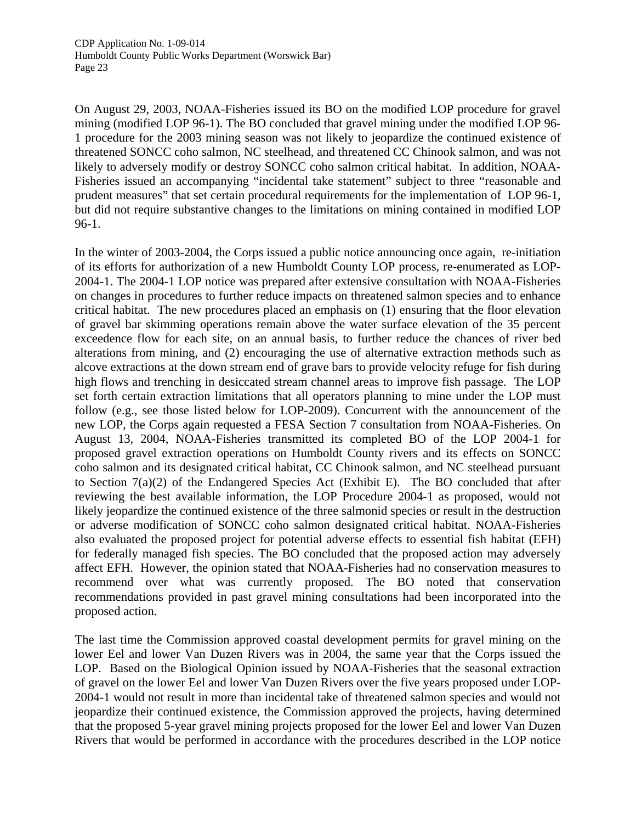On August 29, 2003, NOAA-Fisheries issued its BO on the modified LOP procedure for gravel mining (modified LOP 96-1). The BO concluded that gravel mining under the modified LOP 96- 1 procedure for the 2003 mining season was not likely to jeopardize the continued existence of threatened SONCC coho salmon, NC steelhead, and threatened CC Chinook salmon, and was not likely to adversely modify or destroy SONCC coho salmon critical habitat. In addition, NOAA-Fisheries issued an accompanying "incidental take statement" subject to three "reasonable and prudent measures" that set certain procedural requirements for the implementation of LOP 96-1, but did not require substantive changes to the limitations on mining contained in modified LOP 96-1.

In the winter of 2003-2004, the Corps issued a public notice announcing once again, re-initiation of its efforts for authorization of a new Humboldt County LOP process, re-enumerated as LOP-2004-1. The 2004-1 LOP notice was prepared after extensive consultation with NOAA-Fisheries on changes in procedures to further reduce impacts on threatened salmon species and to enhance critical habitat. The new procedures placed an emphasis on (1) ensuring that the floor elevation of gravel bar skimming operations remain above the water surface elevation of the 35 percent exceedence flow for each site, on an annual basis, to further reduce the chances of river bed alterations from mining, and (2) encouraging the use of alternative extraction methods such as alcove extractions at the down stream end of grave bars to provide velocity refuge for fish during high flows and trenching in desiccated stream channel areas to improve fish passage. The LOP set forth certain extraction limitations that all operators planning to mine under the LOP must follow (e.g., see those listed below for LOP-2009). Concurrent with the announcement of the new LOP, the Corps again requested a FESA Section 7 consultation from NOAA-Fisheries. On August 13, 2004, NOAA-Fisheries transmitted its completed BO of the LOP 2004-1 for proposed gravel extraction operations on Humboldt County rivers and its effects on SONCC coho salmon and its designated critical habitat, CC Chinook salmon, and NC steelhead pursuant to Section 7(a)(2) of the Endangered Species Act (Exhibit E). The BO concluded that after reviewing the best available information, the LOP Procedure 2004-1 as proposed, would not likely jeopardize the continued existence of the three salmonid species or result in the destruction or adverse modification of SONCC coho salmon designated critical habitat. NOAA-Fisheries also evaluated the proposed project for potential adverse effects to essential fish habitat (EFH) for federally managed fish species. The BO concluded that the proposed action may adversely affect EFH. However, the opinion stated that NOAA-Fisheries had no conservation measures to recommend over what was currently proposed. The BO noted that conservation recommendations provided in past gravel mining consultations had been incorporated into the proposed action.

The last time the Commission approved coastal development permits for gravel mining on the lower Eel and lower Van Duzen Rivers was in 2004, the same year that the Corps issued the LOP. Based on the Biological Opinion issued by NOAA-Fisheries that the seasonal extraction of gravel on the lower Eel and lower Van Duzen Rivers over the five years proposed under LOP-2004-1 would not result in more than incidental take of threatened salmon species and would not jeopardize their continued existence, the Commission approved the projects, having determined that the proposed 5-year gravel mining projects proposed for the lower Eel and lower Van Duzen Rivers that would be performed in accordance with the procedures described in the LOP notice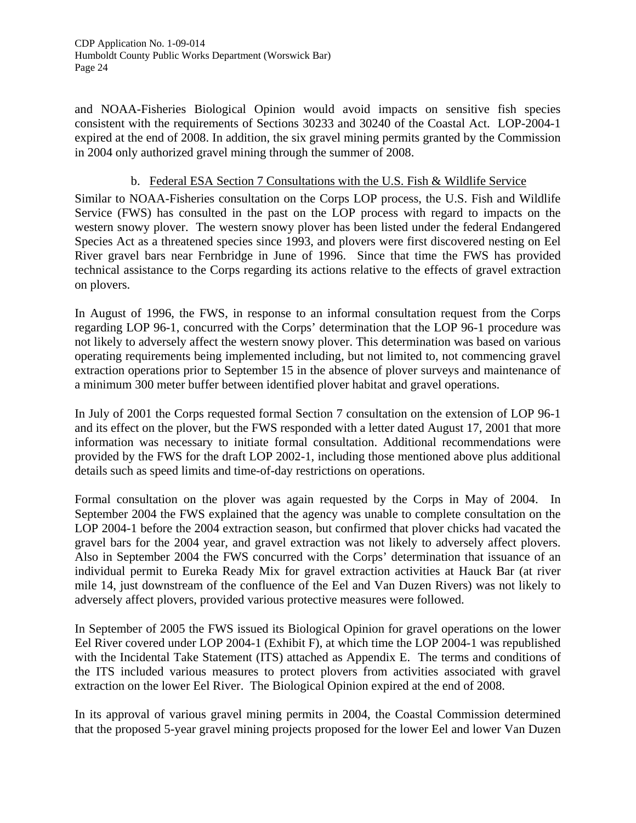and NOAA-Fisheries Biological Opinion would avoid impacts on sensitive fish species consistent with the requirements of Sections 30233 and 30240 of the Coastal Act. LOP-2004-1 expired at the end of 2008. In addition, the six gravel mining permits granted by the Commission in 2004 only authorized gravel mining through the summer of 2008.

#### b. Federal ESA Section 7 Consultations with the U.S. Fish & Wildlife Service

Similar to NOAA-Fisheries consultation on the Corps LOP process, the U.S. Fish and Wildlife Service (FWS) has consulted in the past on the LOP process with regard to impacts on the western snowy plover. The western snowy plover has been listed under the federal Endangered Species Act as a threatened species since 1993, and plovers were first discovered nesting on Eel River gravel bars near Fernbridge in June of 1996. Since that time the FWS has provided technical assistance to the Corps regarding its actions relative to the effects of gravel extraction on plovers.

In August of 1996, the FWS, in response to an informal consultation request from the Corps regarding LOP 96-1, concurred with the Corps' determination that the LOP 96-1 procedure was not likely to adversely affect the western snowy plover. This determination was based on various operating requirements being implemented including, but not limited to, not commencing gravel extraction operations prior to September 15 in the absence of plover surveys and maintenance of a minimum 300 meter buffer between identified plover habitat and gravel operations.

In July of 2001 the Corps requested formal Section 7 consultation on the extension of LOP 96-1 and its effect on the plover, but the FWS responded with a letter dated August 17, 2001 that more information was necessary to initiate formal consultation. Additional recommendations were provided by the FWS for the draft LOP 2002-1, including those mentioned above plus additional details such as speed limits and time-of-day restrictions on operations.

Formal consultation on the plover was again requested by the Corps in May of 2004. In September 2004 the FWS explained that the agency was unable to complete consultation on the LOP 2004-1 before the 2004 extraction season, but confirmed that plover chicks had vacated the gravel bars for the 2004 year, and gravel extraction was not likely to adversely affect plovers. Also in September 2004 the FWS concurred with the Corps' determination that issuance of an individual permit to Eureka Ready Mix for gravel extraction activities at Hauck Bar (at river mile 14, just downstream of the confluence of the Eel and Van Duzen Rivers) was not likely to adversely affect plovers, provided various protective measures were followed.

In September of 2005 the FWS issued its Biological Opinion for gravel operations on the lower Eel River covered under LOP 2004-1 (Exhibit F), at which time the LOP 2004-1 was republished with the Incidental Take Statement (ITS) attached as Appendix E. The terms and conditions of the ITS included various measures to protect plovers from activities associated with gravel extraction on the lower Eel River. The Biological Opinion expired at the end of 2008.

In its approval of various gravel mining permits in 2004, the Coastal Commission determined that the proposed 5-year gravel mining projects proposed for the lower Eel and lower Van Duzen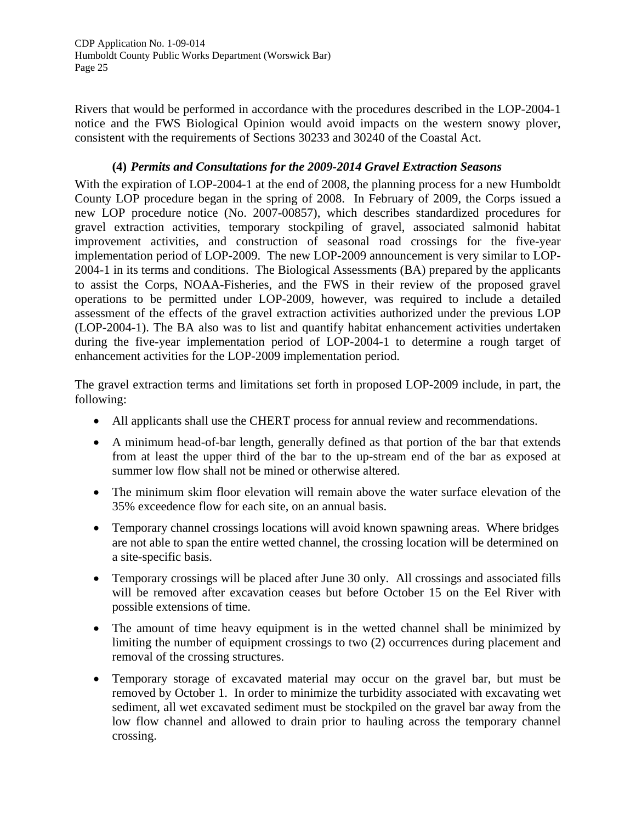Rivers that would be performed in accordance with the procedures described in the LOP-2004-1 notice and the FWS Biological Opinion would avoid impacts on the western snowy plover, consistent with the requirements of Sections 30233 and 30240 of the Coastal Act.

#### **(4)** *Permits and Consultations for the 2009-2014 Gravel Extraction Seasons*

With the expiration of LOP-2004-1 at the end of 2008, the planning process for a new Humboldt County LOP procedure began in the spring of 2008. In February of 2009, the Corps issued a new LOP procedure notice (No. 2007-00857), which describes standardized procedures for gravel extraction activities, temporary stockpiling of gravel, associated salmonid habitat improvement activities, and construction of seasonal road crossings for the five-year implementation period of LOP-2009. The new LOP-2009 announcement is very similar to LOP-2004-1 in its terms and conditions. The Biological Assessments (BA) prepared by the applicants to assist the Corps, NOAA-Fisheries, and the FWS in their review of the proposed gravel operations to be permitted under LOP-2009, however, was required to include a detailed assessment of the effects of the gravel extraction activities authorized under the previous LOP (LOP-2004-1). The BA also was to list and quantify habitat enhancement activities undertaken during the five-year implementation period of LOP-2004-1 to determine a rough target of enhancement activities for the LOP-2009 implementation period.

The gravel extraction terms and limitations set forth in proposed LOP-2009 include, in part, the following:

- All applicants shall use the CHERT process for annual review and recommendations.
- A minimum head-of-bar length, generally defined as that portion of the bar that extends from at least the upper third of the bar to the up-stream end of the bar as exposed at summer low flow shall not be mined or otherwise altered.
- The minimum skim floor elevation will remain above the water surface elevation of the 35% exceedence flow for each site, on an annual basis.
- Temporary channel crossings locations will avoid known spawning areas. Where bridges are not able to span the entire wetted channel, the crossing location will be determined on a site-specific basis.
- Temporary crossings will be placed after June 30 only. All crossings and associated fills will be removed after excavation ceases but before October 15 on the Eel River with possible extensions of time.
- The amount of time heavy equipment is in the wetted channel shall be minimized by limiting the number of equipment crossings to two (2) occurrences during placement and removal of the crossing structures.
- Temporary storage of excavated material may occur on the gravel bar, but must be removed by October 1. In order to minimize the turbidity associated with excavating wet sediment, all wet excavated sediment must be stockpiled on the gravel bar away from the low flow channel and allowed to drain prior to hauling across the temporary channel crossing.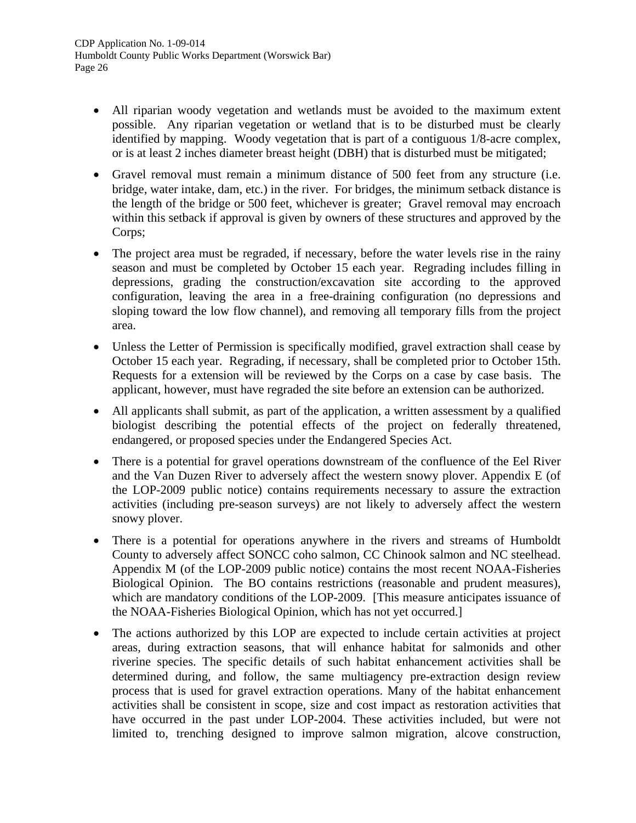- All riparian woody vegetation and wetlands must be avoided to the maximum extent possible. Any riparian vegetation or wetland that is to be disturbed must be clearly identified by mapping. Woody vegetation that is part of a contiguous 1/8-acre complex, or is at least 2 inches diameter breast height (DBH) that is disturbed must be mitigated;
- Gravel removal must remain a minimum distance of 500 feet from any structure (i.e. bridge, water intake, dam, etc.) in the river. For bridges, the minimum setback distance is the length of the bridge or 500 feet, whichever is greater; Gravel removal may encroach within this setback if approval is given by owners of these structures and approved by the Corps;
- The project area must be regraded, if necessary, before the water levels rise in the rainy season and must be completed by October 15 each year. Regrading includes filling in depressions, grading the construction/excavation site according to the approved configuration, leaving the area in a free-draining configuration (no depressions and sloping toward the low flow channel), and removing all temporary fills from the project area.
- Unless the Letter of Permission is specifically modified, gravel extraction shall cease by October 15 each year. Regrading, if necessary, shall be completed prior to October 15th. Requests for a extension will be reviewed by the Corps on a case by case basis. The applicant, however, must have regraded the site before an extension can be authorized.
- All applicants shall submit, as part of the application, a written assessment by a qualified biologist describing the potential effects of the project on federally threatened, endangered, or proposed species under the Endangered Species Act.
- There is a potential for gravel operations downstream of the confluence of the Eel River and the Van Duzen River to adversely affect the western snowy plover. Appendix E (of the LOP-2009 public notice) contains requirements necessary to assure the extraction activities (including pre-season surveys) are not likely to adversely affect the western snowy plover.
- There is a potential for operations anywhere in the rivers and streams of Humboldt County to adversely affect SONCC coho salmon, CC Chinook salmon and NC steelhead. Appendix M (of the LOP-2009 public notice) contains the most recent NOAA-Fisheries Biological Opinion. The BO contains restrictions (reasonable and prudent measures), which are mandatory conditions of the LOP-2009. [This measure anticipates issuance of the NOAA-Fisheries Biological Opinion, which has not yet occurred.]
- The actions authorized by this LOP are expected to include certain activities at project areas, during extraction seasons, that will enhance habitat for salmonids and other riverine species. The specific details of such habitat enhancement activities shall be determined during, and follow, the same multiagency pre-extraction design review process that is used for gravel extraction operations. Many of the habitat enhancement activities shall be consistent in scope, size and cost impact as restoration activities that have occurred in the past under LOP-2004. These activities included, but were not limited to, trenching designed to improve salmon migration, alcove construction,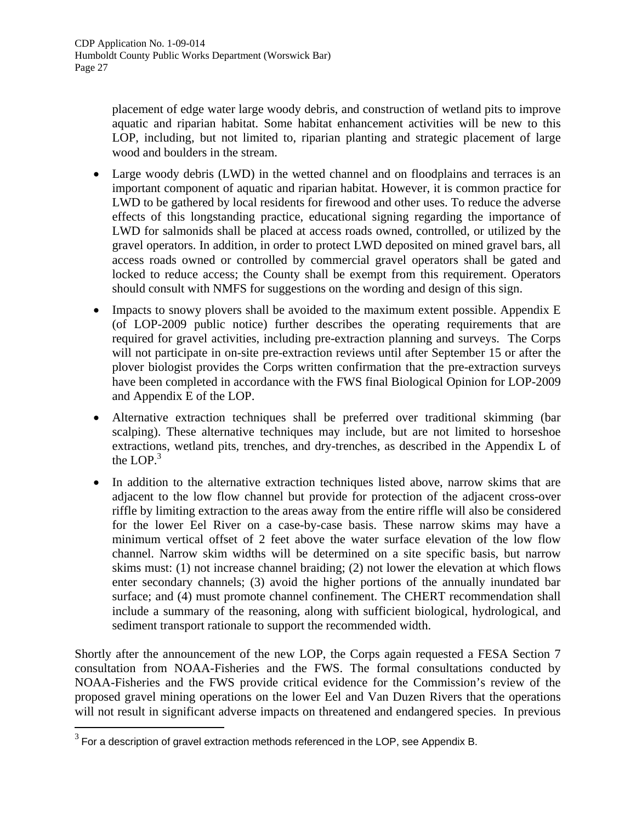placement of edge water large woody debris, and construction of wetland pits to improve aquatic and riparian habitat. Some habitat enhancement activities will be new to this LOP, including, but not limited to, riparian planting and strategic placement of large wood and boulders in the stream.

- Large woody debris (LWD) in the wetted channel and on floodplains and terraces is an important component of aquatic and riparian habitat. However, it is common practice for LWD to be gathered by local residents for firewood and other uses. To reduce the adverse effects of this longstanding practice, educational signing regarding the importance of LWD for salmonids shall be placed at access roads owned, controlled, or utilized by the gravel operators. In addition, in order to protect LWD deposited on mined gravel bars, all access roads owned or controlled by commercial gravel operators shall be gated and locked to reduce access; the County shall be exempt from this requirement. Operators should consult with NMFS for suggestions on the wording and design of this sign.
- Impacts to snowy plovers shall be avoided to the maximum extent possible. Appendix E (of LOP-2009 public notice) further describes the operating requirements that are required for gravel activities, including pre-extraction planning and surveys. The Corps will not participate in on-site pre-extraction reviews until after September 15 or after the plover biologist provides the Corps written confirmation that the pre-extraction surveys have been completed in accordance with the FWS final Biological Opinion for LOP-2009 and Appendix E of the LOP.
- Alternative extraction techniques shall be preferred over traditional skimming (bar scalping). These alternative techniques may include, but are not limited to horseshoe extractions, wetland pits, trenches, and dry-trenches, as described in the Appendix L of the LOP. $3$
- In addition to the alternative extraction techniques listed above, narrow skims that are adjacent to the low flow channel but provide for protection of the adjacent cross-over riffle by limiting extraction to the areas away from the entire riffle will also be considered for the lower Eel River on a case-by-case basis. These narrow skims may have a minimum vertical offset of 2 feet above the water surface elevation of the low flow channel. Narrow skim widths will be determined on a site specific basis, but narrow skims must: (1) not increase channel braiding; (2) not lower the elevation at which flows enter secondary channels; (3) avoid the higher portions of the annually inundated bar surface; and (4) must promote channel confinement. The CHERT recommendation shall include a summary of the reasoning, along with sufficient biological, hydrological, and sediment transport rationale to support the recommended width.

Shortly after the announcement of the new LOP, the Corps again requested a FESA Section 7 consultation from NOAA-Fisheries and the FWS. The formal consultations conducted by NOAA-Fisheries and the FWS provide critical evidence for the Commission's review of the proposed gravel mining operations on the lower Eel and Van Duzen Rivers that the operations will not result in significant adverse impacts on threatened and endangered species. In previous

-

<span id="page-26-0"></span> $3$  For a description of gravel extraction methods referenced in the LOP, see Appendix B.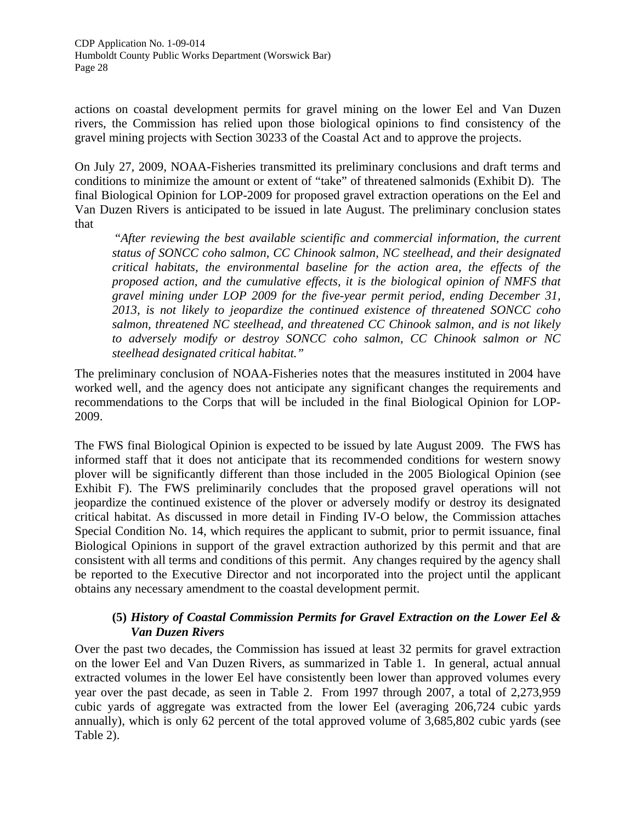actions on coastal development permits for gravel mining on the lower Eel and Van Duzen rivers, the Commission has relied upon those biological opinions to find consistency of the gravel mining projects with Section 30233 of the Coastal Act and to approve the projects.

On July 27, 2009, NOAA-Fisheries transmitted its preliminary conclusions and draft terms and conditions to minimize the amount or extent of "take" of threatened salmonids (Exhibit D). The final Biological Opinion for LOP-2009 for proposed gravel extraction operations on the Eel and Van Duzen Rivers is anticipated to be issued in late August. The preliminary conclusion states that

 "*After reviewing the best available scientific and commercial information, the current status of SONCC coho salmon, CC Chinook salmon, NC steelhead, and their designated critical habitats, the environmental baseline for the action area, the effects of the proposed action, and the cumulative effects, it is the biological opinion of NMFS that gravel mining under LOP 2009 for the five-year permit period, ending December 31, 2013, is not likely to jeopardize the continued existence of threatened SONCC coho salmon, threatened NC steelhead, and threatened CC Chinook salmon, and is not likely to adversely modify or destroy SONCC coho salmon, CC Chinook salmon or NC steelhead designated critical habitat."* 

The preliminary conclusion of NOAA-Fisheries notes that the measures instituted in 2004 have worked well, and the agency does not anticipate any significant changes the requirements and recommendations to the Corps that will be included in the final Biological Opinion for LOP-2009.

The FWS final Biological Opinion is expected to be issued by late August 2009. The FWS has informed staff that it does not anticipate that its recommended conditions for western snowy plover will be significantly different than those included in the 2005 Biological Opinion (see Exhibit F). The FWS preliminarily concludes that the proposed gravel operations will not jeopardize the continued existence of the plover or adversely modify or destroy its designated critical habitat. As discussed in more detail in Finding IV-O below, the Commission attaches Special Condition No. 14, which requires the applicant to submit, prior to permit issuance, final Biological Opinions in support of the gravel extraction authorized by this permit and that are consistent with all terms and conditions of this permit. Any changes required by the agency shall be reported to the Executive Director and not incorporated into the project until the applicant obtains any necessary amendment to the coastal development permit.

#### **(5)** *History of Coastal Commission Permits for Gravel Extraction on the Lower Eel & Van Duzen Rivers*

Over the past two decades, the Commission has issued at least 32 permits for gravel extraction on the lower Eel and Van Duzen Rivers, as summarized in Table 1. In general, actual annual extracted volumes in the lower Eel have consistently been lower than approved volumes every year over the past decade, as seen in Table 2. From 1997 through 2007, a total of 2,273,959 cubic yards of aggregate was extracted from the lower Eel (averaging 206,724 cubic yards annually), which is only 62 percent of the total approved volume of 3,685,802 cubic yards (see Table 2).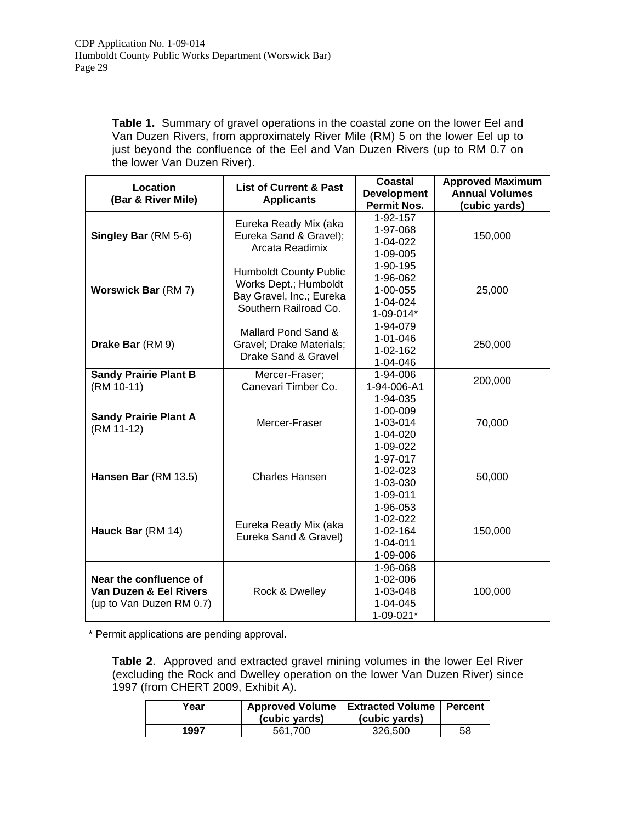**Table 1.** Summary of gravel operations in the coastal zone on the lower Eel and Van Duzen Rivers, from approximately River Mile (RM) 5 on the lower Eel up to just beyond the confluence of the Eel and Van Duzen Rivers (up to RM 0.7 on the lower Van Duzen River).

| Location<br>(Bar & River Mile)                                               | <b>List of Current &amp; Past</b><br><b>Applicants</b>                                                      |                                                                       | <b>Approved Maximum</b><br><b>Annual Volumes</b><br>(cubic yards) |
|------------------------------------------------------------------------------|-------------------------------------------------------------------------------------------------------------|-----------------------------------------------------------------------|-------------------------------------------------------------------|
| Singley Bar (RM 5-6)                                                         | Eureka Ready Mix (aka<br>Eureka Sand & Gravel);<br>Arcata Readimix                                          | <b>Permit Nos.</b><br>1-92-157<br>1-97-068<br>1-04-022<br>1-09-005    | 150,000                                                           |
| <b>Worswick Bar (RM 7)</b>                                                   | <b>Humboldt County Public</b><br>Works Dept.; Humboldt<br>Bay Gravel, Inc.; Eureka<br>Southern Railroad Co. | 1-90-195<br>1-96-062<br>1-00-055<br>1-04-024<br>1-09-014*             | 25,000                                                            |
| Drake Bar (RM 9)                                                             | Mallard Pond Sand &<br>Gravel; Drake Materials;<br>Drake Sand & Gravel                                      | 1-94-079<br>$1 - 01 - 046$<br>1-02-162<br>1-04-046                    | 250,000                                                           |
| <b>Sandy Prairie Plant B</b><br>(RM 10-11)                                   | Mercer-Fraser;<br>Canevari Timber Co.                                                                       | 1-94-006<br>1-94-006-A1                                               | 200,000                                                           |
| <b>Sandy Prairie Plant A</b><br>(RM 11-12)                                   | Mercer-Fraser                                                                                               | 1-94-035<br>1-00-009<br>1-03-014<br>1-04-020<br>1-09-022              | 70,000                                                            |
| Hansen Bar (RM 13.5)                                                         | <b>Charles Hansen</b>                                                                                       | 1-97-017<br>1-02-023<br>1-03-030<br>1-09-011                          | 50,000                                                            |
| Hauck Bar (RM 14)                                                            | Eureka Ready Mix (aka<br>Eureka Sand & Gravel)                                                              | 1-96-053<br>$1 - 02 - 022$<br>1-02-164<br>$1 - 04 - 011$<br>1-09-006  | 150,000                                                           |
| Near the confluence of<br>Van Duzen & Eel Rivers<br>(up to Van Duzen RM 0.7) | Rock & Dwelley                                                                                              | 1-96-068<br>$1 - 02 - 006$<br>1-03-048<br>$1 - 04 - 045$<br>1-09-021* | 100,000                                                           |

\* Permit applications are pending approval.

**Table 2**. Approved and extracted gravel mining volumes in the lower Eel River (excluding the Rock and Dwelley operation on the lower Van Duzen River) since 1997 (from CHERT 2009, Exhibit A).

| Year | <b>Approved Volume</b><br>(cubic yards) | <b>Extracted Volume   Percent</b><br>(cubic yards) |    |
|------|-----------------------------------------|----------------------------------------------------|----|
| 1997 | 561.700                                 | 326,500                                            | 58 |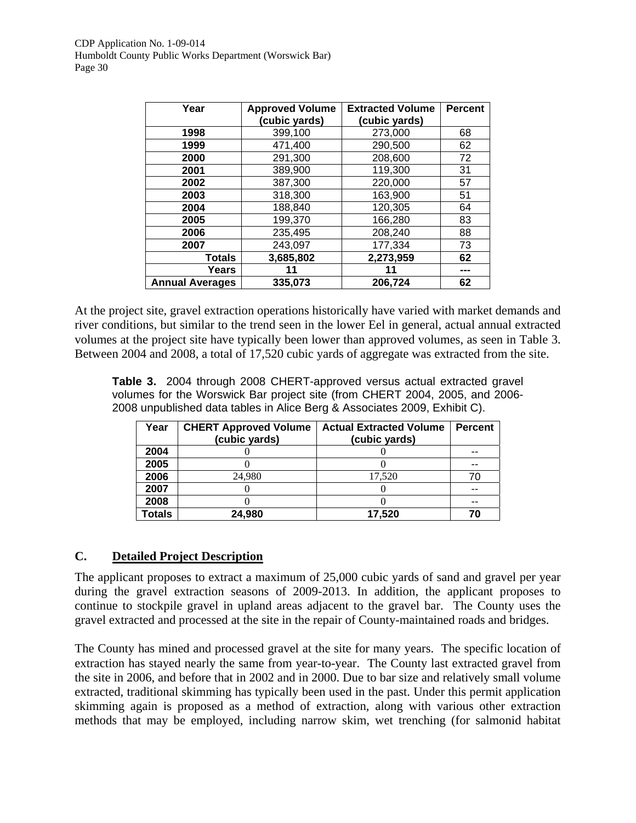| Year                   | <b>Approved Volume</b> | <b>Extracted Volume</b> | <b>Percent</b> |
|------------------------|------------------------|-------------------------|----------------|
|                        | (cubic yards)          | (cubic yards)           |                |
| 1998                   | 399,100                | 273,000                 | 68             |
| 1999                   | 471,400                | 290,500                 | 62             |
| 2000                   | 291,300                | 208,600                 | 72             |
| 2001                   | 389,900                | 119,300                 | 31             |
| 2002                   | 387,300                | 220,000                 | 57             |
| 2003                   | 318,300                | 163,900                 | 51             |
| 2004                   | 188,840                | 120,305                 | 64             |
| 2005                   | 199,370                | 166,280                 | 83             |
| 2006                   | 235,495                | 208,240                 | 88             |
| 2007                   | 243,097                | 177,334                 | 73             |
| <b>Totals</b>          | 3,685,802              | 2,273,959               | 62             |
| Years                  | 11                     | 11                      |                |
| <b>Annual Averages</b> | 335,073                | 206,724                 | 62             |

At the project site, gravel extraction operations historically have varied with market demands and river conditions, but similar to the trend seen in the lower Eel in general, actual annual extracted volumes at the project site have typically been lower than approved volumes, as seen in Table 3. Between 2004 and 2008, a total of 17,520 cubic yards of aggregate was extracted from the site.

**Table 3.** 2004 through 2008 CHERT-approved versus actual extracted gravel volumes for the Worswick Bar project site (from CHERT 2004, 2005, and 2006- 2008 unpublished data tables in Alice Berg & Associates 2009, Exhibit C).

| Year          | <b>CHERT Approved Volume</b> | <b>Actual Extracted Volume</b> | <b>Percent</b> |
|---------------|------------------------------|--------------------------------|----------------|
|               | (cubic yards)                | (cubic yards)                  |                |
| 2004          |                              |                                |                |
| 2005          |                              |                                |                |
| 2006          | 24.980                       | 17.520                         |                |
| 2007          |                              |                                |                |
| 2008          |                              |                                | --             |
| <b>Totals</b> | 24,980                       | 17,520                         | 70             |

# **C. Detailed Project Description**

The applicant proposes to extract a maximum of 25,000 cubic yards of sand and gravel per year during the gravel extraction seasons of 2009-2013. In addition, the applicant proposes to continue to stockpile gravel in upland areas adjacent to the gravel bar. The County uses the gravel extracted and processed at the site in the repair of County-maintained roads and bridges.

The County has mined and processed gravel at the site for many years. The specific location of extraction has stayed nearly the same from year-to-year. The County last extracted gravel from the site in 2006, and before that in 2002 and in 2000. Due to bar size and relatively small volume extracted, traditional skimming has typically been used in the past. Under this permit application skimming again is proposed as a method of extraction, along with various other extraction methods that may be employed, including narrow skim, wet trenching (for salmonid habitat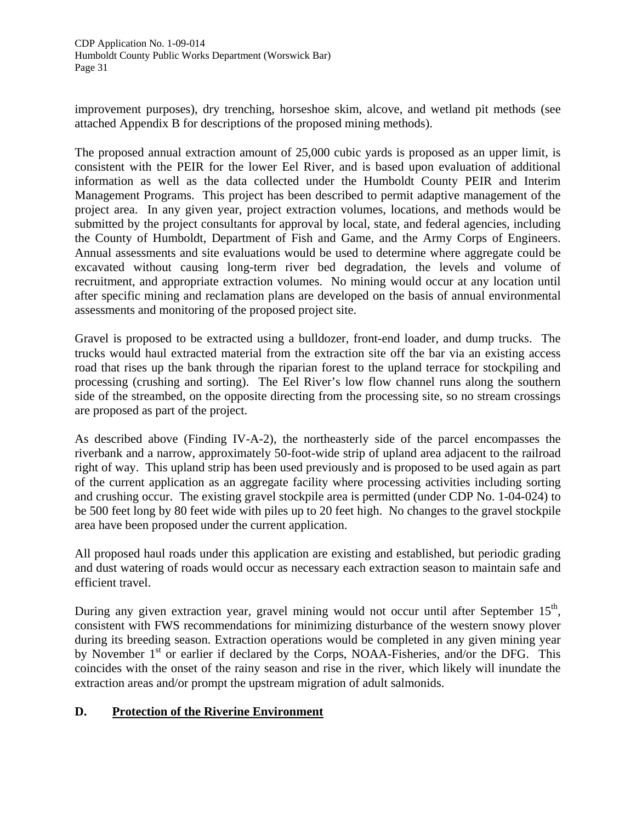improvement purposes), dry trenching, horseshoe skim, alcove, and wetland pit methods (see attached Appendix B for descriptions of the proposed mining methods).

The proposed annual extraction amount of 25,000 cubic yards is proposed as an upper limit, is consistent with the PEIR for the lower Eel River, and is based upon evaluation of additional information as well as the data collected under the Humboldt County PEIR and Interim Management Programs. This project has been described to permit adaptive management of the project area. In any given year, project extraction volumes, locations, and methods would be submitted by the project consultants for approval by local, state, and federal agencies, including the County of Humboldt, Department of Fish and Game, and the Army Corps of Engineers. Annual assessments and site evaluations would be used to determine where aggregate could be excavated without causing long-term river bed degradation, the levels and volume of recruitment, and appropriate extraction volumes. No mining would occur at any location until after specific mining and reclamation plans are developed on the basis of annual environmental assessments and monitoring of the proposed project site.

Gravel is proposed to be extracted using a bulldozer, front-end loader, and dump trucks. The trucks would haul extracted material from the extraction site off the bar via an existing access road that rises up the bank through the riparian forest to the upland terrace for stockpiling and processing (crushing and sorting). The Eel River's low flow channel runs along the southern side of the streambed, on the opposite directing from the processing site, so no stream crossings are proposed as part of the project.

As described above (Finding IV-A-2), the northeasterly side of the parcel encompasses the riverbank and a narrow, approximately 50-foot-wide strip of upland area adjacent to the railroad right of way. This upland strip has been used previously and is proposed to be used again as part of the current application as an aggregate facility where processing activities including sorting and crushing occur. The existing gravel stockpile area is permitted (under CDP No. 1-04-024) to be 500 feet long by 80 feet wide with piles up to 20 feet high. No changes to the gravel stockpile area have been proposed under the current application.

All proposed haul roads under this application are existing and established, but periodic grading and dust watering of roads would occur as necessary each extraction season to maintain safe and efficient travel.

During any given extraction year, gravel mining would not occur until after September 15<sup>th</sup>, consistent with FWS recommendations for minimizing disturbance of the western snowy plover during its breeding season. Extraction operations would be completed in any given mining year by November  $1<sup>st</sup>$  or earlier if declared by the Corps, NOAA-Fisheries, and/or the DFG. This coincides with the onset of the rainy season and rise in the river, which likely will inundate the extraction areas and/or prompt the upstream migration of adult salmonids.

# **D. Protection of the Riverine Environment**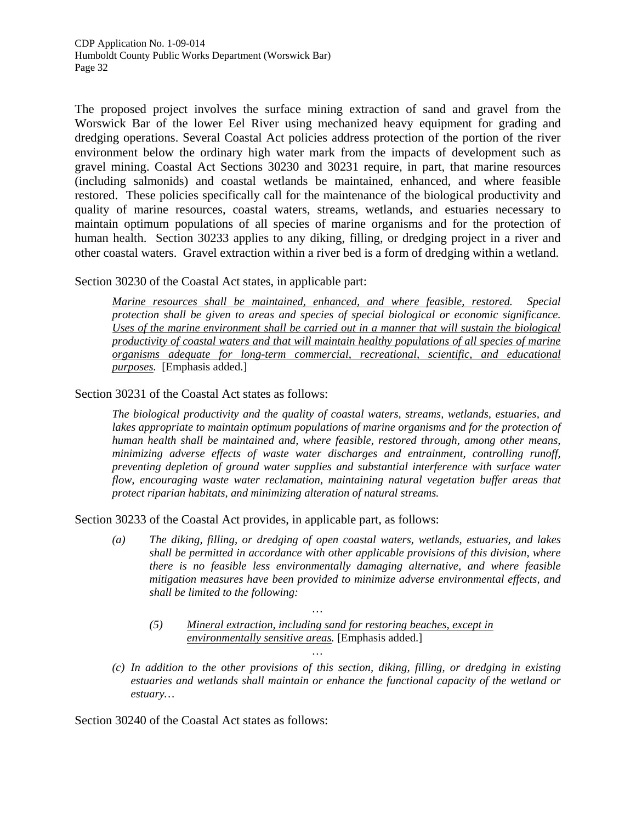The proposed project involves the surface mining extraction of sand and gravel from the Worswick Bar of the lower Eel River using mechanized heavy equipment for grading and dredging operations. Several Coastal Act policies address protection of the portion of the river environment below the ordinary high water mark from the impacts of development such as gravel mining. Coastal Act Sections 30230 and 30231 require, in part, that marine resources (including salmonids) and coastal wetlands be maintained, enhanced, and where feasible restored. These policies specifically call for the maintenance of the biological productivity and quality of marine resources, coastal waters, streams, wetlands, and estuaries necessary to maintain optimum populations of all species of marine organisms and for the protection of human health. Section 30233 applies to any diking, filling, or dredging project in a river and other coastal waters. Gravel extraction within a river bed is a form of dredging within a wetland.

Section 30230 of the Coastal Act states, in applicable part:

*Marine resources shall be maintained, enhanced, and where feasible, restored. Special protection shall be given to areas and species of special biological or economic significance. Uses of the marine environment shall be carried out in a manner that will sustain the biological productivity of coastal waters and that will maintain healthy populations of all species of marine organisms adequate for long-term commercial, recreational, scientific, and educational purposes.* [Emphasis added.]

Section 30231 of the Coastal Act states as follows:

*The biological productivity and the quality of coastal waters, streams, wetlands, estuaries, and*  lakes appropriate to maintain optimum populations of marine organisms and for the protection of *human health shall be maintained and, where feasible, restored through, among other means, minimizing adverse effects of waste water discharges and entrainment, controlling runoff, preventing depletion of ground water supplies and substantial interference with surface water flow, encouraging waste water reclamation, maintaining natural vegetation buffer areas that protect riparian habitats, and minimizing alteration of natural streams.* 

Section 30233 of the Coastal Act provides, in applicable part, as follows:

- *(a) The diking, filling, or dredging of open coastal waters, wetlands, estuaries, and lakes shall be permitted in accordance with other applicable provisions of this division, where there is no feasible less environmentally damaging alternative, and where feasible mitigation measures have been provided to minimize adverse environmental effects, and shall be limited to the following:* 
	- *(5) Mineral extraction, including sand for restoring beaches, except in environmentally sensitive areas.* [Emphasis added.]

*…* 

*…* 

*(c) In addition to the other provisions of this section, diking, filling, or dredging in existing estuaries and wetlands shall maintain or enhance the functional capacity of the wetland or estuary…* 

Section 30240 of the Coastal Act states as follows: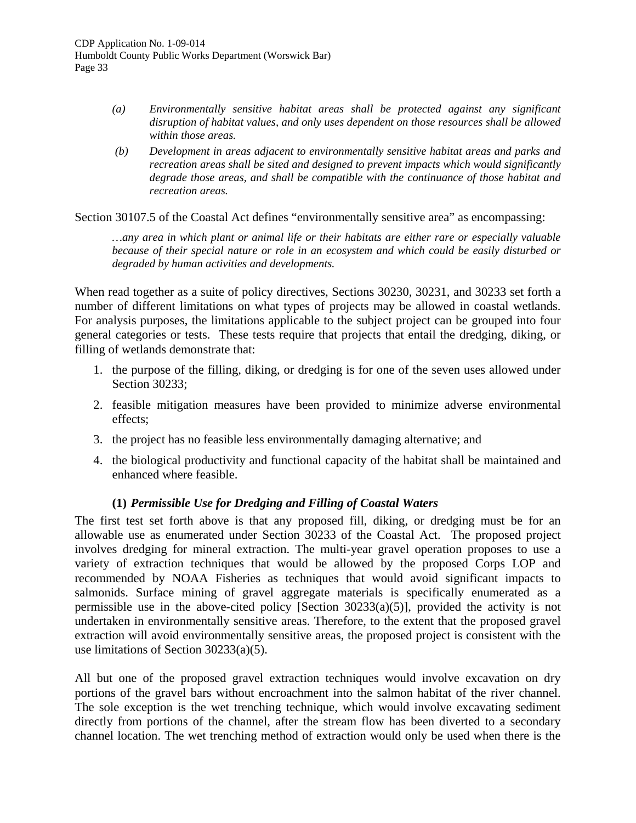- *(a) Environmentally sensitive habitat areas shall be protected against any significant disruption of habitat values, and only uses dependent on those resources shall be allowed within those areas.*
- *(b) Development in areas adjacent to environmentally sensitive habitat areas and parks and recreation areas shall be sited and designed to prevent impacts which would significantly degrade those areas, and shall be compatible with the continuance of those habitat and recreation areas.*

Section 30107.5 of the Coastal Act defines "environmentally sensitive area" as encompassing:

*…any area in which plant or animal life or their habitats are either rare or especially valuable because of their special nature or role in an ecosystem and which could be easily disturbed or degraded by human activities and developments.* 

When read together as a suite of policy directives, Sections 30230, 30231, and 30233 set forth a number of different limitations on what types of projects may be allowed in coastal wetlands. For analysis purposes, the limitations applicable to the subject project can be grouped into four general categories or tests. These tests require that projects that entail the dredging, diking, or filling of wetlands demonstrate that:

- 1. the purpose of the filling, diking, or dredging is for one of the seven uses allowed under Section 30233;
- 2. feasible mitigation measures have been provided to minimize adverse environmental effects;
- 3. the project has no feasible less environmentally damaging alternative; and
- 4. the biological productivity and functional capacity of the habitat shall be maintained and enhanced where feasible.

# **(1)** *Permissible Use for Dredging and Filling of Coastal Waters*

The first test set forth above is that any proposed fill, diking, or dredging must be for an allowable use as enumerated under Section 30233 of the Coastal Act. The proposed project involves dredging for mineral extraction. The multi-year gravel operation proposes to use a variety of extraction techniques that would be allowed by the proposed Corps LOP and recommended by NOAA Fisheries as techniques that would avoid significant impacts to salmonids. Surface mining of gravel aggregate materials is specifically enumerated as a permissible use in the above-cited policy [Section 30233(a)(5)], provided the activity is not undertaken in environmentally sensitive areas. Therefore, to the extent that the proposed gravel extraction will avoid environmentally sensitive areas, the proposed project is consistent with the use limitations of Section 30233(a)(5).

All but one of the proposed gravel extraction techniques would involve excavation on dry portions of the gravel bars without encroachment into the salmon habitat of the river channel. The sole exception is the wet trenching technique, which would involve excavating sediment directly from portions of the channel, after the stream flow has been diverted to a secondary channel location. The wet trenching method of extraction would only be used when there is the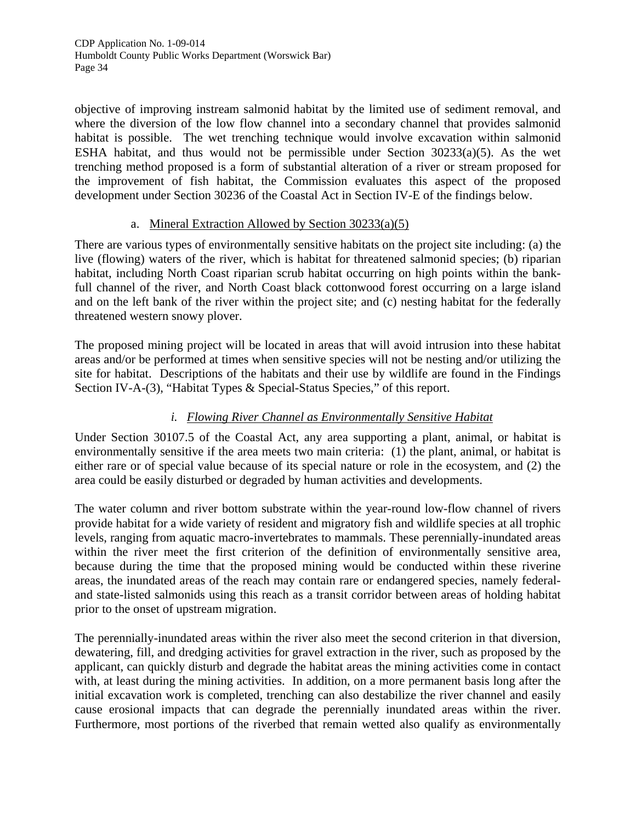objective of improving instream salmonid habitat by the limited use of sediment removal, and where the diversion of the low flow channel into a secondary channel that provides salmonid habitat is possible. The wet trenching technique would involve excavation within salmonid ESHA habitat, and thus would not be permissible under Section 30233(a)(5). As the wet trenching method proposed is a form of substantial alteration of a river or stream proposed for the improvement of fish habitat, the Commission evaluates this aspect of the proposed development under Section 30236 of the Coastal Act in Section IV-E of the findings below.

#### a. Mineral Extraction Allowed by Section 30233(a)(5)

There are various types of environmentally sensitive habitats on the project site including: (a) the live (flowing) waters of the river, which is habitat for threatened salmonid species; (b) riparian habitat, including North Coast riparian scrub habitat occurring on high points within the bankfull channel of the river, and North Coast black cottonwood forest occurring on a large island and on the left bank of the river within the project site; and (c) nesting habitat for the federally threatened western snowy plover.

The proposed mining project will be located in areas that will avoid intrusion into these habitat areas and/or be performed at times when sensitive species will not be nesting and/or utilizing the site for habitat. Descriptions of the habitats and their use by wildlife are found in the Findings Section IV-A-(3), "Habitat Types & Special-Status Species," of this report.

# *i. Flowing River Channel as Environmentally Sensitive Habitat*

Under Section 30107.5 of the Coastal Act, any area supporting a plant, animal, or habitat is environmentally sensitive if the area meets two main criteria: (1) the plant, animal, or habitat is either rare or of special value because of its special nature or role in the ecosystem, and (2) the area could be easily disturbed or degraded by human activities and developments.

The water column and river bottom substrate within the year-round low-flow channel of rivers provide habitat for a wide variety of resident and migratory fish and wildlife species at all trophic levels, ranging from aquatic macro-invertebrates to mammals. These perennially-inundated areas within the river meet the first criterion of the definition of environmentally sensitive area, because during the time that the proposed mining would be conducted within these riverine areas, the inundated areas of the reach may contain rare or endangered species, namely federaland state-listed salmonids using this reach as a transit corridor between areas of holding habitat prior to the onset of upstream migration.

The perennially-inundated areas within the river also meet the second criterion in that diversion, dewatering, fill, and dredging activities for gravel extraction in the river, such as proposed by the applicant, can quickly disturb and degrade the habitat areas the mining activities come in contact with, at least during the mining activities. In addition, on a more permanent basis long after the initial excavation work is completed, trenching can also destabilize the river channel and easily cause erosional impacts that can degrade the perennially inundated areas within the river. Furthermore, most portions of the riverbed that remain wetted also qualify as environmentally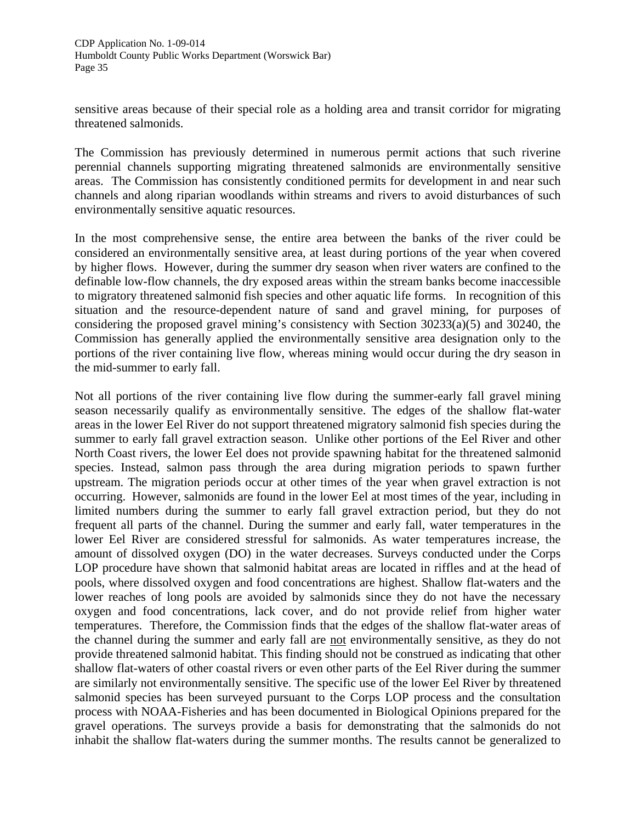sensitive areas because of their special role as a holding area and transit corridor for migrating threatened salmonids.

The Commission has previously determined in numerous permit actions that such riverine perennial channels supporting migrating threatened salmonids are environmentally sensitive areas. The Commission has consistently conditioned permits for development in and near such channels and along riparian woodlands within streams and rivers to avoid disturbances of such environmentally sensitive aquatic resources.

In the most comprehensive sense, the entire area between the banks of the river could be considered an environmentally sensitive area, at least during portions of the year when covered by higher flows. However, during the summer dry season when river waters are confined to the definable low-flow channels, the dry exposed areas within the stream banks become inaccessible to migratory threatened salmonid fish species and other aquatic life forms. In recognition of this situation and the resource-dependent nature of sand and gravel mining, for purposes of considering the proposed gravel mining's consistency with Section 30233(a)(5) and 30240, the Commission has generally applied the environmentally sensitive area designation only to the portions of the river containing live flow, whereas mining would occur during the dry season in the mid-summer to early fall.

Not all portions of the river containing live flow during the summer-early fall gravel mining season necessarily qualify as environmentally sensitive. The edges of the shallow flat-water areas in the lower Eel River do not support threatened migratory salmonid fish species during the summer to early fall gravel extraction season. Unlike other portions of the Eel River and other North Coast rivers, the lower Eel does not provide spawning habitat for the threatened salmonid species. Instead, salmon pass through the area during migration periods to spawn further upstream. The migration periods occur at other times of the year when gravel extraction is not occurring. However, salmonids are found in the lower Eel at most times of the year, including in limited numbers during the summer to early fall gravel extraction period, but they do not frequent all parts of the channel. During the summer and early fall, water temperatures in the lower Eel River are considered stressful for salmonids. As water temperatures increase, the amount of dissolved oxygen (DO) in the water decreases. Surveys conducted under the Corps LOP procedure have shown that salmonid habitat areas are located in riffles and at the head of pools, where dissolved oxygen and food concentrations are highest. Shallow flat-waters and the lower reaches of long pools are avoided by salmonids since they do not have the necessary oxygen and food concentrations, lack cover, and do not provide relief from higher water temperatures. Therefore, the Commission finds that the edges of the shallow flat-water areas of the channel during the summer and early fall are not environmentally sensitive, as they do not provide threatened salmonid habitat. This finding should not be construed as indicating that other shallow flat-waters of other coastal rivers or even other parts of the Eel River during the summer are similarly not environmentally sensitive. The specific use of the lower Eel River by threatened salmonid species has been surveyed pursuant to the Corps LOP process and the consultation process with NOAA-Fisheries and has been documented in Biological Opinions prepared for the gravel operations. The surveys provide a basis for demonstrating that the salmonids do not inhabit the shallow flat-waters during the summer months. The results cannot be generalized to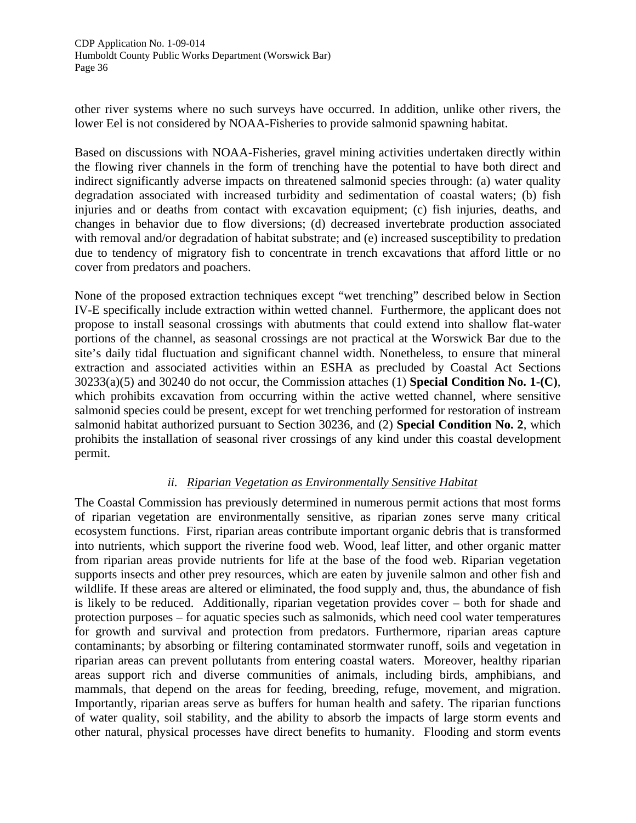other river systems where no such surveys have occurred. In addition, unlike other rivers, the lower Eel is not considered by NOAA-Fisheries to provide salmonid spawning habitat.

Based on discussions with NOAA-Fisheries, gravel mining activities undertaken directly within the flowing river channels in the form of trenching have the potential to have both direct and indirect significantly adverse impacts on threatened salmonid species through: (a) water quality degradation associated with increased turbidity and sedimentation of coastal waters; (b) fish injuries and or deaths from contact with excavation equipment; (c) fish injuries, deaths, and changes in behavior due to flow diversions; (d) decreased invertebrate production associated with removal and/or degradation of habitat substrate; and (e) increased susceptibility to predation due to tendency of migratory fish to concentrate in trench excavations that afford little or no cover from predators and poachers.

None of the proposed extraction techniques except "wet trenching" described below in Section IV-E specifically include extraction within wetted channel. Furthermore, the applicant does not propose to install seasonal crossings with abutments that could extend into shallow flat-water portions of the channel, as seasonal crossings are not practical at the Worswick Bar due to the site's daily tidal fluctuation and significant channel width. Nonetheless, to ensure that mineral extraction and associated activities within an ESHA as precluded by Coastal Act Sections 30233(a)(5) and 30240 do not occur, the Commission attaches (1) **Special Condition No. 1-(C)**, which prohibits excavation from occurring within the active wetted channel, where sensitive salmonid species could be present, except for wet trenching performed for restoration of instream salmonid habitat authorized pursuant to Section 30236, and (2) **Special Condition No. 2**, which prohibits the installation of seasonal river crossings of any kind under this coastal development permit.

#### *ii. Riparian Vegetation as Environmentally Sensitive Habitat*

The Coastal Commission has previously determined in numerous permit actions that most forms of riparian vegetation are environmentally sensitive, as riparian zones serve many critical ecosystem functions. First, riparian areas contribute important organic debris that is transformed into nutrients, which support the riverine food web. Wood, leaf litter, and other organic matter from riparian areas provide nutrients for life at the base of the food web. Riparian vegetation supports insects and other prey resources, which are eaten by juvenile salmon and other fish and wildlife. If these areas are altered or eliminated, the food supply and, thus, the abundance of fish is likely to be reduced. Additionally, riparian vegetation provides cover – both for shade and protection purposes – for aquatic species such as salmonids, which need cool water temperatures for growth and survival and protection from predators. Furthermore, riparian areas capture contaminants; by absorbing or filtering contaminated stormwater runoff, soils and vegetation in riparian areas can prevent pollutants from entering coastal waters. Moreover, healthy riparian areas support rich and diverse communities of animals, including birds, amphibians, and mammals, that depend on the areas for feeding, breeding, refuge, movement, and migration. Importantly, riparian areas serve as buffers for human health and safety. The riparian functions of water quality, soil stability, and the ability to absorb the impacts of large storm events and other natural, physical processes have direct benefits to humanity. Flooding and storm events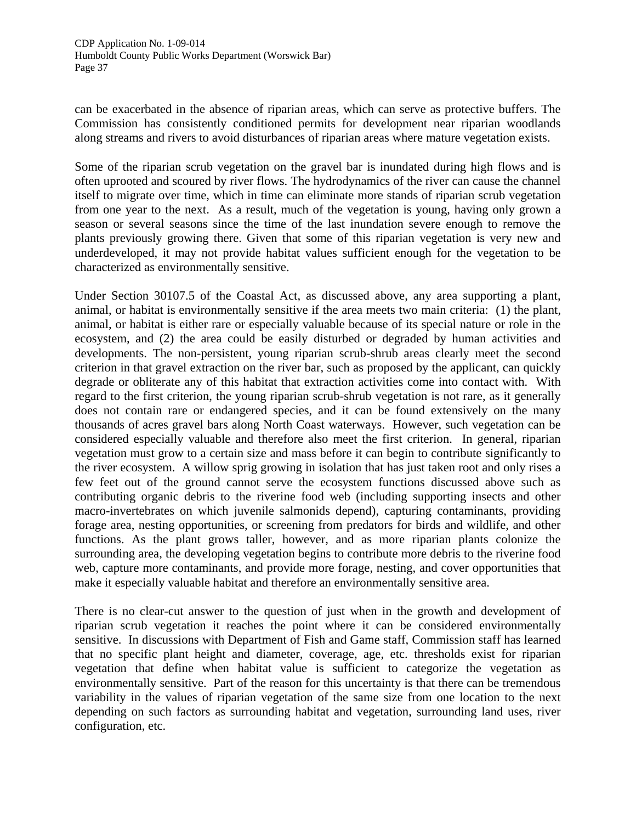can be exacerbated in the absence of riparian areas, which can serve as protective buffers. The Commission has consistently conditioned permits for development near riparian woodlands along streams and rivers to avoid disturbances of riparian areas where mature vegetation exists.

Some of the riparian scrub vegetation on the gravel bar is inundated during high flows and is often uprooted and scoured by river flows. The hydrodynamics of the river can cause the channel itself to migrate over time, which in time can eliminate more stands of riparian scrub vegetation from one year to the next. As a result, much of the vegetation is young, having only grown a season or several seasons since the time of the last inundation severe enough to remove the plants previously growing there. Given that some of this riparian vegetation is very new and underdeveloped, it may not provide habitat values sufficient enough for the vegetation to be characterized as environmentally sensitive.

Under Section 30107.5 of the Coastal Act, as discussed above, any area supporting a plant, animal, or habitat is environmentally sensitive if the area meets two main criteria: (1) the plant, animal, or habitat is either rare or especially valuable because of its special nature or role in the ecosystem, and (2) the area could be easily disturbed or degraded by human activities and developments. The non-persistent, young riparian scrub-shrub areas clearly meet the second criterion in that gravel extraction on the river bar, such as proposed by the applicant, can quickly degrade or obliterate any of this habitat that extraction activities come into contact with. With regard to the first criterion, the young riparian scrub-shrub vegetation is not rare, as it generally does not contain rare or endangered species, and it can be found extensively on the many thousands of acres gravel bars along North Coast waterways. However, such vegetation can be considered especially valuable and therefore also meet the first criterion. In general, riparian vegetation must grow to a certain size and mass before it can begin to contribute significantly to the river ecosystem. A willow sprig growing in isolation that has just taken root and only rises a few feet out of the ground cannot serve the ecosystem functions discussed above such as contributing organic debris to the riverine food web (including supporting insects and other macro-invertebrates on which juvenile salmonids depend), capturing contaminants, providing forage area, nesting opportunities, or screening from predators for birds and wildlife, and other functions. As the plant grows taller, however, and as more riparian plants colonize the surrounding area, the developing vegetation begins to contribute more debris to the riverine food web, capture more contaminants, and provide more forage, nesting, and cover opportunities that make it especially valuable habitat and therefore an environmentally sensitive area.

There is no clear-cut answer to the question of just when in the growth and development of riparian scrub vegetation it reaches the point where it can be considered environmentally sensitive. In discussions with Department of Fish and Game staff, Commission staff has learned that no specific plant height and diameter, coverage, age, etc. thresholds exist for riparian vegetation that define when habitat value is sufficient to categorize the vegetation as environmentally sensitive. Part of the reason for this uncertainty is that there can be tremendous variability in the values of riparian vegetation of the same size from one location to the next depending on such factors as surrounding habitat and vegetation, surrounding land uses, river configuration, etc.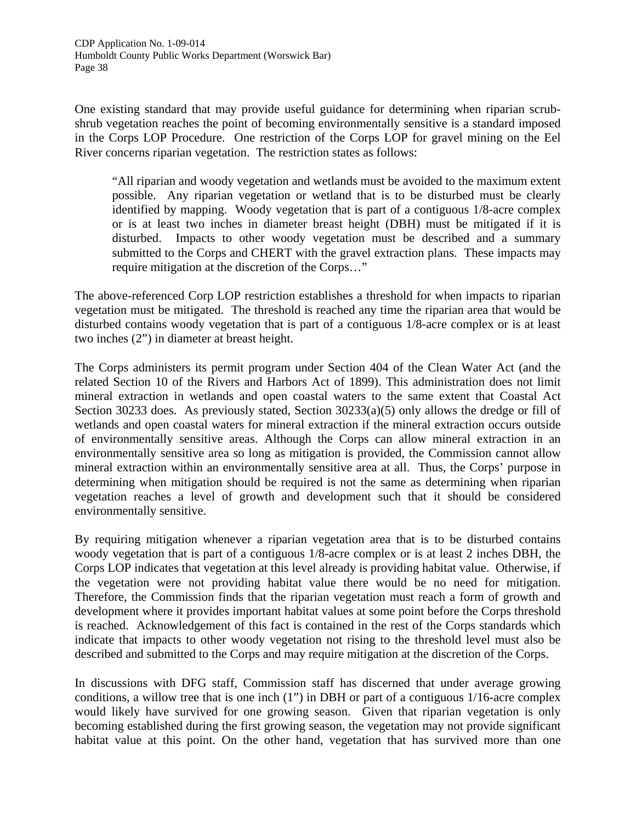One existing standard that may provide useful guidance for determining when riparian scrubshrub vegetation reaches the point of becoming environmentally sensitive is a standard imposed in the Corps LOP Procedure. One restriction of the Corps LOP for gravel mining on the Eel River concerns riparian vegetation. The restriction states as follows:

"All riparian and woody vegetation and wetlands must be avoided to the maximum extent possible. Any riparian vegetation or wetland that is to be disturbed must be clearly identified by mapping. Woody vegetation that is part of a contiguous 1/8-acre complex or is at least two inches in diameter breast height (DBH) must be mitigated if it is disturbed. Impacts to other woody vegetation must be described and a summary submitted to the Corps and CHERT with the gravel extraction plans. These impacts may require mitigation at the discretion of the Corps…"

The above-referenced Corp LOP restriction establishes a threshold for when impacts to riparian vegetation must be mitigated. The threshold is reached any time the riparian area that would be disturbed contains woody vegetation that is part of a contiguous 1/8-acre complex or is at least two inches (2") in diameter at breast height.

The Corps administers its permit program under Section 404 of the Clean Water Act (and the related Section 10 of the Rivers and Harbors Act of 1899). This administration does not limit mineral extraction in wetlands and open coastal waters to the same extent that Coastal Act Section 30233 does. As previously stated, Section 30233(a)(5) only allows the dredge or fill of wetlands and open coastal waters for mineral extraction if the mineral extraction occurs outside of environmentally sensitive areas. Although the Corps can allow mineral extraction in an environmentally sensitive area so long as mitigation is provided, the Commission cannot allow mineral extraction within an environmentally sensitive area at all. Thus, the Corps' purpose in determining when mitigation should be required is not the same as determining when riparian vegetation reaches a level of growth and development such that it should be considered environmentally sensitive.

By requiring mitigation whenever a riparian vegetation area that is to be disturbed contains woody vegetation that is part of a contiguous 1/8-acre complex or is at least 2 inches DBH, the Corps LOP indicates that vegetation at this level already is providing habitat value. Otherwise, if the vegetation were not providing habitat value there would be no need for mitigation. Therefore, the Commission finds that the riparian vegetation must reach a form of growth and development where it provides important habitat values at some point before the Corps threshold is reached. Acknowledgement of this fact is contained in the rest of the Corps standards which indicate that impacts to other woody vegetation not rising to the threshold level must also be described and submitted to the Corps and may require mitigation at the discretion of the Corps.

In discussions with DFG staff, Commission staff has discerned that under average growing conditions, a willow tree that is one inch (1") in DBH or part of a contiguous 1/16-acre complex would likely have survived for one growing season. Given that riparian vegetation is only becoming established during the first growing season, the vegetation may not provide significant habitat value at this point. On the other hand, vegetation that has survived more than one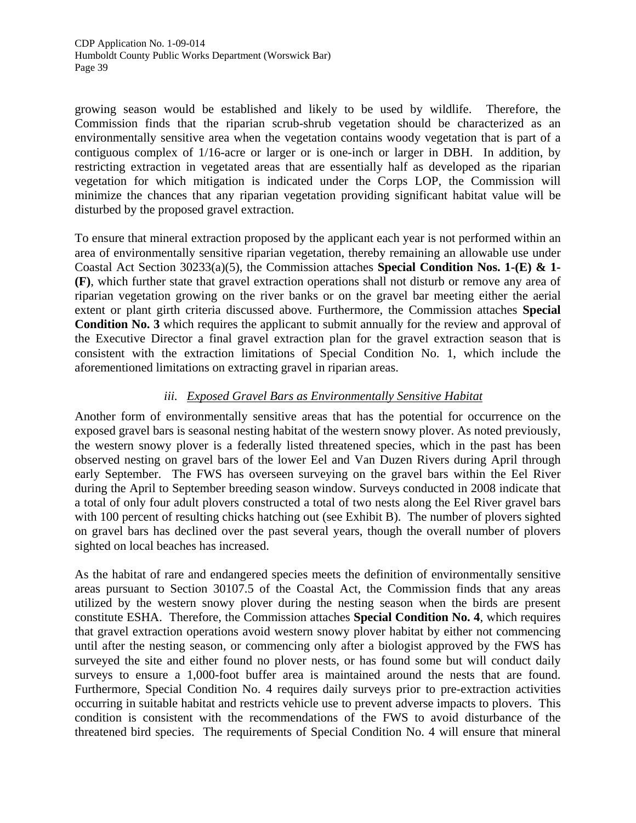growing season would be established and likely to be used by wildlife. Therefore, the Commission finds that the riparian scrub-shrub vegetation should be characterized as an environmentally sensitive area when the vegetation contains woody vegetation that is part of a contiguous complex of 1/16-acre or larger or is one-inch or larger in DBH. In addition, by restricting extraction in vegetated areas that are essentially half as developed as the riparian vegetation for which mitigation is indicated under the Corps LOP, the Commission will minimize the chances that any riparian vegetation providing significant habitat value will be disturbed by the proposed gravel extraction.

To ensure that mineral extraction proposed by the applicant each year is not performed within an area of environmentally sensitive riparian vegetation, thereby remaining an allowable use under Coastal Act Section 30233(a)(5), the Commission attaches **Special Condition Nos. 1-(E) & 1- (F)**, which further state that gravel extraction operations shall not disturb or remove any area of riparian vegetation growing on the river banks or on the gravel bar meeting either the aerial extent or plant girth criteria discussed above. Furthermore, the Commission attaches **Special Condition No. 3** which requires the applicant to submit annually for the review and approval of the Executive Director a final gravel extraction plan for the gravel extraction season that is consistent with the extraction limitations of Special Condition No. 1, which include the aforementioned limitations on extracting gravel in riparian areas.

# *iii. Exposed Gravel Bars as Environmentally Sensitive Habitat*

Another form of environmentally sensitive areas that has the potential for occurrence on the exposed gravel bars is seasonal nesting habitat of the western snowy plover. As noted previously, the western snowy plover is a federally listed threatened species, which in the past has been observed nesting on gravel bars of the lower Eel and Van Duzen Rivers during April through early September. The FWS has overseen surveying on the gravel bars within the Eel River during the April to September breeding season window. Surveys conducted in 2008 indicate that a total of only four adult plovers constructed a total of two nests along the Eel River gravel bars with 100 percent of resulting chicks hatching out (see Exhibit B). The number of plovers sighted on gravel bars has declined over the past several years, though the overall number of plovers sighted on local beaches has increased.

As the habitat of rare and endangered species meets the definition of environmentally sensitive areas pursuant to Section 30107.5 of the Coastal Act, the Commission finds that any areas utilized by the western snowy plover during the nesting season when the birds are present constitute ESHA. Therefore, the Commission attaches **Special Condition No. 4**, which requires that gravel extraction operations avoid western snowy plover habitat by either not commencing until after the nesting season, or commencing only after a biologist approved by the FWS has surveyed the site and either found no plover nests, or has found some but will conduct daily surveys to ensure a 1,000-foot buffer area is maintained around the nests that are found. Furthermore, Special Condition No. 4 requires daily surveys prior to pre-extraction activities occurring in suitable habitat and restricts vehicle use to prevent adverse impacts to plovers. This condition is consistent with the recommendations of the FWS to avoid disturbance of the threatened bird species. The requirements of Special Condition No. 4 will ensure that mineral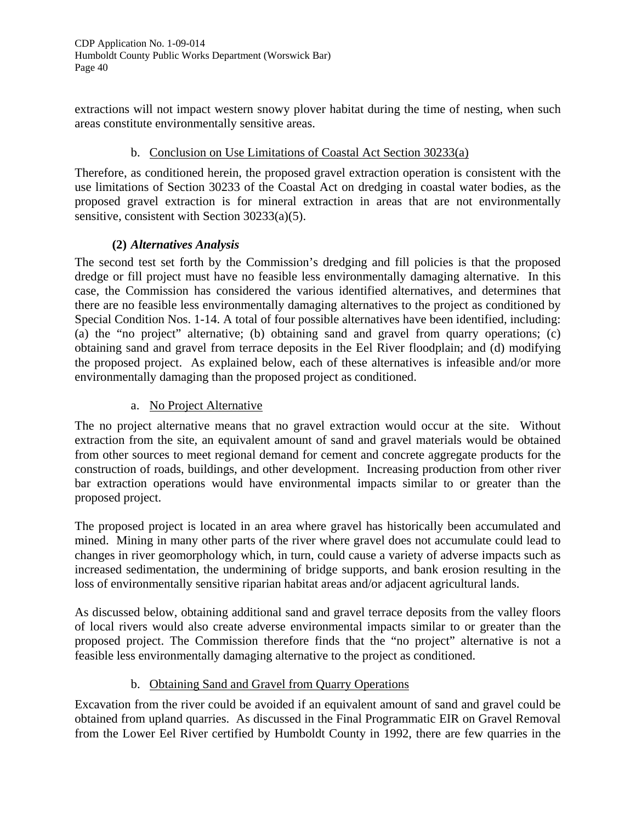extractions will not impact western snowy plover habitat during the time of nesting, when such areas constitute environmentally sensitive areas.

# b. Conclusion on Use Limitations of Coastal Act Section 30233(a)

Therefore, as conditioned herein, the proposed gravel extraction operation is consistent with the use limitations of Section 30233 of the Coastal Act on dredging in coastal water bodies, as the proposed gravel extraction is for mineral extraction in areas that are not environmentally sensitive, consistent with Section 30233(a)(5).

#### **(2)** *Alternatives Analysis*

The second test set forth by the Commission's dredging and fill policies is that the proposed dredge or fill project must have no feasible less environmentally damaging alternative. In this case, the Commission has considered the various identified alternatives, and determines that there are no feasible less environmentally damaging alternatives to the project as conditioned by Special Condition Nos. 1-14. A total of four possible alternatives have been identified, including: (a) the "no project" alternative; (b) obtaining sand and gravel from quarry operations; (c) obtaining sand and gravel from terrace deposits in the Eel River floodplain; and (d) modifying the proposed project. As explained below, each of these alternatives is infeasible and/or more environmentally damaging than the proposed project as conditioned.

#### a. No Project Alternative

The no project alternative means that no gravel extraction would occur at the site. Without extraction from the site, an equivalent amount of sand and gravel materials would be obtained from other sources to meet regional demand for cement and concrete aggregate products for the construction of roads, buildings, and other development. Increasing production from other river bar extraction operations would have environmental impacts similar to or greater than the proposed project.

The proposed project is located in an area where gravel has historically been accumulated and mined. Mining in many other parts of the river where gravel does not accumulate could lead to changes in river geomorphology which, in turn, could cause a variety of adverse impacts such as increased sedimentation, the undermining of bridge supports, and bank erosion resulting in the loss of environmentally sensitive riparian habitat areas and/or adjacent agricultural lands.

As discussed below, obtaining additional sand and gravel terrace deposits from the valley floors of local rivers would also create adverse environmental impacts similar to or greater than the proposed project. The Commission therefore finds that the "no project" alternative is not a feasible less environmentally damaging alternative to the project as conditioned.

# b. Obtaining Sand and Gravel from Quarry Operations

Excavation from the river could be avoided if an equivalent amount of sand and gravel could be obtained from upland quarries. As discussed in the Final Programmatic EIR on Gravel Removal from the Lower Eel River certified by Humboldt County in 1992, there are few quarries in the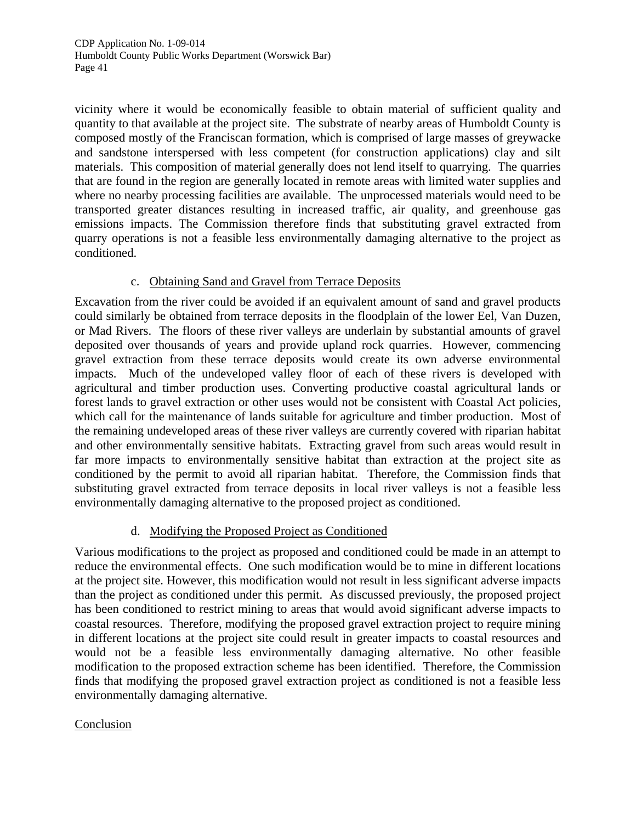vicinity where it would be economically feasible to obtain material of sufficient quality and quantity to that available at the project site. The substrate of nearby areas of Humboldt County is composed mostly of the Franciscan formation, which is comprised of large masses of greywacke and sandstone interspersed with less competent (for construction applications) clay and silt materials. This composition of material generally does not lend itself to quarrying. The quarries that are found in the region are generally located in remote areas with limited water supplies and where no nearby processing facilities are available. The unprocessed materials would need to be transported greater distances resulting in increased traffic, air quality, and greenhouse gas emissions impacts. The Commission therefore finds that substituting gravel extracted from quarry operations is not a feasible less environmentally damaging alternative to the project as conditioned.

#### c. Obtaining Sand and Gravel from Terrace Deposits

Excavation from the river could be avoided if an equivalent amount of sand and gravel products could similarly be obtained from terrace deposits in the floodplain of the lower Eel, Van Duzen, or Mad Rivers. The floors of these river valleys are underlain by substantial amounts of gravel deposited over thousands of years and provide upland rock quarries. However, commencing gravel extraction from these terrace deposits would create its own adverse environmental impacts. Much of the undeveloped valley floor of each of these rivers is developed with agricultural and timber production uses. Converting productive coastal agricultural lands or forest lands to gravel extraction or other uses would not be consistent with Coastal Act policies, which call for the maintenance of lands suitable for agriculture and timber production. Most of the remaining undeveloped areas of these river valleys are currently covered with riparian habitat and other environmentally sensitive habitats. Extracting gravel from such areas would result in far more impacts to environmentally sensitive habitat than extraction at the project site as conditioned by the permit to avoid all riparian habitat. Therefore, the Commission finds that substituting gravel extracted from terrace deposits in local river valleys is not a feasible less environmentally damaging alternative to the proposed project as conditioned.

# d. Modifying the Proposed Project as Conditioned

Various modifications to the project as proposed and conditioned could be made in an attempt to reduce the environmental effects. One such modification would be to mine in different locations at the project site. However, this modification would not result in less significant adverse impacts than the project as conditioned under this permit. As discussed previously, the proposed project has been conditioned to restrict mining to areas that would avoid significant adverse impacts to coastal resources. Therefore, modifying the proposed gravel extraction project to require mining in different locations at the project site could result in greater impacts to coastal resources and would not be a feasible less environmentally damaging alternative. No other feasible modification to the proposed extraction scheme has been identified. Therefore, the Commission finds that modifying the proposed gravel extraction project as conditioned is not a feasible less environmentally damaging alternative.

#### Conclusion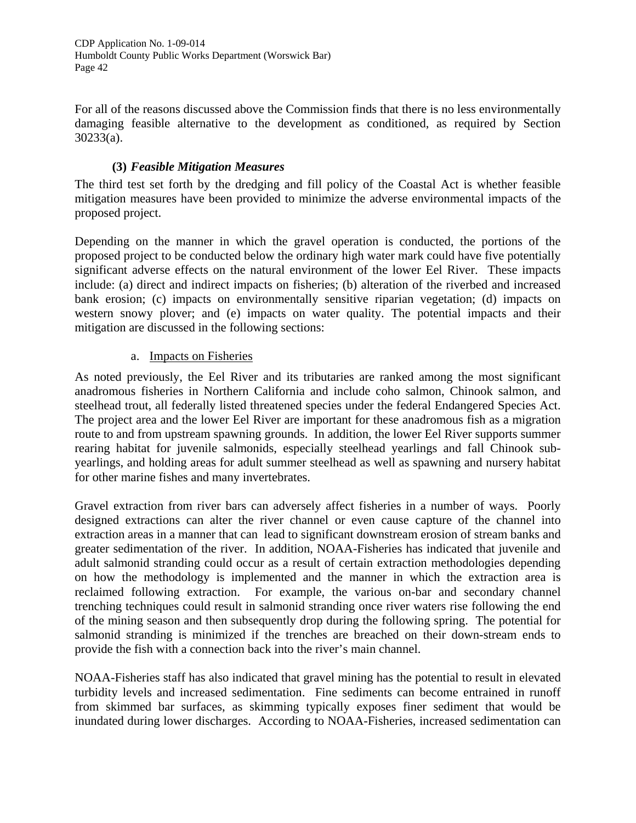For all of the reasons discussed above the Commission finds that there is no less environmentally damaging feasible alternative to the development as conditioned, as required by Section 30233(a).

# **(3)** *Feasible Mitigation Measures*

The third test set forth by the dredging and fill policy of the Coastal Act is whether feasible mitigation measures have been provided to minimize the adverse environmental impacts of the proposed project.

Depending on the manner in which the gravel operation is conducted, the portions of the proposed project to be conducted below the ordinary high water mark could have five potentially significant adverse effects on the natural environment of the lower Eel River. These impacts include: (a) direct and indirect impacts on fisheries; (b) alteration of the riverbed and increased bank erosion; (c) impacts on environmentally sensitive riparian vegetation; (d) impacts on western snowy plover; and (e) impacts on water quality. The potential impacts and their mitigation are discussed in the following sections:

# a. Impacts on Fisheries

As noted previously, the Eel River and its tributaries are ranked among the most significant anadromous fisheries in Northern California and include coho salmon, Chinook salmon, and steelhead trout, all federally listed threatened species under the federal Endangered Species Act. The project area and the lower Eel River are important for these anadromous fish as a migration route to and from upstream spawning grounds. In addition, the lower Eel River supports summer rearing habitat for juvenile salmonids, especially steelhead yearlings and fall Chinook subyearlings, and holding areas for adult summer steelhead as well as spawning and nursery habitat for other marine fishes and many invertebrates.

Gravel extraction from river bars can adversely affect fisheries in a number of ways. Poorly designed extractions can alter the river channel or even cause capture of the channel into extraction areas in a manner that can lead to significant downstream erosion of stream banks and greater sedimentation of the river. In addition, NOAA-Fisheries has indicated that juvenile and adult salmonid stranding could occur as a result of certain extraction methodologies depending on how the methodology is implemented and the manner in which the extraction area is reclaimed following extraction. For example, the various on-bar and secondary channel trenching techniques could result in salmonid stranding once river waters rise following the end of the mining season and then subsequently drop during the following spring. The potential for salmonid stranding is minimized if the trenches are breached on their down-stream ends to provide the fish with a connection back into the river's main channel.

NOAA-Fisheries staff has also indicated that gravel mining has the potential to result in elevated turbidity levels and increased sedimentation. Fine sediments can become entrained in runoff from skimmed bar surfaces, as skimming typically exposes finer sediment that would be inundated during lower discharges. According to NOAA-Fisheries, increased sedimentation can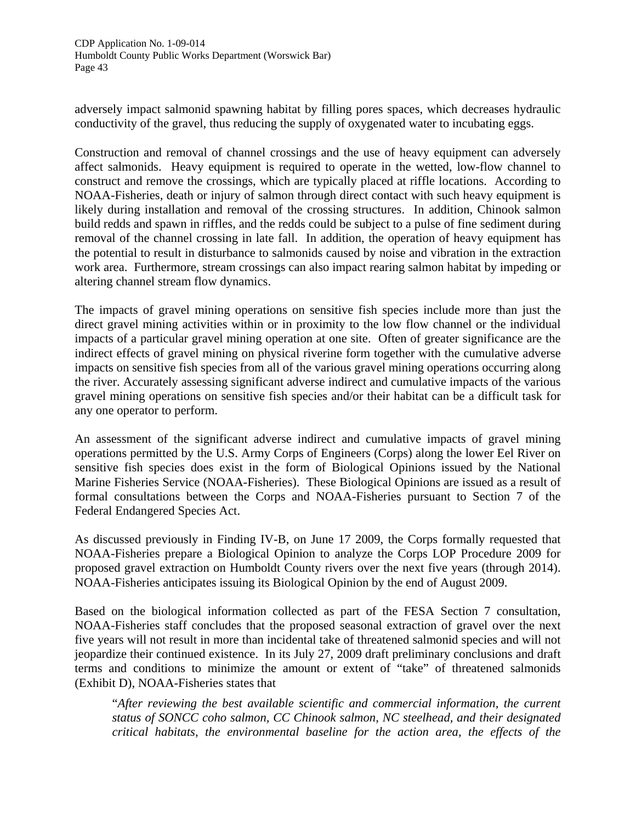adversely impact salmonid spawning habitat by filling pores spaces, which decreases hydraulic conductivity of the gravel, thus reducing the supply of oxygenated water to incubating eggs.

Construction and removal of channel crossings and the use of heavy equipment can adversely affect salmonids. Heavy equipment is required to operate in the wetted, low-flow channel to construct and remove the crossings, which are typically placed at riffle locations. According to NOAA-Fisheries, death or injury of salmon through direct contact with such heavy equipment is likely during installation and removal of the crossing structures. In addition, Chinook salmon build redds and spawn in riffles, and the redds could be subject to a pulse of fine sediment during removal of the channel crossing in late fall. In addition, the operation of heavy equipment has the potential to result in disturbance to salmonids caused by noise and vibration in the extraction work area. Furthermore, stream crossings can also impact rearing salmon habitat by impeding or altering channel stream flow dynamics.

The impacts of gravel mining operations on sensitive fish species include more than just the direct gravel mining activities within or in proximity to the low flow channel or the individual impacts of a particular gravel mining operation at one site. Often of greater significance are the indirect effects of gravel mining on physical riverine form together with the cumulative adverse impacts on sensitive fish species from all of the various gravel mining operations occurring along the river. Accurately assessing significant adverse indirect and cumulative impacts of the various gravel mining operations on sensitive fish species and/or their habitat can be a difficult task for any one operator to perform.

An assessment of the significant adverse indirect and cumulative impacts of gravel mining operations permitted by the U.S. Army Corps of Engineers (Corps) along the lower Eel River on sensitive fish species does exist in the form of Biological Opinions issued by the National Marine Fisheries Service (NOAA-Fisheries). These Biological Opinions are issued as a result of formal consultations between the Corps and NOAA-Fisheries pursuant to Section 7 of the Federal Endangered Species Act.

As discussed previously in Finding IV-B, on June 17 2009, the Corps formally requested that NOAA-Fisheries prepare a Biological Opinion to analyze the Corps LOP Procedure 2009 for proposed gravel extraction on Humboldt County rivers over the next five years (through 2014). NOAA-Fisheries anticipates issuing its Biological Opinion by the end of August 2009.

Based on the biological information collected as part of the FESA Section 7 consultation, NOAA-Fisheries staff concludes that the proposed seasonal extraction of gravel over the next five years will not result in more than incidental take of threatened salmonid species and will not jeopardize their continued existence. In its July 27, 2009 draft preliminary conclusions and draft terms and conditions to minimize the amount or extent of "take" of threatened salmonids (Exhibit D), NOAA-Fisheries states that

"*After reviewing the best available scientific and commercial information, the current status of SONCC coho salmon, CC Chinook salmon, NC steelhead, and their designated critical habitats, the environmental baseline for the action area, the effects of the*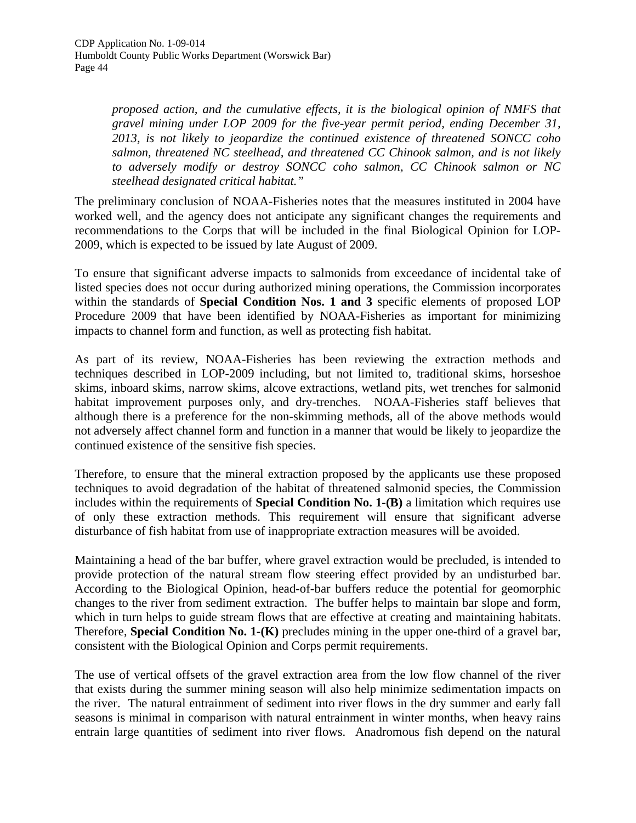*proposed action, and the cumulative effects, it is the biological opinion of NMFS that gravel mining under LOP 2009 for the five-year permit period, ending December 31, 2013, is not likely to jeopardize the continued existence of threatened SONCC coho salmon, threatened NC steelhead, and threatened CC Chinook salmon, and is not likely to adversely modify or destroy SONCC coho salmon, CC Chinook salmon or NC steelhead designated critical habitat."* 

The preliminary conclusion of NOAA-Fisheries notes that the measures instituted in 2004 have worked well, and the agency does not anticipate any significant changes the requirements and recommendations to the Corps that will be included in the final Biological Opinion for LOP-2009, which is expected to be issued by late August of 2009.

To ensure that significant adverse impacts to salmonids from exceedance of incidental take of listed species does not occur during authorized mining operations, the Commission incorporates within the standards of **Special Condition Nos. 1 and 3** specific elements of proposed LOP Procedure 2009 that have been identified by NOAA-Fisheries as important for minimizing impacts to channel form and function, as well as protecting fish habitat.

As part of its review, NOAA-Fisheries has been reviewing the extraction methods and techniques described in LOP-2009 including, but not limited to, traditional skims, horseshoe skims, inboard skims, narrow skims, alcove extractions, wetland pits, wet trenches for salmonid habitat improvement purposes only, and dry-trenches. NOAA-Fisheries staff believes that although there is a preference for the non-skimming methods, all of the above methods would not adversely affect channel form and function in a manner that would be likely to jeopardize the continued existence of the sensitive fish species.

Therefore, to ensure that the mineral extraction proposed by the applicants use these proposed techniques to avoid degradation of the habitat of threatened salmonid species, the Commission includes within the requirements of **Special Condition No. 1-(B)** a limitation which requires use of only these extraction methods. This requirement will ensure that significant adverse disturbance of fish habitat from use of inappropriate extraction measures will be avoided.

Maintaining a head of the bar buffer, where gravel extraction would be precluded, is intended to provide protection of the natural stream flow steering effect provided by an undisturbed bar. According to the Biological Opinion, head-of-bar buffers reduce the potential for geomorphic changes to the river from sediment extraction. The buffer helps to maintain bar slope and form, which in turn helps to guide stream flows that are effective at creating and maintaining habitats. Therefore, **Special Condition No. 1-(K)** precludes mining in the upper one-third of a gravel bar, consistent with the Biological Opinion and Corps permit requirements.

The use of vertical offsets of the gravel extraction area from the low flow channel of the river that exists during the summer mining season will also help minimize sedimentation impacts on the river. The natural entrainment of sediment into river flows in the dry summer and early fall seasons is minimal in comparison with natural entrainment in winter months, when heavy rains entrain large quantities of sediment into river flows. Anadromous fish depend on the natural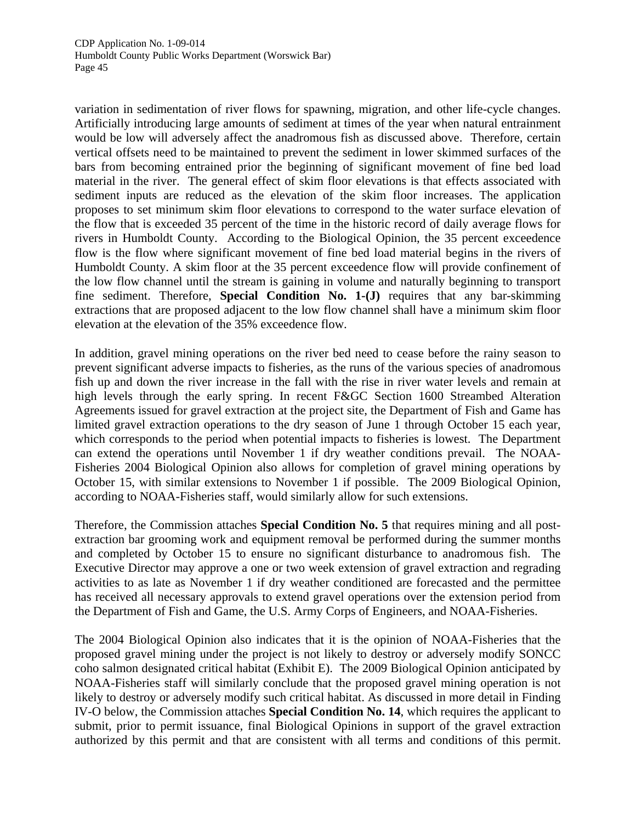variation in sedimentation of river flows for spawning, migration, and other life-cycle changes. Artificially introducing large amounts of sediment at times of the year when natural entrainment would be low will adversely affect the anadromous fish as discussed above. Therefore, certain vertical offsets need to be maintained to prevent the sediment in lower skimmed surfaces of the bars from becoming entrained prior the beginning of significant movement of fine bed load material in the river. The general effect of skim floor elevations is that effects associated with sediment inputs are reduced as the elevation of the skim floor increases. The application proposes to set minimum skim floor elevations to correspond to the water surface elevation of the flow that is exceeded 35 percent of the time in the historic record of daily average flows for rivers in Humboldt County. According to the Biological Opinion, the 35 percent exceedence flow is the flow where significant movement of fine bed load material begins in the rivers of Humboldt County. A skim floor at the 35 percent exceedence flow will provide confinement of the low flow channel until the stream is gaining in volume and naturally beginning to transport fine sediment. Therefore, **Special Condition No. 1-(J)** requires that any bar-skimming extractions that are proposed adjacent to the low flow channel shall have a minimum skim floor elevation at the elevation of the 35% exceedence flow.

In addition, gravel mining operations on the river bed need to cease before the rainy season to prevent significant adverse impacts to fisheries, as the runs of the various species of anadromous fish up and down the river increase in the fall with the rise in river water levels and remain at high levels through the early spring. In recent F&GC Section 1600 Streambed Alteration Agreements issued for gravel extraction at the project site, the Department of Fish and Game has limited gravel extraction operations to the dry season of June 1 through October 15 each year, which corresponds to the period when potential impacts to fisheries is lowest. The Department can extend the operations until November 1 if dry weather conditions prevail. The NOAA-Fisheries 2004 Biological Opinion also allows for completion of gravel mining operations by October 15, with similar extensions to November 1 if possible. The 2009 Biological Opinion, according to NOAA-Fisheries staff, would similarly allow for such extensions.

Therefore, the Commission attaches **Special Condition No. 5** that requires mining and all postextraction bar grooming work and equipment removal be performed during the summer months and completed by October 15 to ensure no significant disturbance to anadromous fish. The Executive Director may approve a one or two week extension of gravel extraction and regrading activities to as late as November 1 if dry weather conditioned are forecasted and the permittee has received all necessary approvals to extend gravel operations over the extension period from the Department of Fish and Game, the U.S. Army Corps of Engineers, and NOAA-Fisheries.

The 2004 Biological Opinion also indicates that it is the opinion of NOAA-Fisheries that the proposed gravel mining under the project is not likely to destroy or adversely modify SONCC coho salmon designated critical habitat (Exhibit E). The 2009 Biological Opinion anticipated by NOAA-Fisheries staff will similarly conclude that the proposed gravel mining operation is not likely to destroy or adversely modify such critical habitat. As discussed in more detail in Finding IV-O below, the Commission attaches **Special Condition No. 14**, which requires the applicant to submit, prior to permit issuance, final Biological Opinions in support of the gravel extraction authorized by this permit and that are consistent with all terms and conditions of this permit.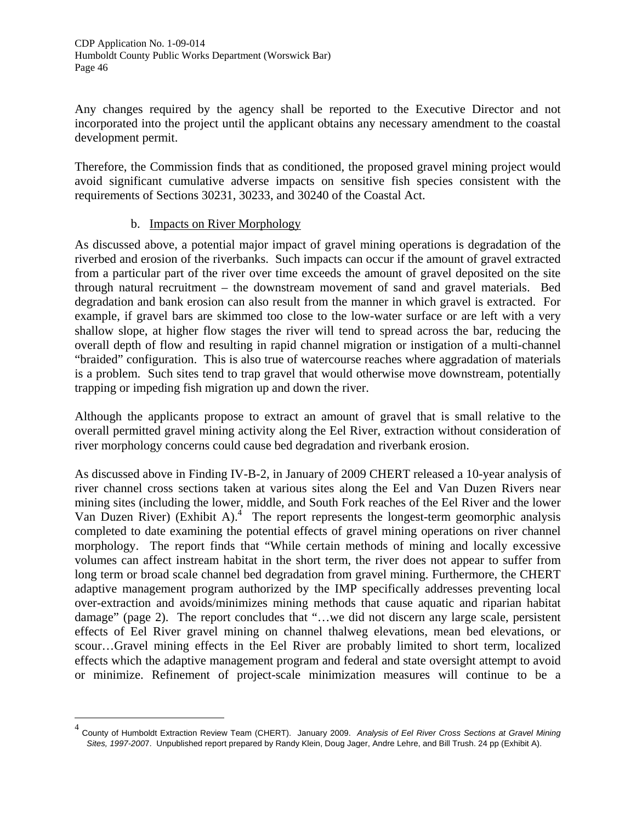Any changes required by the agency shall be reported to the Executive Director and not incorporated into the project until the applicant obtains any necessary amendment to the coastal development permit.

Therefore, the Commission finds that as conditioned, the proposed gravel mining project would avoid significant cumulative adverse impacts on sensitive fish species consistent with the requirements of Sections 30231, 30233, and 30240 of the Coastal Act.

#### b. Impacts on River Morphology

-

As discussed above, a potential major impact of gravel mining operations is degradation of the riverbed and erosion of the riverbanks. Such impacts can occur if the amount of gravel extracted from a particular part of the river over time exceeds the amount of gravel deposited on the site through natural recruitment – the downstream movement of sand and gravel materials. Bed degradation and bank erosion can also result from the manner in which gravel is extracted. For example, if gravel bars are skimmed too close to the low-water surface or are left with a very shallow slope, at higher flow stages the river will tend to spread across the bar, reducing the overall depth of flow and resulting in rapid channel migration or instigation of a multi-channel "braided" configuration. This is also true of watercourse reaches where aggradation of materials is a problem. Such sites tend to trap gravel that would otherwise move downstream, potentially trapping or impeding fish migration up and down the river.

Although the applicants propose to extract an amount of gravel that is small relative to the overall permitted gravel mining activity along the Eel River, extraction without consideration of river morphology concerns could cause bed degradation and riverbank erosion.

As discussed above in Finding IV-B-2, in January of 2009 CHERT released a 10-year analysis of river channel cross sections taken at various sites along the Eel and Van Duzen Rivers near mining sites (including the lower, middle, and South Fork reaches of the Eel River and the lower Van Duzen River) (Exhibit A).<sup>4</sup> The report represents the longest-term geomorphic analysis completed to date examining the potential effects of gravel mining operations on river channel morphology. The report finds that "While certain methods of mining and locally excessive volumes can affect instream habitat in the short term, the river does not appear to suffer from long term or broad scale channel bed degradation from gravel mining. Furthermore, the CHERT adaptive management program authorized by the IMP specifically addresses preventing local over-extraction and avoids/minimizes mining methods that cause aquatic and riparian habitat damage" (page 2). The report concludes that "…we did not discern any large scale, persistent effects of Eel River gravel mining on channel thalweg elevations, mean bed elevations, or scour…Gravel mining effects in the Eel River are probably limited to short term, localized effects which the adaptive management program and federal and state oversight attempt to avoid or minimize. Refinement of project-scale minimization measures will continue to be a

<span id="page-45-0"></span><sup>4</sup> County of Humboldt Extraction Review Team (CHERT). January 2009. *Analysis of Eel River Cross Sections at Gravel Mining Sites, 1997-200*7. Unpublished report prepared by Randy Klein, Doug Jager, Andre Lehre, and Bill Trush. 24 pp (Exhibit A).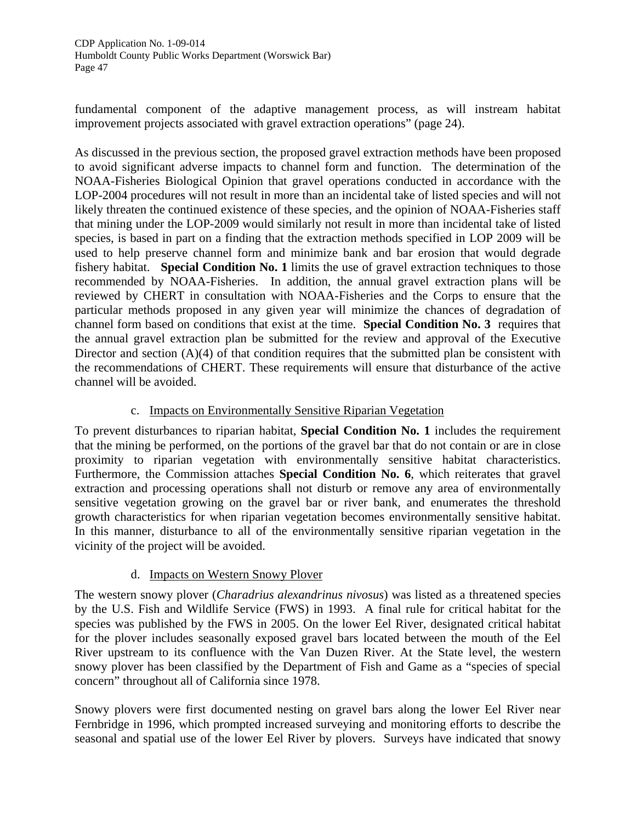fundamental component of the adaptive management process, as will instream habitat improvement projects associated with gravel extraction operations" (page 24).

As discussed in the previous section, the proposed gravel extraction methods have been proposed to avoid significant adverse impacts to channel form and function. The determination of the NOAA-Fisheries Biological Opinion that gravel operations conducted in accordance with the LOP-2004 procedures will not result in more than an incidental take of listed species and will not likely threaten the continued existence of these species, and the opinion of NOAA-Fisheries staff that mining under the LOP-2009 would similarly not result in more than incidental take of listed species, is based in part on a finding that the extraction methods specified in LOP 2009 will be used to help preserve channel form and minimize bank and bar erosion that would degrade fishery habitat. **Special Condition No. 1** limits the use of gravel extraction techniques to those recommended by NOAA-Fisheries. In addition, the annual gravel extraction plans will be reviewed by CHERT in consultation with NOAA-Fisheries and the Corps to ensure that the particular methods proposed in any given year will minimize the chances of degradation of channel form based on conditions that exist at the time. **Special Condition No. 3** requires that the annual gravel extraction plan be submitted for the review and approval of the Executive Director and section (A)(4) of that condition requires that the submitted plan be consistent with the recommendations of CHERT. These requirements will ensure that disturbance of the active channel will be avoided.

#### c. Impacts on Environmentally Sensitive Riparian Vegetation

To prevent disturbances to riparian habitat, **Special Condition No. 1** includes the requirement that the mining be performed, on the portions of the gravel bar that do not contain or are in close proximity to riparian vegetation with environmentally sensitive habitat characteristics. Furthermore, the Commission attaches **Special Condition No. 6**, which reiterates that gravel extraction and processing operations shall not disturb or remove any area of environmentally sensitive vegetation growing on the gravel bar or river bank, and enumerates the threshold growth characteristics for when riparian vegetation becomes environmentally sensitive habitat. In this manner, disturbance to all of the environmentally sensitive riparian vegetation in the vicinity of the project will be avoided.

# d. Impacts on Western Snowy Plover

The western snowy plover (*Charadrius alexandrinus nivosus*) was listed as a threatened species by the U.S. Fish and Wildlife Service (FWS) in 1993. A final rule for critical habitat for the species was published by the FWS in 2005. On the lower Eel River, designated critical habitat for the plover includes seasonally exposed gravel bars located between the mouth of the Eel River upstream to its confluence with the Van Duzen River. At the State level, the western snowy plover has been classified by the Department of Fish and Game as a "species of special concern" throughout all of California since 1978.

Snowy plovers were first documented nesting on gravel bars along the lower Eel River near Fernbridge in 1996, which prompted increased surveying and monitoring efforts to describe the seasonal and spatial use of the lower Eel River by plovers. Surveys have indicated that snowy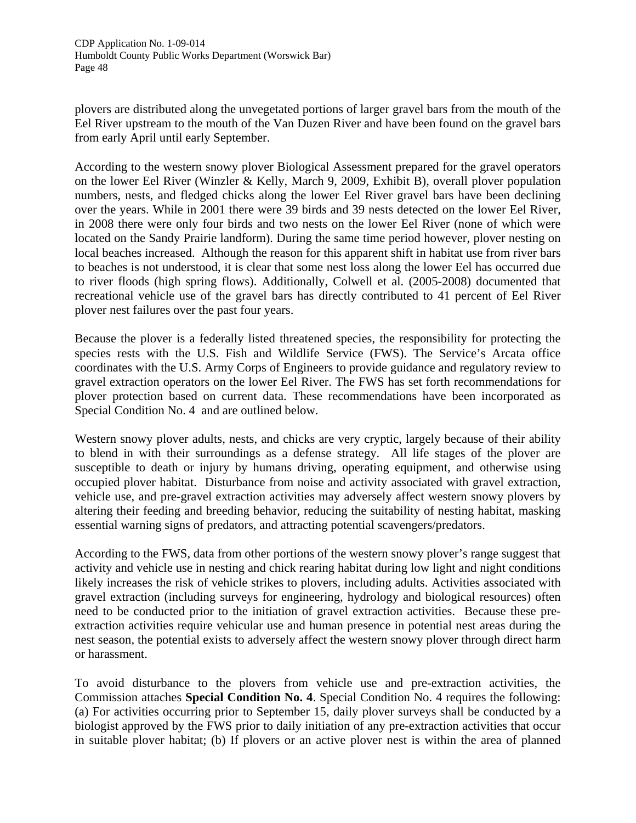plovers are distributed along the unvegetated portions of larger gravel bars from the mouth of the Eel River upstream to the mouth of the Van Duzen River and have been found on the gravel bars from early April until early September.

According to the western snowy plover Biological Assessment prepared for the gravel operators on the lower Eel River (Winzler & Kelly, March 9, 2009, Exhibit B), overall plover population numbers, nests, and fledged chicks along the lower Eel River gravel bars have been declining over the years. While in 2001 there were 39 birds and 39 nests detected on the lower Eel River, in 2008 there were only four birds and two nests on the lower Eel River (none of which were located on the Sandy Prairie landform). During the same time period however, plover nesting on local beaches increased. Although the reason for this apparent shift in habitat use from river bars to beaches is not understood, it is clear that some nest loss along the lower Eel has occurred due to river floods (high spring flows). Additionally, Colwell et al. (2005-2008) documented that recreational vehicle use of the gravel bars has directly contributed to 41 percent of Eel River plover nest failures over the past four years.

Because the plover is a federally listed threatened species, the responsibility for protecting the species rests with the U.S. Fish and Wildlife Service (FWS). The Service's Arcata office coordinates with the U.S. Army Corps of Engineers to provide guidance and regulatory review to gravel extraction operators on the lower Eel River. The FWS has set forth recommendations for plover protection based on current data. These recommendations have been incorporated as Special Condition No. 4 and are outlined below.

Western snowy plover adults, nests, and chicks are very cryptic, largely because of their ability to blend in with their surroundings as a defense strategy. All life stages of the plover are susceptible to death or injury by humans driving, operating equipment, and otherwise using occupied plover habitat. Disturbance from noise and activity associated with gravel extraction, vehicle use, and pre-gravel extraction activities may adversely affect western snowy plovers by altering their feeding and breeding behavior, reducing the suitability of nesting habitat, masking essential warning signs of predators, and attracting potential scavengers/predators.

According to the FWS, data from other portions of the western snowy plover's range suggest that activity and vehicle use in nesting and chick rearing habitat during low light and night conditions likely increases the risk of vehicle strikes to plovers, including adults. Activities associated with gravel extraction (including surveys for engineering, hydrology and biological resources) often need to be conducted prior to the initiation of gravel extraction activities. Because these preextraction activities require vehicular use and human presence in potential nest areas during the nest season, the potential exists to adversely affect the western snowy plover through direct harm or harassment.

To avoid disturbance to the plovers from vehicle use and pre-extraction activities, the Commission attaches **Special Condition No. 4**. Special Condition No. 4 requires the following: (a) For activities occurring prior to September 15, daily plover surveys shall be conducted by a biologist approved by the FWS prior to daily initiation of any pre-extraction activities that occur in suitable plover habitat; (b) If plovers or an active plover nest is within the area of planned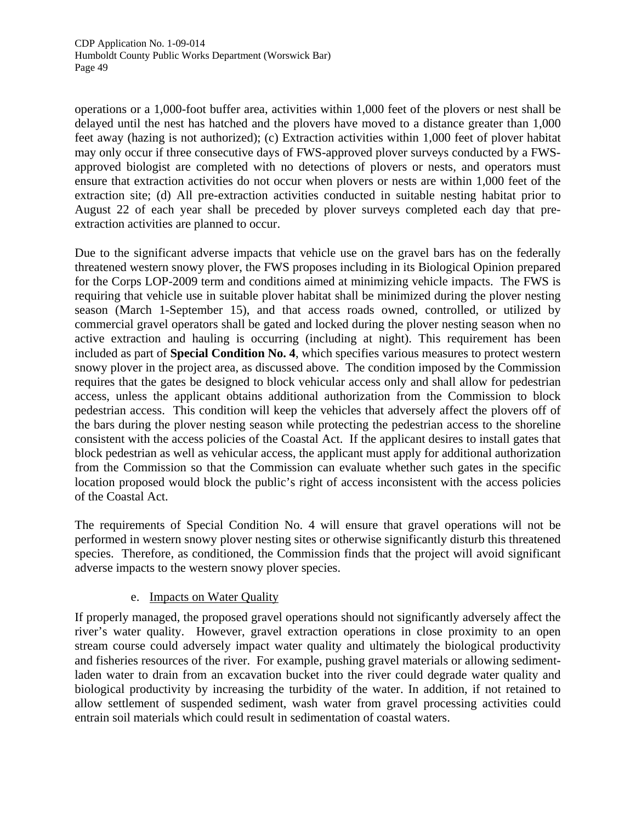operations or a 1,000-foot buffer area, activities within 1,000 feet of the plovers or nest shall be delayed until the nest has hatched and the plovers have moved to a distance greater than 1,000 feet away (hazing is not authorized); (c) Extraction activities within 1,000 feet of plover habitat may only occur if three consecutive days of FWS-approved plover surveys conducted by a FWSapproved biologist are completed with no detections of plovers or nests, and operators must ensure that extraction activities do not occur when plovers or nests are within 1,000 feet of the extraction site; (d) All pre-extraction activities conducted in suitable nesting habitat prior to August 22 of each year shall be preceded by plover surveys completed each day that preextraction activities are planned to occur.

Due to the significant adverse impacts that vehicle use on the gravel bars has on the federally threatened western snowy plover, the FWS proposes including in its Biological Opinion prepared for the Corps LOP-2009 term and conditions aimed at minimizing vehicle impacts. The FWS is requiring that vehicle use in suitable plover habitat shall be minimized during the plover nesting season (March 1-September 15), and that access roads owned, controlled, or utilized by commercial gravel operators shall be gated and locked during the plover nesting season when no active extraction and hauling is occurring (including at night). This requirement has been included as part of **Special Condition No. 4**, which specifies various measures to protect western snowy plover in the project area, as discussed above. The condition imposed by the Commission requires that the gates be designed to block vehicular access only and shall allow for pedestrian access, unless the applicant obtains additional authorization from the Commission to block pedestrian access. This condition will keep the vehicles that adversely affect the plovers off of the bars during the plover nesting season while protecting the pedestrian access to the shoreline consistent with the access policies of the Coastal Act. If the applicant desires to install gates that block pedestrian as well as vehicular access, the applicant must apply for additional authorization from the Commission so that the Commission can evaluate whether such gates in the specific location proposed would block the public's right of access inconsistent with the access policies of the Coastal Act.

The requirements of Special Condition No. 4 will ensure that gravel operations will not be performed in western snowy plover nesting sites or otherwise significantly disturb this threatened species. Therefore, as conditioned, the Commission finds that the project will avoid significant adverse impacts to the western snowy plover species.

# e. Impacts on Water Quality

If properly managed, the proposed gravel operations should not significantly adversely affect the river's water quality. However, gravel extraction operations in close proximity to an open stream course could adversely impact water quality and ultimately the biological productivity and fisheries resources of the river. For example, pushing gravel materials or allowing sedimentladen water to drain from an excavation bucket into the river could degrade water quality and biological productivity by increasing the turbidity of the water. In addition, if not retained to allow settlement of suspended sediment, wash water from gravel processing activities could entrain soil materials which could result in sedimentation of coastal waters.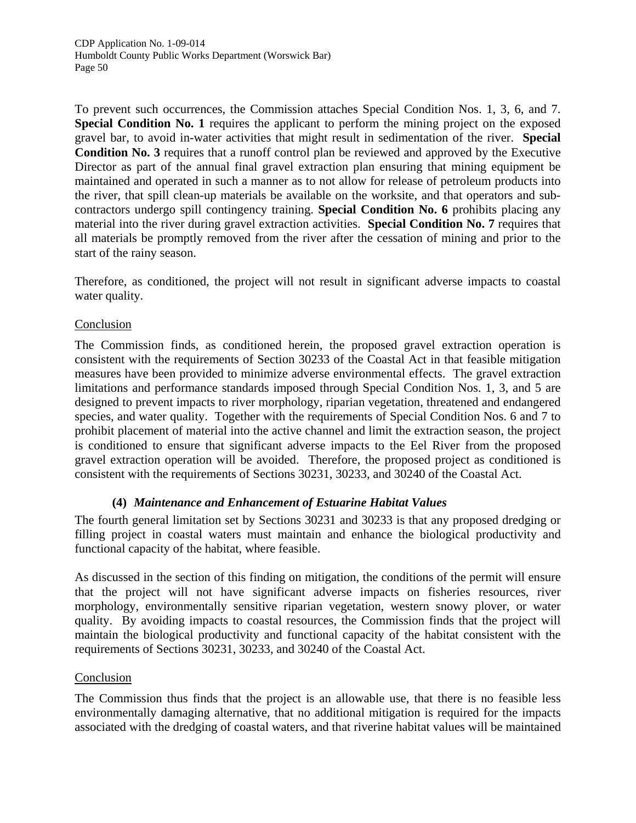To prevent such occurrences, the Commission attaches Special Condition Nos. 1, 3, 6, and 7. **Special Condition No. 1** requires the applicant to perform the mining project on the exposed gravel bar, to avoid in-water activities that might result in sedimentation of the river. **Special Condition No. 3** requires that a runoff control plan be reviewed and approved by the Executive Director as part of the annual final gravel extraction plan ensuring that mining equipment be maintained and operated in such a manner as to not allow for release of petroleum products into the river, that spill clean-up materials be available on the worksite, and that operators and subcontractors undergo spill contingency training. **Special Condition No. 6** prohibits placing any material into the river during gravel extraction activities. **Special Condition No. 7** requires that all materials be promptly removed from the river after the cessation of mining and prior to the start of the rainy season.

Therefore, as conditioned, the project will not result in significant adverse impacts to coastal water quality.

#### **Conclusion**

The Commission finds, as conditioned herein, the proposed gravel extraction operation is consistent with the requirements of Section 30233 of the Coastal Act in that feasible mitigation measures have been provided to minimize adverse environmental effects. The gravel extraction limitations and performance standards imposed through Special Condition Nos. 1, 3, and 5 are designed to prevent impacts to river morphology, riparian vegetation, threatened and endangered species, and water quality. Together with the requirements of Special Condition Nos. 6 and 7 to prohibit placement of material into the active channel and limit the extraction season, the project is conditioned to ensure that significant adverse impacts to the Eel River from the proposed gravel extraction operation will be avoided. Therefore, the proposed project as conditioned is consistent with the requirements of Sections 30231, 30233, and 30240 of the Coastal Act.

# **(4)** *Maintenance and Enhancement of Estuarine Habitat Values*

The fourth general limitation set by Sections 30231 and 30233 is that any proposed dredging or filling project in coastal waters must maintain and enhance the biological productivity and functional capacity of the habitat, where feasible.

As discussed in the section of this finding on mitigation, the conditions of the permit will ensure that the project will not have significant adverse impacts on fisheries resources, river morphology, environmentally sensitive riparian vegetation, western snowy plover, or water quality. By avoiding impacts to coastal resources, the Commission finds that the project will maintain the biological productivity and functional capacity of the habitat consistent with the requirements of Sections 30231, 30233, and 30240 of the Coastal Act.

# **Conclusion**

The Commission thus finds that the project is an allowable use, that there is no feasible less environmentally damaging alternative, that no additional mitigation is required for the impacts associated with the dredging of coastal waters, and that riverine habitat values will be maintained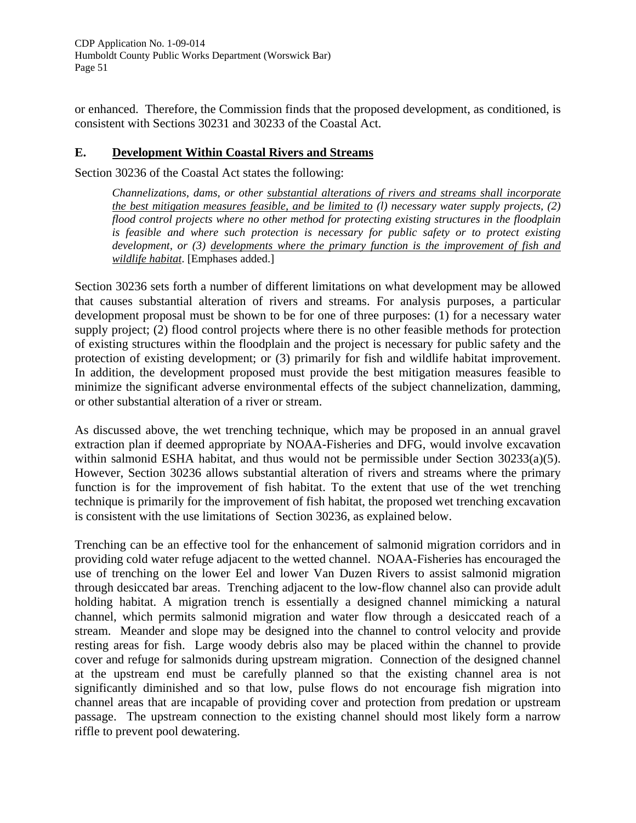or enhanced. Therefore, the Commission finds that the proposed development, as conditioned, is consistent with Sections 30231 and 30233 of the Coastal Act.

#### **E. Development Within Coastal Rivers and Streams**

Section 30236 of the Coastal Act states the following:

*Channelizations, dams, or other substantial alterations of rivers and streams shall incorporate the best mitigation measures feasible, and be limited to (l) necessary water supply projects, (2) flood control projects where no other method for protecting existing structures in the floodplain is feasible and where such protection is necessary for public safety or to protect existing development, or (3) developments where the primary function is the improvement of fish and wildlife habitat*. [Emphases added.]

Section 30236 sets forth a number of different limitations on what development may be allowed that causes substantial alteration of rivers and streams. For analysis purposes, a particular development proposal must be shown to be for one of three purposes: (1) for a necessary water supply project; (2) flood control projects where there is no other feasible methods for protection of existing structures within the floodplain and the project is necessary for public safety and the protection of existing development; or (3) primarily for fish and wildlife habitat improvement. In addition, the development proposed must provide the best mitigation measures feasible to minimize the significant adverse environmental effects of the subject channelization, damming, or other substantial alteration of a river or stream.

As discussed above, the wet trenching technique, which may be proposed in an annual gravel extraction plan if deemed appropriate by NOAA-Fisheries and DFG, would involve excavation within salmonid ESHA habitat, and thus would not be permissible under Section 30233(a)(5). However, Section 30236 allows substantial alteration of rivers and streams where the primary function is for the improvement of fish habitat. To the extent that use of the wet trenching technique is primarily for the improvement of fish habitat, the proposed wet trenching excavation is consistent with the use limitations of Section 30236, as explained below.

Trenching can be an effective tool for the enhancement of salmonid migration corridors and in providing cold water refuge adjacent to the wetted channel. NOAA-Fisheries has encouraged the use of trenching on the lower Eel and lower Van Duzen Rivers to assist salmonid migration through desiccated bar areas. Trenching adjacent to the low-flow channel also can provide adult holding habitat. A migration trench is essentially a designed channel mimicking a natural channel, which permits salmonid migration and water flow through a desiccated reach of a stream. Meander and slope may be designed into the channel to control velocity and provide resting areas for fish. Large woody debris also may be placed within the channel to provide cover and refuge for salmonids during upstream migration. Connection of the designed channel at the upstream end must be carefully planned so that the existing channel area is not significantly diminished and so that low, pulse flows do not encourage fish migration into channel areas that are incapable of providing cover and protection from predation or upstream passage. The upstream connection to the existing channel should most likely form a narrow riffle to prevent pool dewatering.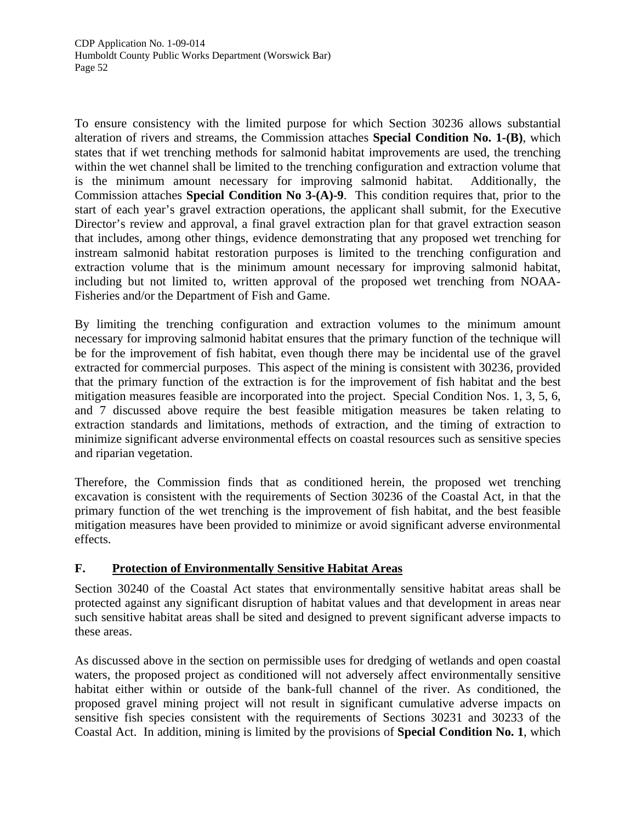To ensure consistency with the limited purpose for which Section 30236 allows substantial alteration of rivers and streams, the Commission attaches **Special Condition No. 1-(B)**, which states that if wet trenching methods for salmonid habitat improvements are used, the trenching within the wet channel shall be limited to the trenching configuration and extraction volume that is the minimum amount necessary for improving salmonid habitat. Additionally, the Commission attaches **Special Condition No 3-(A)-9**. This condition requires that, prior to the start of each year's gravel extraction operations, the applicant shall submit, for the Executive Director's review and approval, a final gravel extraction plan for that gravel extraction season that includes, among other things, evidence demonstrating that any proposed wet trenching for instream salmonid habitat restoration purposes is limited to the trenching configuration and extraction volume that is the minimum amount necessary for improving salmonid habitat, including but not limited to, written approval of the proposed wet trenching from NOAA-Fisheries and/or the Department of Fish and Game.

By limiting the trenching configuration and extraction volumes to the minimum amount necessary for improving salmonid habitat ensures that the primary function of the technique will be for the improvement of fish habitat, even though there may be incidental use of the gravel extracted for commercial purposes. This aspect of the mining is consistent with 30236, provided that the primary function of the extraction is for the improvement of fish habitat and the best mitigation measures feasible are incorporated into the project. Special Condition Nos. 1, 3, 5, 6, and 7 discussed above require the best feasible mitigation measures be taken relating to extraction standards and limitations, methods of extraction, and the timing of extraction to minimize significant adverse environmental effects on coastal resources such as sensitive species and riparian vegetation.

Therefore, the Commission finds that as conditioned herein, the proposed wet trenching excavation is consistent with the requirements of Section 30236 of the Coastal Act, in that the primary function of the wet trenching is the improvement of fish habitat, and the best feasible mitigation measures have been provided to minimize or avoid significant adverse environmental effects.

# **F. Protection of Environmentally Sensitive Habitat Areas**

Section 30240 of the Coastal Act states that environmentally sensitive habitat areas shall be protected against any significant disruption of habitat values and that development in areas near such sensitive habitat areas shall be sited and designed to prevent significant adverse impacts to these areas.

As discussed above in the section on permissible uses for dredging of wetlands and open coastal waters, the proposed project as conditioned will not adversely affect environmentally sensitive habitat either within or outside of the bank-full channel of the river. As conditioned, the proposed gravel mining project will not result in significant cumulative adverse impacts on sensitive fish species consistent with the requirements of Sections 30231 and 30233 of the Coastal Act. In addition, mining is limited by the provisions of **Special Condition No. 1**, which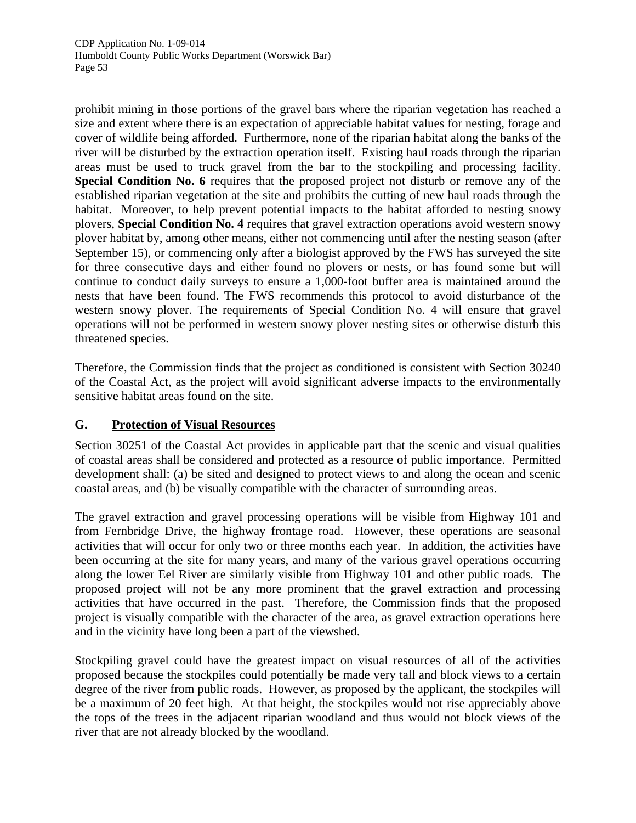prohibit mining in those portions of the gravel bars where the riparian vegetation has reached a size and extent where there is an expectation of appreciable habitat values for nesting, forage and cover of wildlife being afforded. Furthermore, none of the riparian habitat along the banks of the river will be disturbed by the extraction operation itself. Existing haul roads through the riparian areas must be used to truck gravel from the bar to the stockpiling and processing facility. **Special Condition No. 6** requires that the proposed project not disturb or remove any of the established riparian vegetation at the site and prohibits the cutting of new haul roads through the habitat. Moreover, to help prevent potential impacts to the habitat afforded to nesting snowy plovers, **Special Condition No. 4** requires that gravel extraction operations avoid western snowy plover habitat by, among other means, either not commencing until after the nesting season (after September 15), or commencing only after a biologist approved by the FWS has surveyed the site for three consecutive days and either found no plovers or nests, or has found some but will continue to conduct daily surveys to ensure a 1,000-foot buffer area is maintained around the nests that have been found. The FWS recommends this protocol to avoid disturbance of the western snowy plover. The requirements of Special Condition No. 4 will ensure that gravel operations will not be performed in western snowy plover nesting sites or otherwise disturb this threatened species.

Therefore, the Commission finds that the project as conditioned is consistent with Section 30240 of the Coastal Act, as the project will avoid significant adverse impacts to the environmentally sensitive habitat areas found on the site.

# **G. Protection of Visual Resources**

Section 30251 of the Coastal Act provides in applicable part that the scenic and visual qualities of coastal areas shall be considered and protected as a resource of public importance. Permitted development shall: (a) be sited and designed to protect views to and along the ocean and scenic coastal areas, and (b) be visually compatible with the character of surrounding areas.

The gravel extraction and gravel processing operations will be visible from Highway 101 and from Fernbridge Drive, the highway frontage road. However, these operations are seasonal activities that will occur for only two or three months each year. In addition, the activities have been occurring at the site for many years, and many of the various gravel operations occurring along the lower Eel River are similarly visible from Highway 101 and other public roads. The proposed project will not be any more prominent that the gravel extraction and processing activities that have occurred in the past. Therefore, the Commission finds that the proposed project is visually compatible with the character of the area, as gravel extraction operations here and in the vicinity have long been a part of the viewshed.

Stockpiling gravel could have the greatest impact on visual resources of all of the activities proposed because the stockpiles could potentially be made very tall and block views to a certain degree of the river from public roads. However, as proposed by the applicant, the stockpiles will be a maximum of 20 feet high. At that height, the stockpiles would not rise appreciably above the tops of the trees in the adjacent riparian woodland and thus would not block views of the river that are not already blocked by the woodland.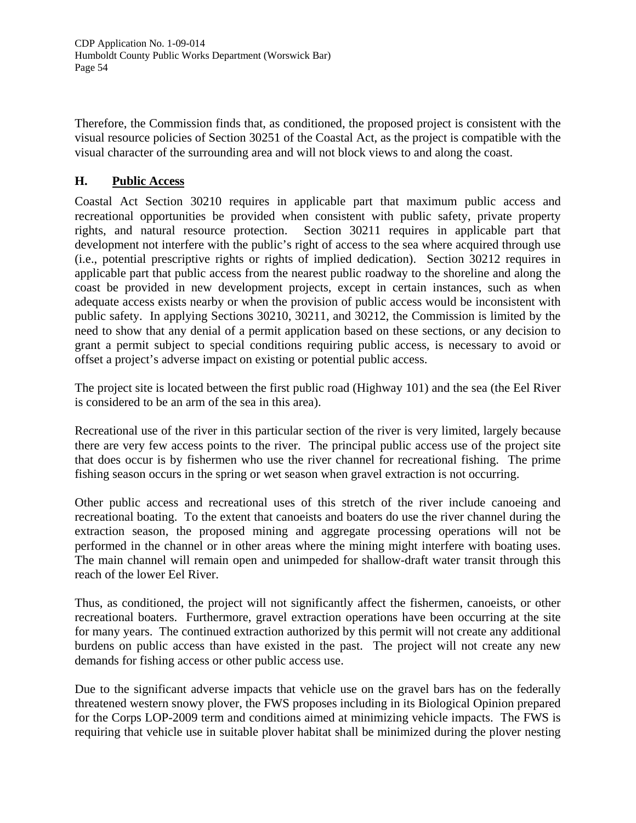Therefore, the Commission finds that, as conditioned, the proposed project is consistent with the visual resource policies of Section 30251 of the Coastal Act, as the project is compatible with the visual character of the surrounding area and will not block views to and along the coast.

#### **H. Public Access**

Coastal Act Section 30210 requires in applicable part that maximum public access and recreational opportunities be provided when consistent with public safety, private property rights, and natural resource protection. Section 30211 requires in applicable part that development not interfere with the public's right of access to the sea where acquired through use (i.e., potential prescriptive rights or rights of implied dedication). Section 30212 requires in applicable part that public access from the nearest public roadway to the shoreline and along the coast be provided in new development projects, except in certain instances, such as when adequate access exists nearby or when the provision of public access would be inconsistent with public safety. In applying Sections 30210, 30211, and 30212, the Commission is limited by the need to show that any denial of a permit application based on these sections, or any decision to grant a permit subject to special conditions requiring public access, is necessary to avoid or offset a project's adverse impact on existing or potential public access.

The project site is located between the first public road (Highway 101) and the sea (the Eel River is considered to be an arm of the sea in this area).

Recreational use of the river in this particular section of the river is very limited, largely because there are very few access points to the river. The principal public access use of the project site that does occur is by fishermen who use the river channel for recreational fishing. The prime fishing season occurs in the spring or wet season when gravel extraction is not occurring.

Other public access and recreational uses of this stretch of the river include canoeing and recreational boating. To the extent that canoeists and boaters do use the river channel during the extraction season, the proposed mining and aggregate processing operations will not be performed in the channel or in other areas where the mining might interfere with boating uses. The main channel will remain open and unimpeded for shallow-draft water transit through this reach of the lower Eel River.

Thus, as conditioned, the project will not significantly affect the fishermen, canoeists, or other recreational boaters. Furthermore, gravel extraction operations have been occurring at the site for many years. The continued extraction authorized by this permit will not create any additional burdens on public access than have existed in the past. The project will not create any new demands for fishing access or other public access use.

Due to the significant adverse impacts that vehicle use on the gravel bars has on the federally threatened western snowy plover, the FWS proposes including in its Biological Opinion prepared for the Corps LOP-2009 term and conditions aimed at minimizing vehicle impacts. The FWS is requiring that vehicle use in suitable plover habitat shall be minimized during the plover nesting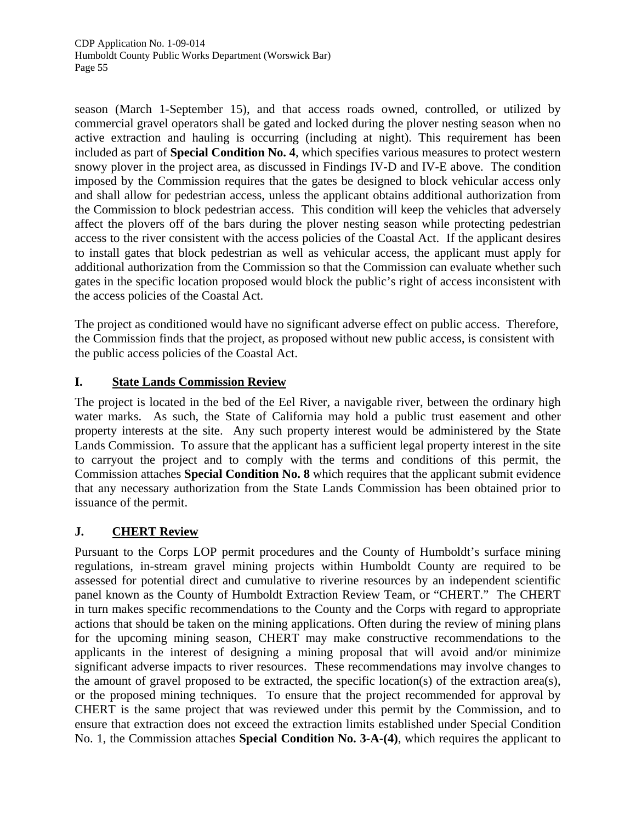season (March 1-September 15), and that access roads owned, controlled, or utilized by commercial gravel operators shall be gated and locked during the plover nesting season when no active extraction and hauling is occurring (including at night). This requirement has been included as part of **Special Condition No. 4**, which specifies various measures to protect western snowy plover in the project area, as discussed in Findings IV-D and IV-E above. The condition imposed by the Commission requires that the gates be designed to block vehicular access only and shall allow for pedestrian access, unless the applicant obtains additional authorization from the Commission to block pedestrian access. This condition will keep the vehicles that adversely affect the plovers off of the bars during the plover nesting season while protecting pedestrian access to the river consistent with the access policies of the Coastal Act. If the applicant desires to install gates that block pedestrian as well as vehicular access, the applicant must apply for additional authorization from the Commission so that the Commission can evaluate whether such gates in the specific location proposed would block the public's right of access inconsistent with the access policies of the Coastal Act.

The project as conditioned would have no significant adverse effect on public access. Therefore, the Commission finds that the project, as proposed without new public access, is consistent with the public access policies of the Coastal Act.

# **I. State Lands Commission Review**

The project is located in the bed of the Eel River, a navigable river, between the ordinary high water marks. As such, the State of California may hold a public trust easement and other property interests at the site. Any such property interest would be administered by the State Lands Commission. To assure that the applicant has a sufficient legal property interest in the site to carryout the project and to comply with the terms and conditions of this permit, the Commission attaches **Special Condition No. 8** which requires that the applicant submit evidence that any necessary authorization from the State Lands Commission has been obtained prior to issuance of the permit.

# **J. CHERT Review**

Pursuant to the Corps LOP permit procedures and the County of Humboldt's surface mining regulations, in-stream gravel mining projects within Humboldt County are required to be assessed for potential direct and cumulative to riverine resources by an independent scientific panel known as the County of Humboldt Extraction Review Team, or "CHERT." The CHERT in turn makes specific recommendations to the County and the Corps with regard to appropriate actions that should be taken on the mining applications. Often during the review of mining plans for the upcoming mining season, CHERT may make constructive recommendations to the applicants in the interest of designing a mining proposal that will avoid and/or minimize significant adverse impacts to river resources. These recommendations may involve changes to the amount of gravel proposed to be extracted, the specific location(s) of the extraction area(s), or the proposed mining techniques. To ensure that the project recommended for approval by CHERT is the same project that was reviewed under this permit by the Commission, and to ensure that extraction does not exceed the extraction limits established under Special Condition No. 1, the Commission attaches **Special Condition No. 3-A-(4)**, which requires the applicant to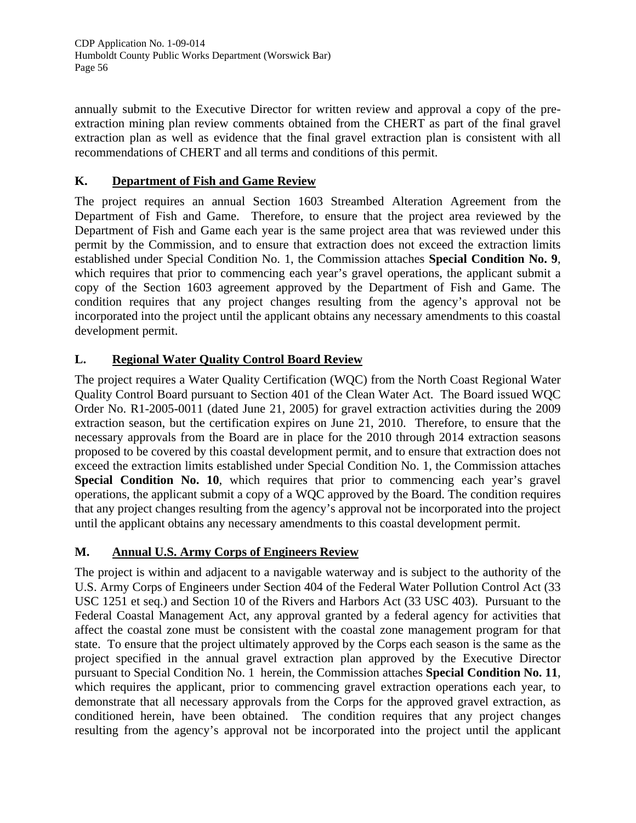annually submit to the Executive Director for written review and approval a copy of the preextraction mining plan review comments obtained from the CHERT as part of the final gravel extraction plan as well as evidence that the final gravel extraction plan is consistent with all recommendations of CHERT and all terms and conditions of this permit.

# **K. Department of Fish and Game Review**

The project requires an annual Section 1603 Streambed Alteration Agreement from the Department of Fish and Game. Therefore, to ensure that the project area reviewed by the Department of Fish and Game each year is the same project area that was reviewed under this permit by the Commission, and to ensure that extraction does not exceed the extraction limits established under Special Condition No. 1, the Commission attaches **Special Condition No. 9**, which requires that prior to commencing each year's gravel operations, the applicant submit a copy of the Section 1603 agreement approved by the Department of Fish and Game. The condition requires that any project changes resulting from the agency's approval not be incorporated into the project until the applicant obtains any necessary amendments to this coastal development permit.

# **L. Regional Water Quality Control Board Review**

The project requires a Water Quality Certification (WQC) from the North Coast Regional Water Quality Control Board pursuant to Section 401 of the Clean Water Act. The Board issued WQC Order No. R1-2005-0011 (dated June 21, 2005) for gravel extraction activities during the 2009 extraction season, but the certification expires on June 21, 2010. Therefore, to ensure that the necessary approvals from the Board are in place for the 2010 through 2014 extraction seasons proposed to be covered by this coastal development permit, and to ensure that extraction does not exceed the extraction limits established under Special Condition No. 1, the Commission attaches **Special Condition No. 10**, which requires that prior to commencing each year's gravel operations, the applicant submit a copy of a WQC approved by the Board. The condition requires that any project changes resulting from the agency's approval not be incorporated into the project until the applicant obtains any necessary amendments to this coastal development permit.

# **M. Annual U.S. Army Corps of Engineers Review**

The project is within and adjacent to a navigable waterway and is subject to the authority of the U.S. Army Corps of Engineers under Section 404 of the Federal Water Pollution Control Act (33 USC 1251 et seq.) and Section 10 of the Rivers and Harbors Act (33 USC 403). Pursuant to the Federal Coastal Management Act, any approval granted by a federal agency for activities that affect the coastal zone must be consistent with the coastal zone management program for that state. To ensure that the project ultimately approved by the Corps each season is the same as the project specified in the annual gravel extraction plan approved by the Executive Director pursuant to Special Condition No. 1 herein, the Commission attaches **Special Condition No. 11**, which requires the applicant, prior to commencing gravel extraction operations each year, to demonstrate that all necessary approvals from the Corps for the approved gravel extraction, as conditioned herein, have been obtained. The condition requires that any project changes resulting from the agency's approval not be incorporated into the project until the applicant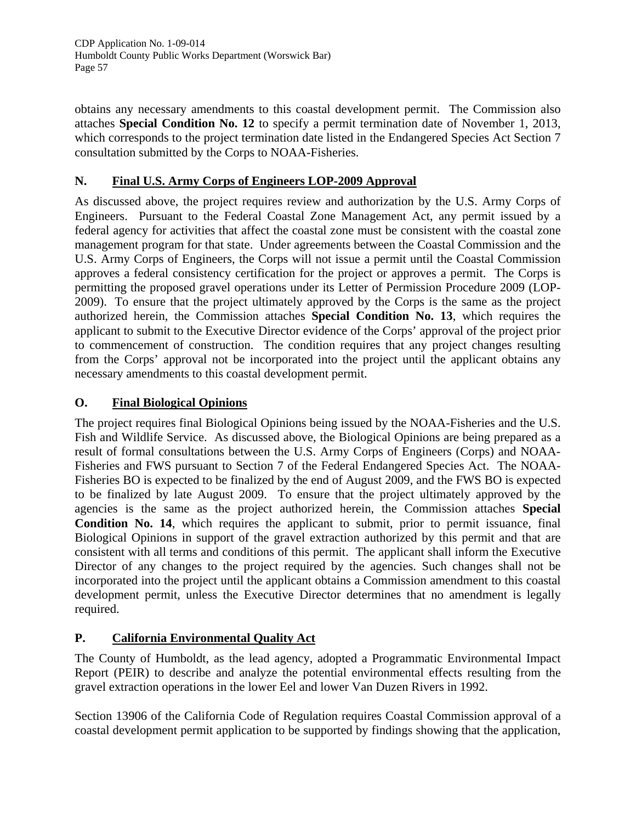obtains any necessary amendments to this coastal development permit. The Commission also attaches **Special Condition No. 12** to specify a permit termination date of November 1, 2013, which corresponds to the project termination date listed in the Endangered Species Act Section 7 consultation submitted by the Corps to NOAA-Fisheries.

# **N. Final U.S. Army Corps of Engineers LOP-2009 Approval**

As discussed above, the project requires review and authorization by the U.S. Army Corps of Engineers. Pursuant to the Federal Coastal Zone Management Act, any permit issued by a federal agency for activities that affect the coastal zone must be consistent with the coastal zone management program for that state. Under agreements between the Coastal Commission and the U.S. Army Corps of Engineers, the Corps will not issue a permit until the Coastal Commission approves a federal consistency certification for the project or approves a permit. The Corps is permitting the proposed gravel operations under its Letter of Permission Procedure 2009 (LOP-2009). To ensure that the project ultimately approved by the Corps is the same as the project authorized herein, the Commission attaches **Special Condition No. 13**, which requires the applicant to submit to the Executive Director evidence of the Corps' approval of the project prior to commencement of construction. The condition requires that any project changes resulting from the Corps' approval not be incorporated into the project until the applicant obtains any necessary amendments to this coastal development permit.

# **O. Final Biological Opinions**

The project requires final Biological Opinions being issued by the NOAA-Fisheries and the U.S. Fish and Wildlife Service. As discussed above, the Biological Opinions are being prepared as a result of formal consultations between the U.S. Army Corps of Engineers (Corps) and NOAA-Fisheries and FWS pursuant to Section 7 of the Federal Endangered Species Act. The NOAA-Fisheries BO is expected to be finalized by the end of August 2009, and the FWS BO is expected to be finalized by late August 2009. To ensure that the project ultimately approved by the agencies is the same as the project authorized herein, the Commission attaches **Special Condition No. 14**, which requires the applicant to submit, prior to permit issuance, final Biological Opinions in support of the gravel extraction authorized by this permit and that are consistent with all terms and conditions of this permit. The applicant shall inform the Executive Director of any changes to the project required by the agencies. Such changes shall not be incorporated into the project until the applicant obtains a Commission amendment to this coastal development permit, unless the Executive Director determines that no amendment is legally required.

# **P. California Environmental Quality Act**

The County of Humboldt, as the lead agency, adopted a Programmatic Environmental Impact Report (PEIR) to describe and analyze the potential environmental effects resulting from the gravel extraction operations in the lower Eel and lower Van Duzen Rivers in 1992.

Section 13906 of the California Code of Regulation requires Coastal Commission approval of a coastal development permit application to be supported by findings showing that the application,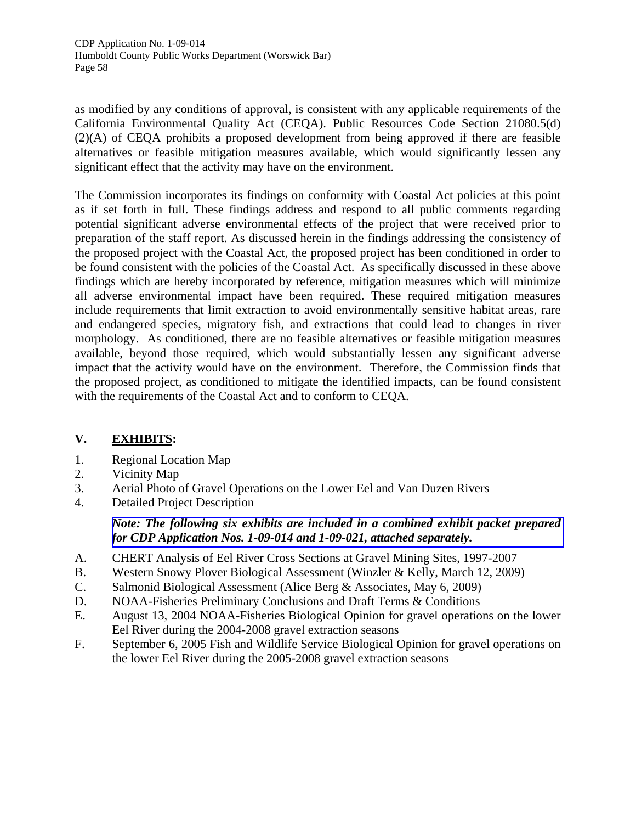as modified by any conditions of approval, is consistent with any applicable requirements of the California Environmental Quality Act (CEQA). Public Resources Code Section 21080.5(d) (2)(A) of CEQA prohibits a proposed development from being approved if there are feasible alternatives or feasible mitigation measures available, which would significantly lessen any significant effect that the activity may have on the environment.

The Commission incorporates its findings on conformity with Coastal Act policies at this point as if set forth in full. These findings address and respond to all public comments regarding potential significant adverse environmental effects of the project that were received prior to preparation of the staff report. As discussed herein in the findings addressing the consistency of the proposed project with the Coastal Act, the proposed project has been conditioned in order to be found consistent with the policies of the Coastal Act. As specifically discussed in these above findings which are hereby incorporated by reference, mitigation measures which will minimize all adverse environmental impact have been required. These required mitigation measures include requirements that limit extraction to avoid environmentally sensitive habitat areas, rare and endangered species, migratory fish, and extractions that could lead to changes in river morphology. As conditioned, there are no feasible alternatives or feasible mitigation measures available, beyond those required, which would substantially lessen any significant adverse impact that the activity would have on the environment. Therefore, the Commission finds that the proposed project, as conditioned to mitigate the identified impacts, can be found consistent with the requirements of the Coastal Act and to conform to CEQA.

# **V. EXHIBITS:**

- 1. Regional Location Map
- 2. Vicinity Map
- 3. Aerial Photo of Gravel Operations on the Lower Eel and Van Duzen Rivers
- 4. Detailed Project Description

# *[Note: The following six exhibits are included in a combined exhibit packet prepared](http://documents.coastal.ca.gov/reports/2009/9/W25b-s-9-2009-a1.pdf)  for CDP Application Nos. 1-09-014 and 1-09-021, attached separately.*

- A. CHERT Analysis of Eel River Cross Sections at Gravel Mining Sites, 1997-2007
- B. Western Snowy Plover Biological Assessment (Winzler & Kelly, March 12, 2009)
- C. Salmonid Biological Assessment (Alice Berg & Associates, May 6, 2009)
- D. NOAA-Fisheries Preliminary Conclusions and Draft Terms & Conditions
- E. August 13, 2004 NOAA-Fisheries Biological Opinion for gravel operations on the lower Eel River during the 2004-2008 gravel extraction seasons
- F. September 6, 2005 Fish and Wildlife Service Biological Opinion for gravel operations on the lower Eel River during the 2005-2008 gravel extraction seasons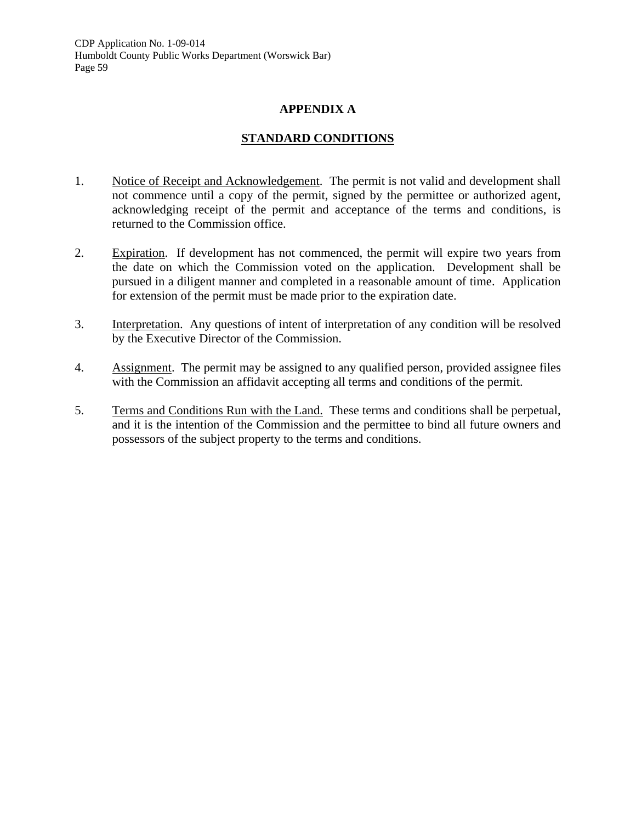#### **APPENDIX A**

#### **STANDARD CONDITIONS**

- 1. Notice of Receipt and Acknowledgement. The permit is not valid and development shall not commence until a copy of the permit, signed by the permittee or authorized agent, acknowledging receipt of the permit and acceptance of the terms and conditions, is returned to the Commission office.
- 2. Expiration. If development has not commenced, the permit will expire two years from the date on which the Commission voted on the application. Development shall be pursued in a diligent manner and completed in a reasonable amount of time. Application for extension of the permit must be made prior to the expiration date.
- 3. Interpretation. Any questions of intent of interpretation of any condition will be resolved by the Executive Director of the Commission.
- 4. Assignment. The permit may be assigned to any qualified person, provided assignee files with the Commission an affidavit accepting all terms and conditions of the permit.
- 5. Terms and Conditions Run with the Land. These terms and conditions shall be perpetual, and it is the intention of the Commission and the permittee to bind all future owners and possessors of the subject property to the terms and conditions.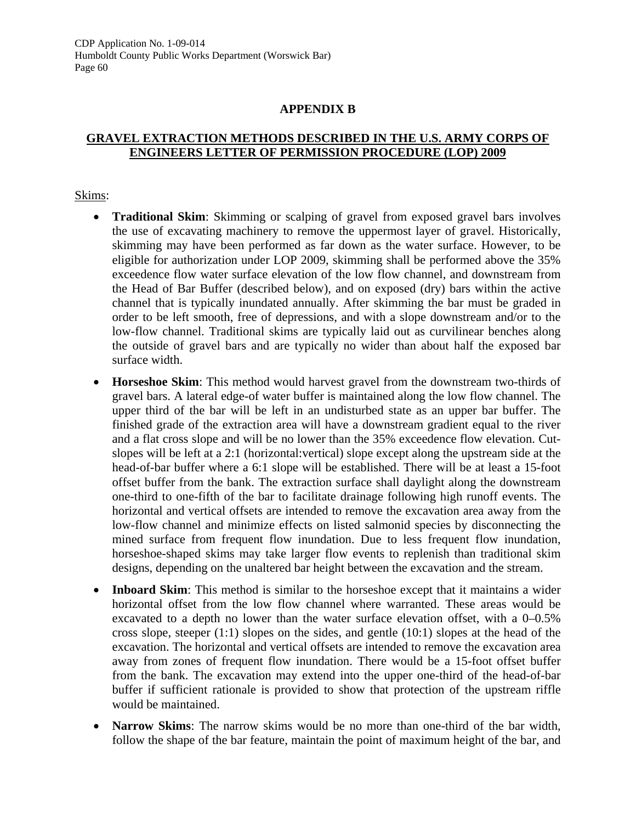#### **APPENDIX B**

# **GRAVEL EXTRACTION METHODS DESCRIBED IN THE U.S. ARMY CORPS OF ENGINEERS LETTER OF PERMISSION PROCEDURE (LOP) 2009**

#### Skims:

- **Traditional Skim**: Skimming or scalping of gravel from exposed gravel bars involves the use of excavating machinery to remove the uppermost layer of gravel. Historically, skimming may have been performed as far down as the water surface. However, to be eligible for authorization under LOP 2009, skimming shall be performed above the 35% exceedence flow water surface elevation of the low flow channel, and downstream from the Head of Bar Buffer (described below), and on exposed (dry) bars within the active channel that is typically inundated annually. After skimming the bar must be graded in order to be left smooth, free of depressions, and with a slope downstream and/or to the low-flow channel. Traditional skims are typically laid out as curvilinear benches along the outside of gravel bars and are typically no wider than about half the exposed bar surface width.
- **Horseshoe Skim**: This method would harvest gravel from the downstream two-thirds of gravel bars. A lateral edge-of water buffer is maintained along the low flow channel. The upper third of the bar will be left in an undisturbed state as an upper bar buffer. The finished grade of the extraction area will have a downstream gradient equal to the river and a flat cross slope and will be no lower than the 35% exceedence flow elevation. Cutslopes will be left at a 2:1 (horizontal:vertical) slope except along the upstream side at the head-of-bar buffer where a 6:1 slope will be established. There will be at least a 15-foot offset buffer from the bank. The extraction surface shall daylight along the downstream one-third to one-fifth of the bar to facilitate drainage following high runoff events. The horizontal and vertical offsets are intended to remove the excavation area away from the low-flow channel and minimize effects on listed salmonid species by disconnecting the mined surface from frequent flow inundation. Due to less frequent flow inundation, horseshoe-shaped skims may take larger flow events to replenish than traditional skim designs, depending on the unaltered bar height between the excavation and the stream.
- **Inboard Skim**: This method is similar to the horseshoe except that it maintains a wider horizontal offset from the low flow channel where warranted. These areas would be excavated to a depth no lower than the water surface elevation offset, with a 0–0.5% cross slope, steeper  $(1:1)$  slopes on the sides, and gentle  $(10:1)$  slopes at the head of the excavation. The horizontal and vertical offsets are intended to remove the excavation area away from zones of frequent flow inundation. There would be a 15-foot offset buffer from the bank. The excavation may extend into the upper one-third of the head-of-bar buffer if sufficient rationale is provided to show that protection of the upstream riffle would be maintained.
- **Narrow Skims**: The narrow skims would be no more than one-third of the bar width, follow the shape of the bar feature, maintain the point of maximum height of the bar, and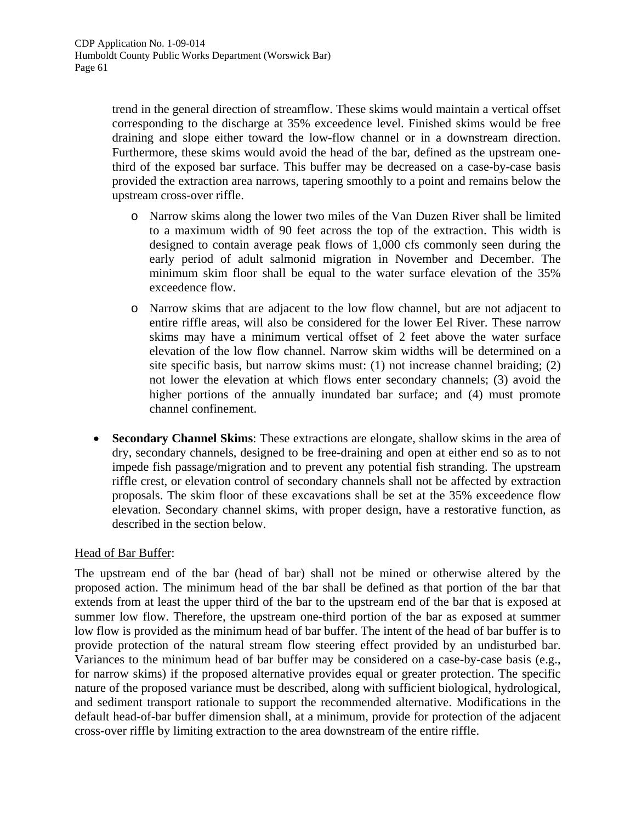trend in the general direction of streamflow. These skims would maintain a vertical offset corresponding to the discharge at 35% exceedence level. Finished skims would be free draining and slope either toward the low-flow channel or in a downstream direction. Furthermore, these skims would avoid the head of the bar, defined as the upstream onethird of the exposed bar surface. This buffer may be decreased on a case-by-case basis provided the extraction area narrows, tapering smoothly to a point and remains below the upstream cross-over riffle.

- o Narrow skims along the lower two miles of the Van Duzen River shall be limited to a maximum width of 90 feet across the top of the extraction. This width is designed to contain average peak flows of 1,000 cfs commonly seen during the early period of adult salmonid migration in November and December. The minimum skim floor shall be equal to the water surface elevation of the 35% exceedence flow.
- o Narrow skims that are adjacent to the low flow channel, but are not adjacent to entire riffle areas, will also be considered for the lower Eel River. These narrow skims may have a minimum vertical offset of 2 feet above the water surface elevation of the low flow channel. Narrow skim widths will be determined on a site specific basis, but narrow skims must: (1) not increase channel braiding; (2) not lower the elevation at which flows enter secondary channels; (3) avoid the higher portions of the annually inundated bar surface; and (4) must promote channel confinement.
- **Secondary Channel Skims**: These extractions are elongate, shallow skims in the area of dry, secondary channels, designed to be free-draining and open at either end so as to not impede fish passage/migration and to prevent any potential fish stranding. The upstream riffle crest, or elevation control of secondary channels shall not be affected by extraction proposals. The skim floor of these excavations shall be set at the 35% exceedence flow elevation. Secondary channel skims, with proper design, have a restorative function, as described in the section below.

#### Head of Bar Buffer:

The upstream end of the bar (head of bar) shall not be mined or otherwise altered by the proposed action. The minimum head of the bar shall be defined as that portion of the bar that extends from at least the upper third of the bar to the upstream end of the bar that is exposed at summer low flow. Therefore, the upstream one-third portion of the bar as exposed at summer low flow is provided as the minimum head of bar buffer. The intent of the head of bar buffer is to provide protection of the natural stream flow steering effect provided by an undisturbed bar. Variances to the minimum head of bar buffer may be considered on a case-by-case basis (e.g., for narrow skims) if the proposed alternative provides equal or greater protection. The specific nature of the proposed variance must be described, along with sufficient biological, hydrological, and sediment transport rationale to support the recommended alternative. Modifications in the default head-of-bar buffer dimension shall, at a minimum, provide for protection of the adjacent cross-over riffle by limiting extraction to the area downstream of the entire riffle.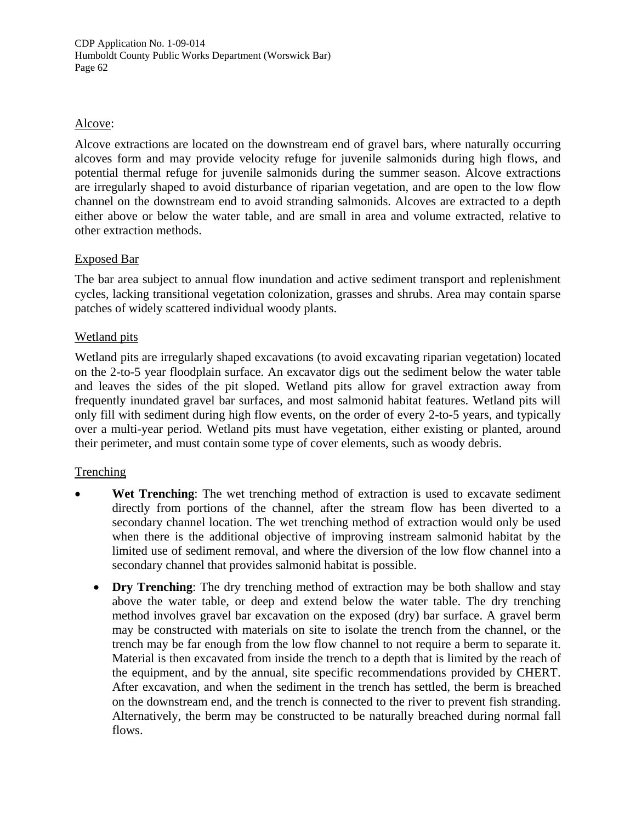# Alcove:

Alcove extractions are located on the downstream end of gravel bars, where naturally occurring alcoves form and may provide velocity refuge for juvenile salmonids during high flows, and potential thermal refuge for juvenile salmonids during the summer season. Alcove extractions are irregularly shaped to avoid disturbance of riparian vegetation, and are open to the low flow channel on the downstream end to avoid stranding salmonids. Alcoves are extracted to a depth either above or below the water table, and are small in area and volume extracted, relative to other extraction methods.

# Exposed Bar

The bar area subject to annual flow inundation and active sediment transport and replenishment cycles, lacking transitional vegetation colonization, grasses and shrubs. Area may contain sparse patches of widely scattered individual woody plants.

# Wetland pits

Wetland pits are irregularly shaped excavations (to avoid excavating riparian vegetation) located on the 2-to-5 year floodplain surface. An excavator digs out the sediment below the water table and leaves the sides of the pit sloped. Wetland pits allow for gravel extraction away from frequently inundated gravel bar surfaces, and most salmonid habitat features. Wetland pits will only fill with sediment during high flow events, on the order of every 2-to-5 years, and typically over a multi-year period. Wetland pits must have vegetation, either existing or planted, around their perimeter, and must contain some type of cover elements, such as woody debris.

# **Trenching**

- **Wet Trenching:** The wet trenching method of extraction is used to excavate sediment directly from portions of the channel, after the stream flow has been diverted to a secondary channel location. The wet trenching method of extraction would only be used when there is the additional objective of improving instream salmonid habitat by the limited use of sediment removal, and where the diversion of the low flow channel into a secondary channel that provides salmonid habitat is possible.
	- **Dry Trenching**: The dry trenching method of extraction may be both shallow and stay above the water table, or deep and extend below the water table. The dry trenching method involves gravel bar excavation on the exposed (dry) bar surface. A gravel berm may be constructed with materials on site to isolate the trench from the channel, or the trench may be far enough from the low flow channel to not require a berm to separate it. Material is then excavated from inside the trench to a depth that is limited by the reach of the equipment, and by the annual, site specific recommendations provided by CHERT. After excavation, and when the sediment in the trench has settled, the berm is breached on the downstream end, and the trench is connected to the river to prevent fish stranding. Alternatively, the berm may be constructed to be naturally breached during normal fall flows.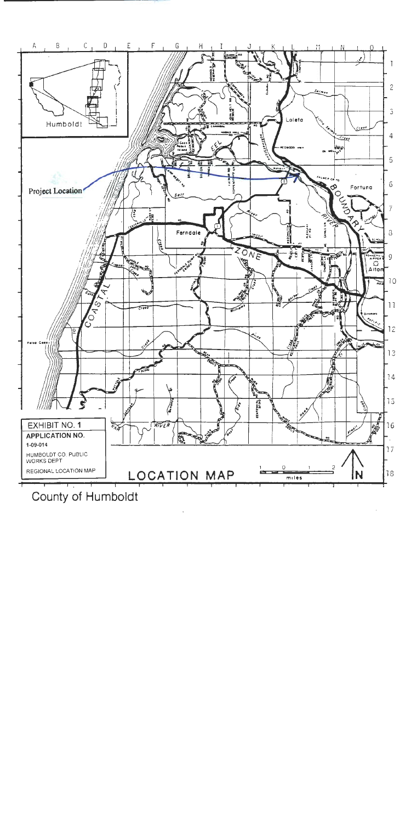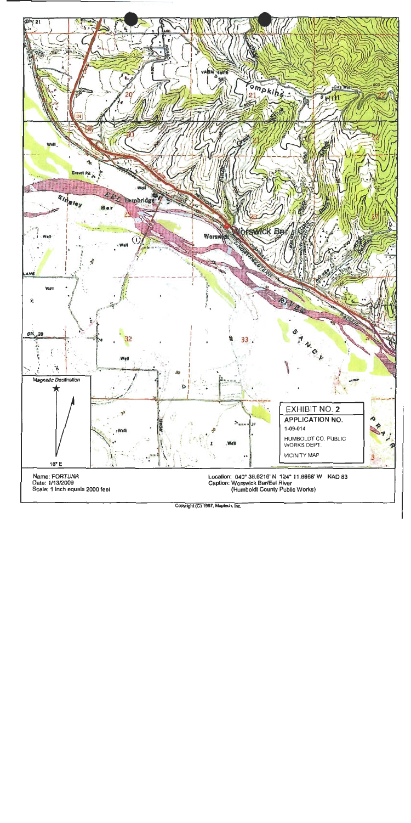

Copyright (C) 1997, Maplech, Inc.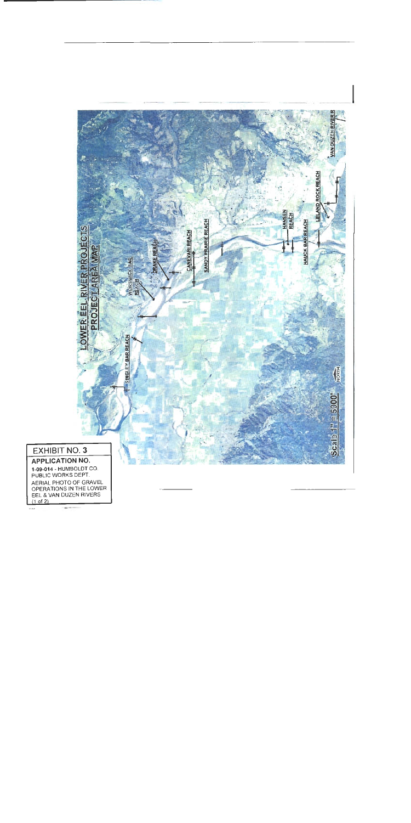

# **EXHIBIT NO. 3**

**APPLICATION NO.** 1-09-014 - HUMBOLDT CO.<br>PUBLIC WORKS DEPT. AERIAL PHOTO OF GRAVEL<br>OPERATIONS IN THE LOWER<br>EEL & VAN DUZEN RIVERS<br>(1 of 2)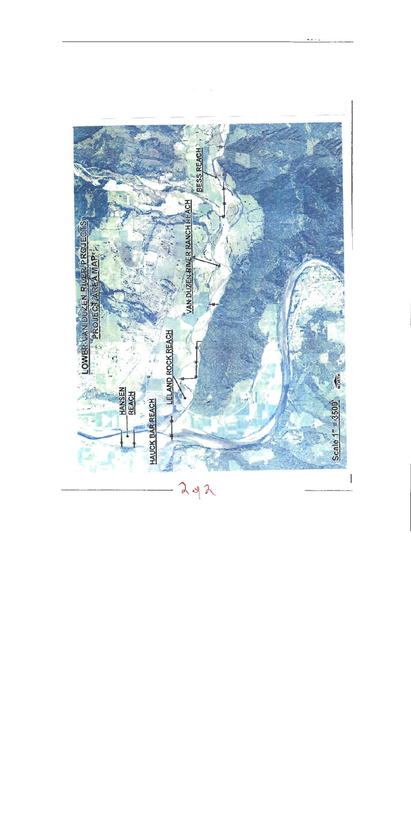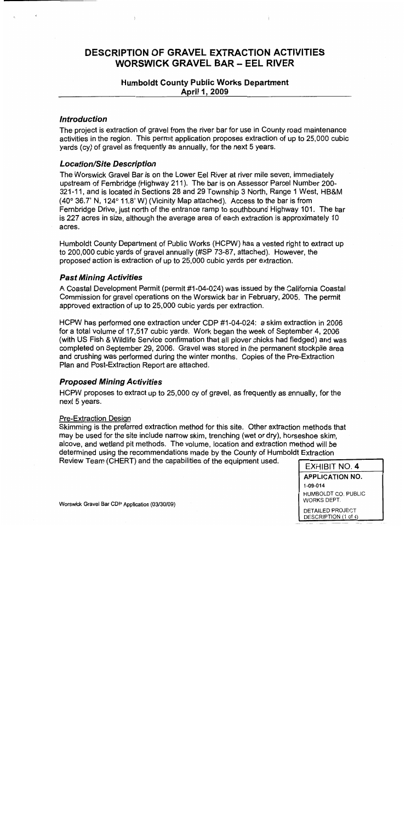# **DESCRIPTION OF GRAVEL EXTRACTION ACTIVITIES WORSWICK GRAVEL BAR - EEL RIVER**

#### **Humboldt County Public Works Department** April 1, 2009

#### **Introduction**

The project is extraction of gravel from the river bar for use in County road maintenance activities in the region. This permit application proposes extraction of up to 25,000 cubic yards (cy) of gravel as frequently as annually, for the next 5 years.

#### **Location/Site Description**

The Worswick Gravel Bar is on the Lower Eel River at river mile seven, immediately upstream of Fernbridge (Highway 211). The bar is on Assessor Parcel Number 200-321-11, and is located in Sections 28 and 29 Township 3 North, Range 1 West, HB&M (40° 36.7' N, 124° 11.8' W) (Vicinity Map attached). Access to the bar is from Fernbridge Drive, just north of the entrance ramp to southbound Highway 101. The bar is 227 acres in size, although the average area of each extraction is approximately 10 acres.

Humboldt County Department of Public Works (HCPW) has a vested right to extract up to 200,000 cubic yards of gravel annually (#SP 73-87, attached). However, the proposed action is extraction of up to 25,000 cubic yards per extraction.

#### **Past Mining Activities**

A Coastal Development Permit (permit #1-04-024) was issued by the California Coastal Commission for gravel operations on the Worswick bar in February, 2005. The permit approved extraction of up to 25,000 cubic yards per extraction.

HCPW has performed one extraction under CDP #1-04-024: a skim extraction in 2006 for a total volume of 17,517 cubic yards. Work began the week of September 4, 2006 (with US Fish & Wildlife Service confirmation that all plover chicks had fledged) and was completed on September 29, 2006. Gravel was stored in the permanent stockpile area and crushing was performed during the winter months. Copies of the Pre-Extraction Plan and Post-Extraction Report are attached.

#### **Proposed Mining Activities**

HCPW proposes to extract up to 25,000 cy of gravel, as frequently as annually, for the next 5 years.

#### **Pre-Extraction Design**

Skimming is the preferred extraction method for this site. Other extraction methods that may be used for the site include narrow skim, trenching (wet or dry), horseshoe skim, alcove, and wetland pit methods. The volume, location and extraction method will be determined using the recommendations made by the County of Humboldt Extraction Review Team (CHERT) and the capabilities of the equipment used.

#### **EXHIBIT NO. 4**

**APPLICATION NO.** 1-09-014 HUMBOLDT CO. PUBLIC

WORKS DEPT.

DETAILED PROJECT DESCRIPTION (1 of 4)

Worswick Gravel Bar CDP Application (03/30/09)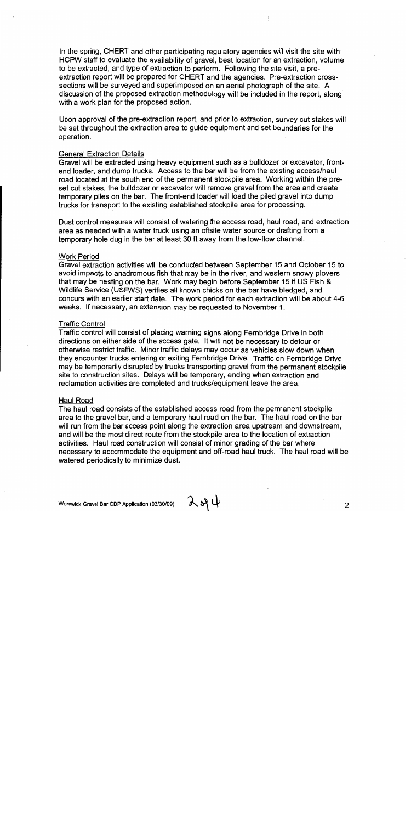In the spring, CHERT and other participating regulatory agencies will visit the site with HCPW staff to evaluate the availability of gravel, best location for an extraction, volume to be extracted, and type of extraction to perform. Following the site visit, a preextraction report will be prepared for CHERT and the agencies. Pre-extraction crosssections will be surveyed and superimposed on an aerial photograph of the site. A discussion of the proposed extraction methodology will be included in the report. along with a work plan for the proposed action.

Upon approval of the pre-extraction report, and prior to extraction, survey cut stakes will be set throughout the extraction area to quide equipment and set boundaries for the operation.

#### **General Extraction Details**

Gravel will be extracted using heavy equipment such as a bulldozer or excavator, frontend loader, and dump trucks. Access to the bar will be from the existing access/haul road located at the south end of the permanent stockpile area. Working within the preset cut stakes, the bulldozer or excavator will remove gravel from the area and create temporary piles on the bar. The front-end loader will load the piled gravel into dump trucks for transport to the existing established stockpile area for processing.

Dust control measures will consist of watering the access road, haul road, and extraction area as needed with a water truck using an offsite water source or drafting from a temporary hole dug in the bar at least 30 ft away from the low-flow channel.

#### **Work Period**

Gravel extraction activities will be conducted between September 15 and October 15 to avoid impacts to anadromous fish that may be in the river, and western snowy plovers that may be nesting on the bar. Work may begin before September 15 if US Fish & Wildlife Service (USFWS) verifies all known chicks on the bar have bledged, and concurs with an earlier start date. The work period for each extraction will be about 4-6 weeks. If necessary, an extension may be requested to November 1.

#### **Traffic Control**

Traffic control will consist of placing warning signs along Fernbridge Drive in both directions on either side of the access gate. It will not be necessary to detour or otherwise restrict traffic. Minor traffic delays may occur as vehicles slow down when they encounter trucks entering or exiting Fernbridge Drive. Traffic on Fernbridge Drive may be temporarily disrupted by trucks transporting gravel from the permanent stockpile site to construction sites. Delays will be temporary, ending when extraction and reclamation activities are completed and trucks/equipment leave the area.

#### **Haul Road**

The haul road consists of the established access road from the permanent stockpile area to the gravel bar, and a temporary haul road on the bar. The haul road on the bar will run from the bar access point along the extraction area upstream and downstream, and will be the most direct route from the stockpile area to the location of extraction activities. Haul road construction will consist of minor grading of the bar where necessary to accommodate the equipment and off-road haul truck. The haul road will be watered periodically to minimize dust.

 $284$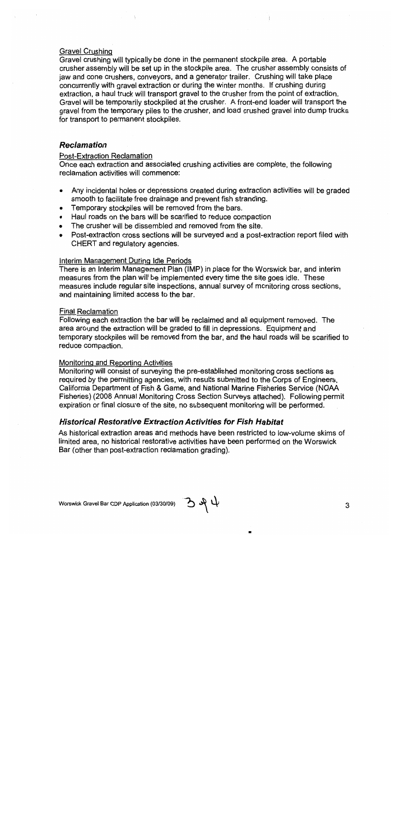#### **Gravel Crushing**

Gravel crushing will typically be done in the permanent stockpile area. A portable crusher assembly will be set up in the stockpile area. The crusher assembly consists of jaw and cone crushers, conveyors, and a generator trailer. Crushing will take place concurrently with gravel extraction or during the winter months. If crushing during extraction, a haul truck will transport gravel to the crusher from the point of extraction. Gravel will be temporarily stockpiled at the crusher. A front-end loader will transport the gravel from the temporary piles to the crusher, and load crushed gravel into dump trucks for transport to permanent stockpiles.

#### **Reclamation**

#### **Post-Extraction Reclamation**

Once each extraction and associated crushing activities are complete, the following reclamation activities will commence:

- Any incidental holes or depressions created during extraction activities will be graded smooth to facilitate free drainage and prevent fish stranding.
- Temporary stockpiles will be removed from the bars.
- Haul roads on the bars will be scarified to reduce compaction
- The crusher will be dissembled and removed from the site.
- Post-extraction cross sections will be surveyed and a post-extraction report filed with CHERT and regulatory agencies.

#### Interim Management During Idle Periods

There is an Interim Management Plan (IMP) in place for the Worswick bar, and interim measures from the plan will be implemented every time the site goes idle. These measures include reqular site inspections, annual survey of monitoring cross sections, and maintaining limited access to the bar.

#### **Final Reclamation**

Following each extraction the bar will be reclaimed and all equipment removed. The area around the extraction will be graded to fill in depressions. Equipment and temporary stockpiles will be removed from the bar, and the haul roads will be scarified to reduce compaction.

#### Monitoring and Reporting Activities

Monitoring will consist of surveying the pre-established monitoring cross sections as required by the permitting agencies, with results submitted to the Corps of Engineers, California Department of Fish & Game, and National Marine Fisheries Service (NOAA Fisheries) (2008 Annual Monitoring Cross Section Surveys attached). Following permit expiration or final closure of the site, no subsequent monitoring will be performed.

#### **Historical Restorative Extraction Activities for Fish Habitat**

As historical extraction areas and methods have been restricted to low-volume skims of limited area, no historical restorative activities have been performed on the Worswick Bar (other than post-extraction reclamation grading).

ひみゆ